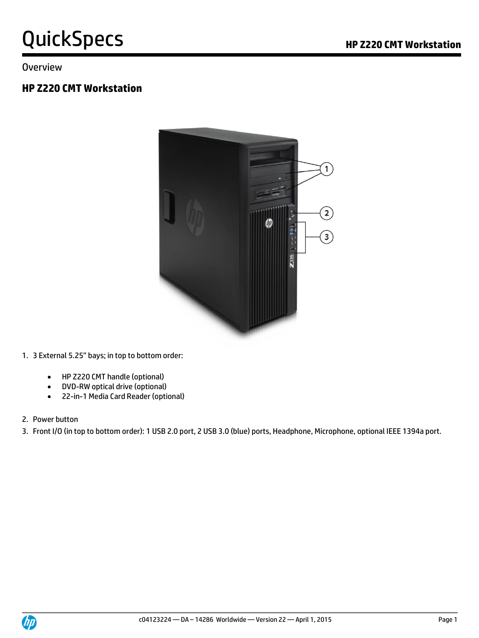#### Overview

### **HP Z220 CMT Workstation**



1. 3 External 5.25" bays; in top to bottom order:

- HP Z220 CMT handle (optional)
- DVD-RW optical drive (optional)
- 22-in-1 Media Card Reader (optional)
- 2. Power button

3. Front I/O (in top to bottom order): 1 USB 2.0 port, 2 USB 3.0 (blue) ports, Headphone, Microphone, optional IEEE 1394a port.

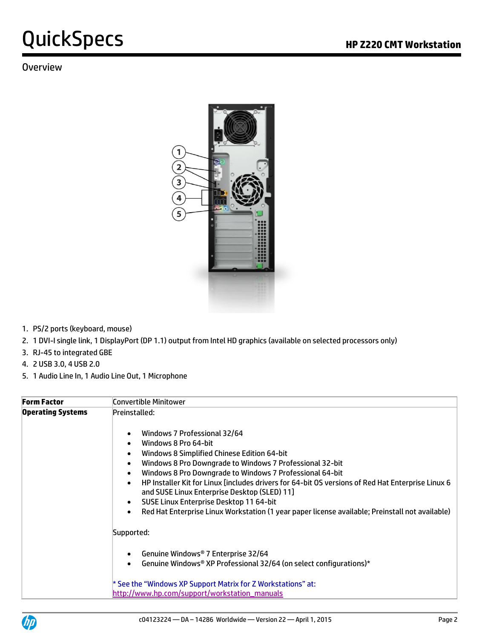### **Overview**



- 1. PS/2 ports (keyboard, mouse)
- 2. 1 DVI-I single link, 1 DisplayPort (DP 1.1) output from Intel HD graphics (available on selected processors only)
- 3. RJ-45 to integrated GBE
- 4. 2 USB 3.0, 4 USB 2.0
- 5. 1 Audio Line In, 1 Audio Line Out, 1 Microphone

| <b>Form Factor</b>       | Convertible Minitower                                                                                                                                                                                                                                                                                                                                                                                                                                                           |
|--------------------------|---------------------------------------------------------------------------------------------------------------------------------------------------------------------------------------------------------------------------------------------------------------------------------------------------------------------------------------------------------------------------------------------------------------------------------------------------------------------------------|
| <b>Operating Systems</b> | Preinstalled:<br>Windows 7 Professional 32/64<br>$\bullet$<br>Windows 8 Pro 64-bit<br>$\bullet$<br>Windows 8 Simplified Chinese Edition 64-bit<br>$\bullet$<br>Windows 8 Pro Downgrade to Windows 7 Professional 32-bit<br>$\bullet$<br>Windows 8 Pro Downgrade to Windows 7 Professional 64-bit<br>$\bullet$<br>HP Installer Kit for Linux [includes drivers for 64-bit OS versions of Red Hat Enterprise Linux 6<br>$\bullet$<br>and SUSE Linux Enterprise Desktop (SLED) 11] |
|                          | SUSE Linux Enterprise Desktop 11 64-bit<br>$\bullet$<br>Red Hat Enterprise Linux Workstation (1 year paper license available; Preinstall not available)<br>$\bullet$<br>Supported:                                                                                                                                                                                                                                                                                              |
|                          | Genuine Windows <sup>®</sup> 7 Enterprise 32/64<br>Genuine Windows® XP Professional 32/64 (on select configurations)*                                                                                                                                                                                                                                                                                                                                                           |
|                          | * See the "Windows XP Support Matrix for Z Workstations" at:<br>http://www.hp.com/support/workstation_manuals                                                                                                                                                                                                                                                                                                                                                                   |

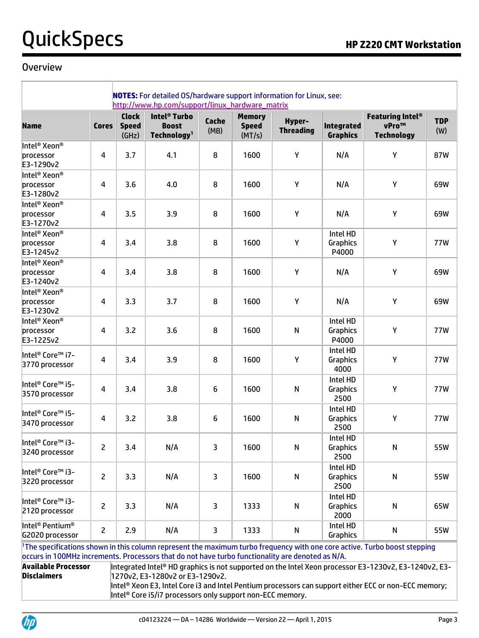#### Overview

|                                                            |                | <b>Clock</b>          | http://www.hp.com/support/linux_hardware_matrix<br>Intel <sup>®</sup> Turbo |                         | <b>Memory</b>          |                            |                                      | <b>Featuring Intel®</b>    |                   |
|------------------------------------------------------------|----------------|-----------------------|-----------------------------------------------------------------------------|-------------------------|------------------------|----------------------------|--------------------------------------|----------------------------|-------------------|
| <b>Name</b>                                                | <b>Cores</b>   | <b>Speed</b><br>(GHz) | <b>Boost</b><br>Technology <sup>1</sup>                                     | Cache<br>(MB)           | <b>Speed</b><br>(MT/s) | Hyper-<br><b>Threading</b> | <b>Integrated</b><br><b>Graphics</b> | vPro™<br><b>Technology</b> | <b>TDP</b><br>(W) |
| Intel <sup>®</sup> Xeon <sup>®</sup>                       |                |                       |                                                                             |                         |                        |                            |                                      |                            |                   |
| processor<br>E3-1290v2                                     | 4              | 3.7                   | 4.1                                                                         | 8                       | 1600                   | Υ                          | N/A                                  | Υ                          | 87W               |
| Intel <sup>®</sup> Xeon <sup>®</sup>                       |                |                       |                                                                             |                         |                        |                            |                                      |                            |                   |
| processor                                                  | 4              | 3.6                   | 4.0                                                                         | 8                       | 1600                   | Υ                          | N/A                                  | Υ                          | 69W               |
| E3-1280v2                                                  |                |                       |                                                                             |                         |                        |                            |                                      |                            |                   |
| Intel <sup>®</sup> Xeon <sup>®</sup>                       |                |                       |                                                                             |                         |                        |                            |                                      |                            |                   |
| processor<br>E3-1270v2                                     | 4              | 3.5                   | 3.9                                                                         | 8                       | 1600                   | Y                          | N/A                                  | Υ                          | 69W               |
| Intel <sup>®</sup> Xeon <sup>®</sup>                       |                |                       |                                                                             |                         |                        |                            | Intel HD                             |                            |                   |
| processor<br>E3-1245v2                                     | 4              | 3.4                   | 3.8                                                                         | 8                       | 1600                   | Y                          | Graphics<br>P4000                    | Y                          | 77W               |
| Intel <sup>®</sup> Xeon <sup>®</sup>                       |                |                       |                                                                             |                         |                        |                            |                                      |                            |                   |
| processor<br>E3-1240v2                                     | 4              | 3.4                   | 3.8                                                                         | 8                       | 1600                   | Υ                          | N/A                                  | Υ                          | 69W               |
| Intel <sup>®</sup> Xeon <sup>®</sup>                       |                |                       |                                                                             |                         |                        |                            |                                      |                            |                   |
| processor<br>E3-1230v2                                     | 4              | 3.3                   | 3.7                                                                         | 8                       | 1600                   | Υ                          | N/A                                  | Υ                          | 69W               |
| Intel <sup>®</sup> Xeon <sup>®</sup>                       |                |                       |                                                                             |                         |                        |                            | Intel HD                             |                            |                   |
| processor<br>E3-1225v2                                     | 4              | 3.2                   | 3.6                                                                         | 8                       | 1600                   | N                          | Graphics<br>P4000                    | Y                          | 77W               |
|                                                            |                |                       |                                                                             |                         |                        |                            | Intel HD                             |                            |                   |
| Intel <sup>®</sup> Core™ i7-<br>3770 processor             | 4              | 3.4                   | 3.9                                                                         | 8                       | 1600                   | Υ                          | Graphics<br>4000                     | Y                          | 77W               |
|                                                            |                |                       |                                                                             |                         |                        |                            | Intel HD                             |                            |                   |
| Intel <sup>®</sup> Core™ i5-<br>3570 processor             | 4              | 3.4                   | 3.8                                                                         | 6                       | 1600                   | N                          | Graphics<br>2500                     | Υ                          | 77W               |
| Intel <sup>®</sup> Core <sup>™</sup> i5-                   |                |                       |                                                                             |                         |                        |                            | Intel HD                             |                            |                   |
| 3470 processor                                             | 4              | 3.2                   | 3.8                                                                         | 6                       | 1600                   | ${\sf N}$                  | Graphics<br>2500                     | Υ                          | 77W               |
|                                                            |                |                       |                                                                             |                         |                        |                            | Intel HD                             |                            |                   |
| Intel <sup>®</sup> Core <sup>™</sup> i3-<br>3240 processor | 2              | 3.4                   | N/A                                                                         | 3                       | 1600                   | ${\sf N}$                  | Graphics<br>2500                     | N                          | 55W               |
|                                                            |                |                       |                                                                             |                         |                        |                            | Intel HD                             |                            |                   |
| Intel <sup>®</sup> Core™ i3-<br>3220 processor             | 2              | 3.3                   | N/A                                                                         | $\overline{\mathbf{3}}$ | 1600                   | ${\sf N}$                  | Graphics<br>2500                     | ${\sf N}$                  | 55W               |
|                                                            |                |                       |                                                                             |                         |                        |                            | Intel HD                             |                            |                   |
| Intel <sup>®</sup> Core™ i3-<br>2120 processor             | 2              | 3.3                   | N/A                                                                         | 3                       | 1333                   | N                          | Graphics<br>2000                     | ${\sf N}$                  | 65W               |
| Intel <sup>®</sup> Pentium <sup>®</sup><br>G2020 processor | $\overline{2}$ | 2.9                   | N/A                                                                         | 3                       | 1333                   | ${\sf N}$                  | Intel HD<br>Graphics                 | ${\sf N}$                  | 55W               |

<sup>1</sup>The specifications shown in this column represent the maximum turbo frequency with one core active. Turbo boost stepping occurs in 100MHz increments. Processors that do not have turbo functionality are denoted as N/A.

**Available Processor Disclaimers**

Integrated Intel® HD graphics is not supported on the Intel Xeon processor E3-1230v2, E3-1240v2, E3- 1270v2, E3-1280v2 or E3-1290v2.

Intel® Xeon E3, Intel Core i3 and Intel Pentium processors can support either ECC or non-ECC memory; Intel<sup>®</sup> Core i5/i7 processors only support non-ECC memory.

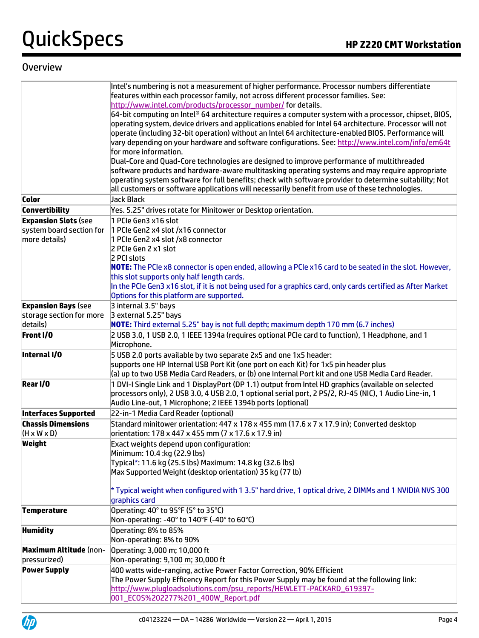### **Overview**

|                               | Intel's numbering is not a measurement of higher performance. Processor numbers differentiate<br>features within each processor family, not across different processor families. See:                                |
|-------------------------------|----------------------------------------------------------------------------------------------------------------------------------------------------------------------------------------------------------------------|
|                               | http://www.intel.com/products/processor_number/ for details.                                                                                                                                                         |
|                               | $64$ -bit computing on Intel® 64 architecture requires a computer system with a processor, chipset, BIOS,<br>operating system, device drivers and applications enabled for Intel 64 architecture. Processor will not |
|                               | operate (including 32-bit operation) without an Intel 64 architecture-enabled BIOS. Performance will                                                                                                                 |
|                               | vary depending on your hardware and software configurations. See: http://www.intel.com/info/em64t                                                                                                                    |
|                               | for more information.                                                                                                                                                                                                |
|                               | Dual-Core and Quad-Core technologies are designed to improve performance of multithreaded<br>software products and hardware-aware multitasking operating systems and may require appropriate                         |
|                               | operating system software for full benefits; check with software provider to determine suitability; Not                                                                                                              |
|                               | all customers or software applications will necessarily benefit from use of these technologies.                                                                                                                      |
| <b>Color</b>                  | Jack Black                                                                                                                                                                                                           |
| <b>Convertibility</b>         | Yes. 5.25" drives rotate for Minitower or Desktop orientation.                                                                                                                                                       |
| <b>Expansion Slots (see</b>   | 1 PCIe Gen3 x16 slot                                                                                                                                                                                                 |
| system board section for      | 1 PCIe Gen2 x4 slot /x16 connector                                                                                                                                                                                   |
| more details)                 | 1 PCIe Gen2 x4 slot /x8 connector                                                                                                                                                                                    |
|                               | 2 PCIe Gen 2 x1 slot                                                                                                                                                                                                 |
|                               | 2 PCI slots                                                                                                                                                                                                          |
|                               | NOTE: The PCIe x8 connector is open ended, allowing a PCIe x16 card to be seated in the slot. However,<br>this slot supports only half length cards.                                                                 |
|                               | In the PCIe Gen3 x16 slot, if it is not being used for a graphics card, only cards certified as After Market                                                                                                         |
|                               | Options for this platform are supported.                                                                                                                                                                             |
| <b>Expansion Bays (see</b>    | 3 internal 3.5" bays                                                                                                                                                                                                 |
| storage section for more      | 3 external 5.25" bays                                                                                                                                                                                                |
| details)                      | NOTE: Third external 5.25" bay is not full depth; maximum depth 170 mm (6.7 inches)                                                                                                                                  |
| Front I/O                     | 2 USB 3.0, 1 USB 2.0, 1 IEEE 1394a (requires optional PCIe card to function), 1 Headphone, and 1<br>Microphone.                                                                                                      |
| Internal I/O                  | 5 USB 2.0 ports available by two separate 2x5 and one 1x5 header:                                                                                                                                                    |
|                               | supports one HP Internal USB Port Kit (one port on each Kit) for 1x5 pin header plus                                                                                                                                 |
|                               | (a) up to two USB Media Card Readers, or (b) one Internal Port kit and one USB Media Card Reader.                                                                                                                    |
| Rear I/O                      | 1 DVI-I Single Link and 1 DisplayPort (DP 1.1) output from Intel HD graphics (available on selected                                                                                                                  |
|                               | processors only), 2 USB 3.0, 4 USB 2.0, 1 optional serial port, 2 PS/2, RJ-45 (NIC), 1 Audio Line-in, 1                                                                                                              |
| <b>Interfaces Supported</b>   | Audio Line-out, 1 Microphone; 2 IEEE 1394b ports (optional)<br>22-in-1 Media Card Reader (optional)                                                                                                                  |
| <b>Chassis Dimensions</b>     | Standard minitower orientation: 447 x 178 x 455 mm (17.6 x 7 x 17.9 in); Converted desktop                                                                                                                           |
| $(H \times W \times D)$       | orientation: 178 x 447 x 455 mm (7 x 17.6 x 17.9 in)                                                                                                                                                                 |
| Weight                        | Exact weights depend upon configuration:                                                                                                                                                                             |
|                               | Minimum: 10.4 :kg (22.9 lbs)                                                                                                                                                                                         |
|                               | Typical*: 11.6 kg (25.5 lbs) Maximum: 14.8 kg (32.6 lbs)<br>Max Supported Weight (desktop orientation) 35 kg (77 lb)                                                                                                 |
|                               |                                                                                                                                                                                                                      |
|                               | $\ast$ Typical weight when configured with 1 3.5" hard drive, 1 optical drive, 2 DIMMs and 1 NVIDIA NVS 300 $\,$                                                                                                     |
|                               | graphics card                                                                                                                                                                                                        |
| <b>Temperature</b>            | Operating: 40° to 95°F (5° to 35°C)                                                                                                                                                                                  |
|                               | Non-operating: -40° to 140°F (-40° to 60°C)                                                                                                                                                                          |
| <b>Humidity</b>               | Operating: 8% to 85%                                                                                                                                                                                                 |
|                               | Non-operating: 8% to 90%                                                                                                                                                                                             |
| <b>Maximum Altitude (non-</b> | Operating: 3,000 m; 10,000 ft                                                                                                                                                                                        |
| pressurized)                  | Non-operating: 9,100 m; 30,000 ft                                                                                                                                                                                    |
| <b>Power Supply</b>           | 400 watts wide-ranging, active Power Factor Correction, 90% Efficient                                                                                                                                                |
|                               | The Power Supply Efficency Report for this Power Supply may be found at the following link:                                                                                                                          |
|                               | http://www.plugloadsolutions.com/psu_reports/HEWLETT-PACKARD_619397-<br>001_ECOS%202277%201_400W_Report.pdf                                                                                                          |
|                               |                                                                                                                                                                                                                      |

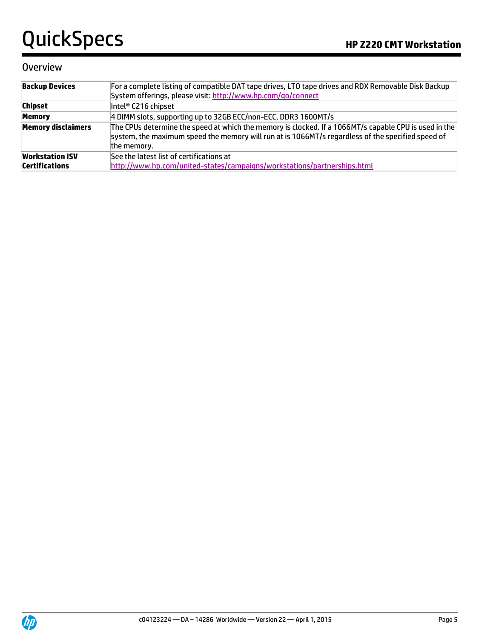### **Overview**

| <b>Backup Devices</b>     | For a complete listing of compatible DAT tape drives, LTO tape drives and RDX Removable Disk Backup<br>System offerings, please visit: http://www.hp.com/go/connect                                                       |
|---------------------------|---------------------------------------------------------------------------------------------------------------------------------------------------------------------------------------------------------------------------|
| <b>Chipset</b>            | Intel® C216 chipset                                                                                                                                                                                                       |
| <b>Memory</b>             | 4 DIMM slots, supporting up to 32GB ECC/non-ECC, DDR3 1600MT/s                                                                                                                                                            |
| <b>Memory disclaimers</b> | The CPUs determine the speed at which the memory is clocked. If a 1066MT/s capable CPU is used in the<br>system, the maximum speed the memory will run at is 1066MT/s regardless of the specified speed of<br>the memory. |
| <b>Workstation ISV</b>    | See the latest list of certifications at                                                                                                                                                                                  |
| <b>Certifications</b>     | http://www.hp.com/united-states/campaigns/workstations/partnerships.html                                                                                                                                                  |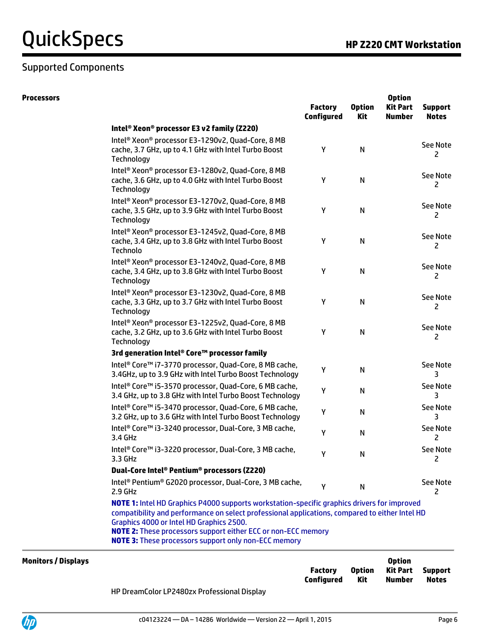## Supported Components

| <b>Processors</b>          |                                                                                                                                                                                                                                                                                                                                                                                  | <b>Factory</b><br><b>Configured</b> | <b>Option</b><br>Kit | <b>Option</b><br><b>Kit Part</b><br><b>Number</b> | <b>Support</b><br><b>Notes</b> |
|----------------------------|----------------------------------------------------------------------------------------------------------------------------------------------------------------------------------------------------------------------------------------------------------------------------------------------------------------------------------------------------------------------------------|-------------------------------------|----------------------|---------------------------------------------------|--------------------------------|
|                            | Intel® Xeon® processor E3 v2 family (Z220)                                                                                                                                                                                                                                                                                                                                       |                                     |                      |                                                   |                                |
|                            | Intel <sup>®</sup> Xeon <sup>®</sup> processor E3-1290v2, Quad-Core, 8 MB<br>cache, 3.7 GHz, up to 4.1 GHz with Intel Turbo Boost<br>Technology                                                                                                                                                                                                                                  | Υ                                   | N                    |                                                   | See Note<br>2                  |
|                            | Intel <sup>®</sup> Xeon <sup>®</sup> processor E3-1280v2, Quad-Core, 8 MB<br>cache, 3.6 GHz, up to 4.0 GHz with Intel Turbo Boost<br>Technology                                                                                                                                                                                                                                  | Υ                                   | N                    |                                                   | See Note<br>2                  |
|                            | Intel <sup>®</sup> Xeon <sup>®</sup> processor E3-1270v2, Quad-Core, 8 MB<br>cache, 3.5 GHz, up to 3.9 GHz with Intel Turbo Boost<br>Technology                                                                                                                                                                                                                                  | Υ                                   | N                    |                                                   | <b>See Note</b><br>2           |
|                            | Intel <sup>®</sup> Xeon <sup>®</sup> processor E3-1245v2, Quad-Core, 8 MB<br>cache, 3.4 GHz, up to 3.8 GHz with Intel Turbo Boost<br>Technolo                                                                                                                                                                                                                                    | Υ                                   | ${\sf N}$            |                                                   | <b>See Note</b><br>2           |
|                            | Intel <sup>®</sup> Xeon <sup>®</sup> processor E3-1240v2, Quad-Core, 8 MB<br>cache, 3.4 GHz, up to 3.8 GHz with Intel Turbo Boost<br>Technology                                                                                                                                                                                                                                  | Υ                                   | N                    |                                                   | <b>See Note</b><br>2           |
|                            | Intel <sup>®</sup> Xeon <sup>®</sup> processor E3-1230v2, Quad-Core, 8 MB<br>cache, 3.3 GHz, up to 3.7 GHz with Intel Turbo Boost<br>Technology                                                                                                                                                                                                                                  | Υ                                   | ${\sf N}$            |                                                   | See Note<br>2                  |
|                            | Intel® Xeon® processor E3-1225v2, Quad-Core, 8 MB<br>cache, 3.2 GHz, up to 3.6 GHz with Intel Turbo Boost<br>Technology                                                                                                                                                                                                                                                          | Υ                                   | ${\sf N}$            |                                                   | <b>See Note</b><br>2           |
|                            | 3rd generation Intel® Core™ processor family                                                                                                                                                                                                                                                                                                                                     |                                     |                      |                                                   |                                |
|                            | Intel <sup>®</sup> Core <sup>™</sup> i7-3770 processor, Quad-Core, 8 MB cache,<br>3.4GHz, up to 3.9 GHz with Intel Turbo Boost Technology                                                                                                                                                                                                                                        | Υ                                   | N                    |                                                   | <b>See Note</b><br>3           |
|                            | Intel <sup>®</sup> Core <sup>™</sup> i5-3570 processor, Quad-Core, 6 MB cache,<br>3.4 GHz, up to 3.8 GHz with Intel Turbo Boost Technology                                                                                                                                                                                                                                       | Υ                                   | N                    |                                                   | <b>See Note</b><br>3           |
|                            | Intel <sup>®</sup> Core <sup>™</sup> i5-3470 processor, Quad-Core, 6 MB cache,<br>3.2 GHz, up to 3.6 GHz with Intel Turbo Boost Technology                                                                                                                                                                                                                                       | Υ                                   | N                    |                                                   | <b>See Note</b><br>3           |
|                            | Intel <sup>®</sup> Core™ i3-3240 processor, Dual-Core, 3 MB cache,<br>3.4 GHz                                                                                                                                                                                                                                                                                                    | Υ                                   | N                    |                                                   | <b>See Note</b><br>2           |
|                            | Intel <sup>®</sup> Core™ i3-3220 processor, Dual-Core, 3 MB cache,<br>3.3 GHz                                                                                                                                                                                                                                                                                                    | v                                   | N                    |                                                   | <b>See Note</b><br>2           |
|                            | Dual-Core Intel® Pentium® processors (Z220)                                                                                                                                                                                                                                                                                                                                      |                                     |                      |                                                   |                                |
|                            | Intel <sup>®</sup> Pentium <sup>®</sup> G2020 processor, Dual-Core, 3 MB cache,<br>2.9 GHz                                                                                                                                                                                                                                                                                       | Y                                   | N                    |                                                   | <b>See Note</b><br>2           |
|                            | NOTE 1: Intel HD Graphics P4000 supports workstation-specific graphics drivers for improved<br>compatibility and performance on select professional applications, compared to either Intel HD<br>Graphics 4000 or Intel HD Graphics 2500.<br><b>NOTE 2:</b> These processors support either ECC or non-ECC memory<br><b>NOTE 3:</b> These processors support only non-ECC memory |                                     |                      |                                                   |                                |
| <b>Monitors / Displays</b> |                                                                                                                                                                                                                                                                                                                                                                                  |                                     |                      | <b>Option</b>                                     |                                |

| <b>Monitors / Displays</b> |                                             |                       |                             | <b>Option</b>      |                         |
|----------------------------|---------------------------------------------|-----------------------|-----------------------------|--------------------|-------------------------|
|                            |                                             | Factory<br>Configured | <b>Option</b><br><b>Kit</b> | Kit Part<br>Number | Support<br><b>Notes</b> |
|                            | HP DreamColor LP2480zx Professional Display |                       |                             |                    |                         |

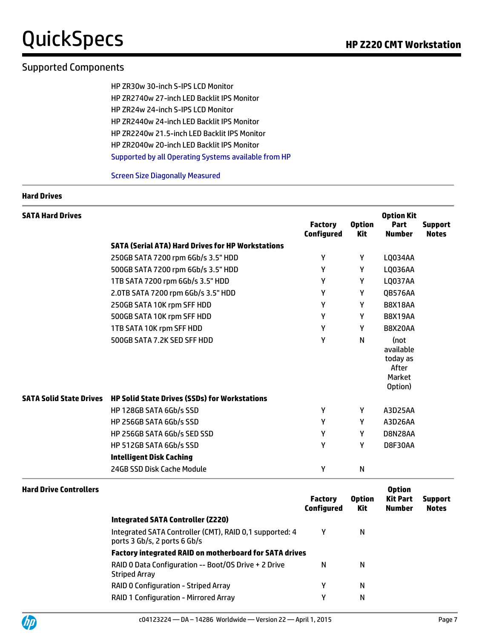# QuickSpecs **Manual Community Community** Research Manual Press, and The Passet Area and Manual Press, and Manual Press, and Manual Press, and Manual Press, and Manual Press, and Manual Press, and Manual Press, and Manual Pr

## Supported Components

HP ZR30w 30-inch S-IPS LCD Monitor HP ZR2740w 27-inch LED Backlit IPS Monitor HP ZR24w 24-inch S-IPS LCD Monitor HP ZR2440w 24-inch LED Backlit IPS Monitor HP ZR2240w 21.5-inch LED Backlit IPS Monitor HP ZR2040w 20-inch LED Backlit IPS Monitor Supported by all Operating Systems available from HP

Screen Size Diagonally Measured

#### **Hard Drives**

| <b>SATA Hard Drives</b> |                                                                       | <b>Factory</b><br><b>Configured</b> | <b>Option</b><br><b>Kit</b> | <b>Option Kit</b><br>Part<br><b>Number</b>                  | <b>Support</b><br><b>Notes</b> |
|-------------------------|-----------------------------------------------------------------------|-------------------------------------|-----------------------------|-------------------------------------------------------------|--------------------------------|
|                         | <b>SATA (Serial ATA) Hard Drives for HP Workstations</b>              |                                     |                             |                                                             |                                |
|                         | 250GB SATA 7200 rpm 6Gb/s 3.5" HDD                                    | γ                                   | Y                           | LQ034AA                                                     |                                |
|                         | 500GB SATA 7200 rpm 6Gb/s 3.5" HDD                                    | Υ                                   | Υ                           | <b>LQ036AA</b>                                              |                                |
|                         | 1TB SATA 7200 rpm 6Gb/s 3.5" HDD                                      | Y                                   | Υ                           | LQ037AA                                                     |                                |
|                         | 2.0TB SATA 7200 rpm 6Gb/s 3.5" HDD                                    | Υ                                   | Υ                           | QB576AA                                                     |                                |
|                         | 250GB SATA 10K rpm SFF HDD                                            | Υ                                   | Y                           | <b>B8X18AA</b>                                              |                                |
|                         | 500GB SATA 10K rpm SFF HDD                                            | Υ                                   | Y                           | <b>B8X19AA</b>                                              |                                |
|                         | 1TB SATA 10K rpm SFF HDD                                              | Υ                                   | Υ                           | <b>B8X20AA</b>                                              |                                |
|                         | 500GB SATA 7.2K SED SFF HDD                                           | Υ                                   | N                           | (not<br>available<br>today as<br>After<br>Market<br>Option) |                                |
|                         | SATA Solid State Drives HP Solid State Drives (SSDs) for Workstations |                                     |                             |                                                             |                                |
|                         | HP 128GB SATA 6Gb/s SSD                                               | γ                                   | Υ                           | A3D25AA                                                     |                                |
|                         | HP 256GB SATA 6Gb/s SSD                                               | Υ                                   | Y                           | A3D26AA                                                     |                                |
|                         | HP 256GB SATA 6Gb/s SED SSD                                           | Υ                                   | Υ                           | D8N28AA                                                     |                                |
|                         | HP 512GB SATA 6Gb/s SSD                                               | Υ                                   | Υ                           | D8F30AA                                                     |                                |
|                         | <b>Intelligent Disk Caching</b>                                       |                                     |                             |                                                             |                                |
|                         | 24GB SSD Disk Cache Module                                            | Υ                                   | N                           |                                                             |                                |

| <b>Hard Drive Controllers</b> |                                                                                         |                                     |                      | <b>Option</b>      |                                |
|-------------------------------|-----------------------------------------------------------------------------------------|-------------------------------------|----------------------|--------------------|--------------------------------|
|                               |                                                                                         | <b>Factory</b><br><b>Configured</b> | <b>Option</b><br>Kit | Kit Part<br>Number | <b>Support</b><br><b>Notes</b> |
|                               | <b>Integrated SATA Controller (Z220)</b>                                                |                                     |                      |                    |                                |
|                               | Integrated SATA Controller (CMT), RAID 0,1 supported: 4<br>ports 3 Gb/s, 2 ports 6 Gb/s | γ                                   | N                    |                    |                                |
|                               | <b>Factory integrated RAID on motherboard for SATA drives</b>                           |                                     |                      |                    |                                |
|                               | RAID 0 Data Configuration -- Boot/OS Drive + 2 Drive<br>Striped Array                   | N                                   | N                    |                    |                                |
|                               | RAID 0 Configuration - Striped Array                                                    | γ                                   | N                    |                    |                                |
|                               | RAID 1 Configuration - Mirrored Array                                                   | γ                                   | N                    |                    |                                |

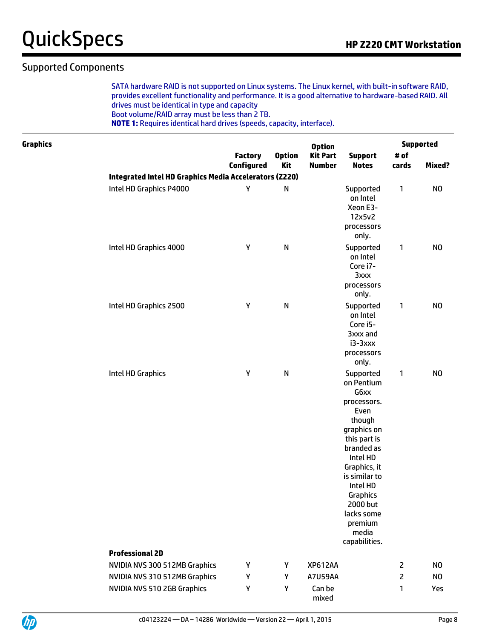### Supported Components

SATA hardware RAID is not supported on Linux systems. The Linux kernel, with built-in software RAID, provides excellent functionality and performance. It is a good alternative to hardware-based RAID. All drives must be identical in type and capacity

Boot volume/RAID array must be less than 2 TB.

**NOTE 1:** Requires identical hard drives (speeds, capacity, interface).

| <b>Graphics</b> |                                                        | <b>Option</b>                |                      |                                  |                                                                                                                                                                                                                                                   | <b>Supported</b> |                |  |
|-----------------|--------------------------------------------------------|------------------------------|----------------------|----------------------------------|---------------------------------------------------------------------------------------------------------------------------------------------------------------------------------------------------------------------------------------------------|------------------|----------------|--|
|                 |                                                        | <b>Factory</b><br>Configured | <b>Option</b><br>Kit | <b>Kit Part</b><br><b>Number</b> | <b>Support</b><br><b>Notes</b>                                                                                                                                                                                                                    | # of<br>cards    | Mixed?         |  |
|                 | Integrated Intel HD Graphics Media Accelerators (Z220) |                              |                      |                                  |                                                                                                                                                                                                                                                   |                  |                |  |
|                 | Intel HD Graphics P4000                                | Υ                            | $\mathsf{N}$         |                                  | Supported<br>on Intel<br>Xeon E3-<br>12x5v2<br>processors<br>only.                                                                                                                                                                                | 1                | N <sub>O</sub> |  |
|                 | Intel HD Graphics 4000                                 | Υ                            | $\mathsf{N}$         |                                  | Supported<br>on Intel<br>Core i7-<br>3xxx<br>processors<br>only.                                                                                                                                                                                  | $\mathbf{1}$     | N <sub>O</sub> |  |
|                 | Intel HD Graphics 2500                                 | Υ                            | $\mathsf{N}$         |                                  | Supported<br>on Intel<br>Core i5-<br>3xxx and<br>i3-3xxx<br>processors<br>only.                                                                                                                                                                   | 1                | N <sub>O</sub> |  |
|                 | Intel HD Graphics                                      | Υ                            | $\mathsf{N}$         |                                  | Supported<br>on Pentium<br>G6xx<br>processors.<br>Even<br>though<br>graphics on<br>this part is<br>branded as<br>Intel HD<br>Graphics, it<br>is similar to<br>Intel HD<br>Graphics<br>2000 but<br>lacks some<br>premium<br>media<br>capabilities. | $\mathbf{1}$     | N <sub>O</sub> |  |
|                 | <b>Professional 2D</b>                                 |                              |                      |                                  |                                                                                                                                                                                                                                                   |                  |                |  |
|                 | NVIDIA NVS 300 512MB Graphics                          | Υ                            | Y                    | <b>XP612AA</b>                   |                                                                                                                                                                                                                                                   | $\mathsf{Z}$     | N <sub>O</sub> |  |
|                 | NVIDIA NVS 310 512MB Graphics                          | Υ                            | Υ                    | <b>A7U59AA</b>                   |                                                                                                                                                                                                                                                   | 2                | N <sub>O</sub> |  |
|                 | NVIDIA NVS 510 2GB Graphics                            | Υ                            | Υ                    | Can be<br>mixed                  |                                                                                                                                                                                                                                                   | 1                | Yes            |  |

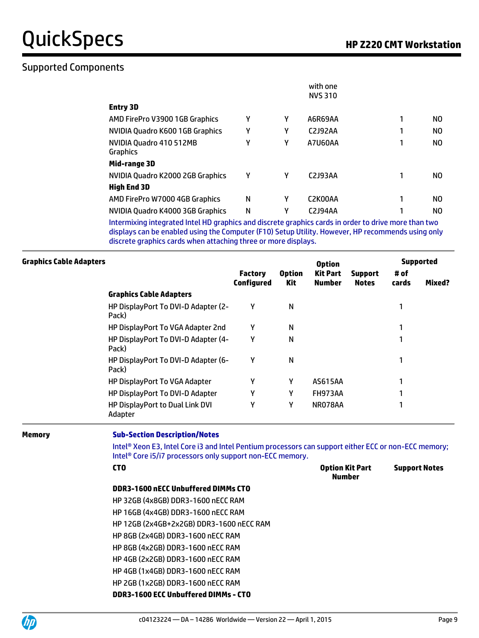# Supported Components

|                                                                                                        |   |   | with one       |     |
|--------------------------------------------------------------------------------------------------------|---|---|----------------|-----|
|                                                                                                        |   |   | <b>NVS 310</b> |     |
| <b>Entry 3D</b>                                                                                        |   |   |                |     |
| AMD FirePro V3900 1GB Graphics                                                                         | γ | γ | A6R69AA        | NO. |
| NVIDIA Quadro K600 1GB Graphics                                                                        | γ | γ | C2J92AA        | NO  |
| NVIDIA Quadro 410 512MB<br><b>Graphics</b>                                                             | γ | γ | A7U60AA        | NO  |
| Mid-range 3D                                                                                           |   |   |                |     |
| NVIDIA Quadro K2000 2GB Graphics                                                                       | Υ | γ | C2J93AA        | NO  |
| <b>High End 3D</b>                                                                                     |   |   |                |     |
| AMD FirePro W7000 4GB Graphics                                                                         | N | γ | C2K00AA        | NO  |
| NVIDIA Quadro K4000 3GB Graphics                                                                       | Ν | γ | C2J94AA        | NO. |
| tatagashiha shekamekad bekal HD mandalas and disegreka mandalas sagda in agdag ka duhun maga klasa kun |   |   |                |     |

Intermixing integrated Intel HD graphics and discrete graphics cards in order to drive more than two displays can be enabled using the Computer (F10) Setup Utility. However, HP recommends using only discrete graphics cards when attaching three or more displays.

|                                              |                              |                      | <b>Option</b>             |                                |               | <b>Supported</b> |
|----------------------------------------------|------------------------------|----------------------|---------------------------|--------------------------------|---------------|------------------|
|                                              | <b>Factory</b><br>Configured | <b>Option</b><br>Kit | <b>Kit Part</b><br>Number | <b>Support</b><br><b>Notes</b> | # of<br>cards | Mixed?           |
| <b>Graphics Cable Adapters</b>               |                              |                      |                           |                                |               |                  |
| HP DisplayPort To DVI-D Adapter (2-<br>Pack) | Υ                            | N                    |                           |                                |               |                  |
| HP DisplayPort To VGA Adapter 2nd            | γ                            | N                    |                           |                                |               |                  |
| HP DisplayPort To DVI-D Adapter (4-<br>Pack) | γ                            | N                    |                           |                                |               |                  |
| HP DisplayPort To DVI-D Adapter (6-<br>Pack) | Υ                            | N                    |                           |                                |               |                  |
| <b>HP DisplayPort To VGA Adapter</b>         | Υ                            | Υ                    | <b>AS615AA</b>            |                                |               |                  |
| HP DisplayPort To DVI-D Adapter              | γ                            | γ                    | FH973AA                   |                                | 1             |                  |
| HP DisplayPort to Dual Link DVI<br>Adapter   | γ                            | γ                    | NR078AA                   |                                |               |                  |
| <b>Graphics Cable Adapters</b>               |                              |                      |                           |                                |               |                  |

#### **Memory Sub-Section Description/Notes**

Intel® Xeon E3, Intel Core i3 and Intel Pentium processors can support either ECC or non-ECC memory; Intel® Core i5/i7 processors only support non-ECC memory.

**Number**

#### **CTO Option Kit Part**

#### **DDR3-1600 nECC Unbuffered DIMMs CTO**

HP 32GB (4x8GB) DDR3-1600 nECC RAM HP 16GB (4x4GB) DDR3-1600 nECC RAM HP 12GB (2x4GB+2x2GB) DDR3-1600 nECC RAM HP 8GB (2x4GB) DDR3-1600 nECC RAM HP 8GB (4x2GB) DDR3-1600 nECC RAM HP 4GB (2x2GB) DDR3-1600 nECC RAM HP 4GB (1x4GB) DDR3-1600 nECC RAM HP 2GB (1x2GB) DDR3-1600 nECC RAM

#### **DDR3-1600 ECC Unbuffered DIMMs - CTO**



**Support Notes**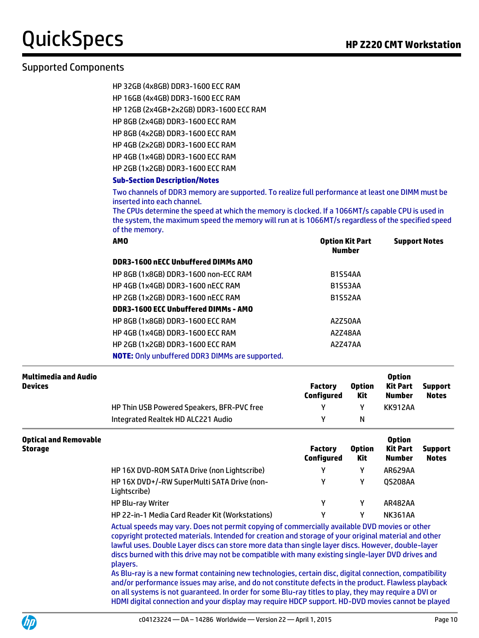# Supported Components

| HP 32GB (4x8GB) DDR3-1600 ECC RAM |  |
|-----------------------------------|--|
| HP 16GB (4x4GB) DDR3-1600 ECC RAM |  |

HP 12GB (2x4GB+2x2GB) DDR3-1600 ECC RAM

HP 8GB (2x4GB) DDR3-1600 ECC RAM

HP 8GB (4x2GB) DDR3-1600 ECC RAM

HP 4GB (2x2GB) DDR3-1600 ECC RAM

HP 4GB (1x4GB) DDR3-1600 ECC RAM

HP 2GB (1x2GB) DDR3-1600 ECC RAM

#### **Sub-Section Description/Notes**

Two channels of DDR3 memory are supported. To realize full performance at least one DIMM must be inserted into each channel.

The CPUs determine the speed at which the memory is clocked. If a 1066MT/s capable CPU is used in the system, the maximum speed the memory will run at is 1066MT/s regardless of the specified speed of the memory.

| <b>AMO</b>                                             | <b>Option Kit Part</b><br><b>Number</b> | <b>Support Notes</b> |
|--------------------------------------------------------|-----------------------------------------|----------------------|
| DDR3-1600 nECC Unbuffered DIMMs AMO                    |                                         |                      |
| HP 8GB (1x8GB) DDR3-1600 non-ECC RAM                   | <b>B1S54AA</b>                          |                      |
| <b>HP 4GB (1x4GB) DDR3-1600 nECC RAM</b>               | <b>B1S53AA</b>                          |                      |
| HP 2GB (1x2GB) DDR3-1600 nECC RAM                      | <b>B1S52AA</b>                          |                      |
| DDR3-1600 ECC Unbuffered DIMMs - AMO                   |                                         |                      |
| HP 8GB (1x8GB) DDR3-1600 ECC RAM                       | A2Z50AA                                 |                      |
| <b>HP 4GB (1x4GB) DDR3-1600 ECC RAM</b>                | A2Z48AA                                 |                      |
| HP 2GB (1x2GB) DDR3-1600 ECC RAM                       | A2Z47AA                                 |                      |
| <b>NOTE:</b> Only unbuffered DDR3 DIMMs are supported. |                                         |                      |

| Multimedia and Audio<br><b>Devices</b> |                                            | Factory<br>Configured | <b>Option</b><br>Kit | <b>Option</b><br>Kit Part<br>Number | <b>Support</b><br><b>Notes</b> |
|----------------------------------------|--------------------------------------------|-----------------------|----------------------|-------------------------------------|--------------------------------|
|                                        | HP Thin USB Powered Speakers, BFR-PVC free |                       |                      | KK912AA                             |                                |
|                                        | Integrated Realtek HD ALC221 Audio         |                       | N                    |                                     |                                |

| <b>Optical and Removable</b><br>Storage |                                                             | <b>Factory</b><br>Configured | <b>Option</b><br>Kit | <b>Option</b><br>Kit Part<br><b>Number</b> | <b>Support</b><br><b>Notes</b> |
|-----------------------------------------|-------------------------------------------------------------|------------------------------|----------------------|--------------------------------------------|--------------------------------|
|                                         | HP 16X DVD-ROM SATA Drive (non Lightscribe)                 | γ                            |                      | AR629AA                                    |                                |
|                                         | HP 16X DVD+/-RW SuperMulti SATA Drive (non-<br>Lightscribe) | γ                            |                      | 0S208AA                                    |                                |
|                                         | <b>HP Blu-ray Writer</b>                                    | γ                            |                      | <b>AR482AA</b>                             |                                |
|                                         | HP 22-in-1 Media Card Reader Kit (Workstations)             | γ                            |                      | <b>NK361AA</b>                             |                                |

Actual speeds may vary. Does not permit copying of commercially available DVD movies or other copyright protected materials. Intended for creation and storage of your original material and other lawful uses. Double Layer discs can store more data than single layer discs. However, double-layer discs burned with this drive may not be compatible with many existing single-layer DVD drives and players.

As Blu-ray is a new format containing new technologies, certain disc, digital connection, compatibility and/or performance issues may arise, and do not constitute defects in the product. Flawless playback on all systems is not guaranteed. In order for some Blu-ray titles to play, they may require a DVI or HDMI digital connection and your display may require HDCP support. HD-DVD movies cannot be played

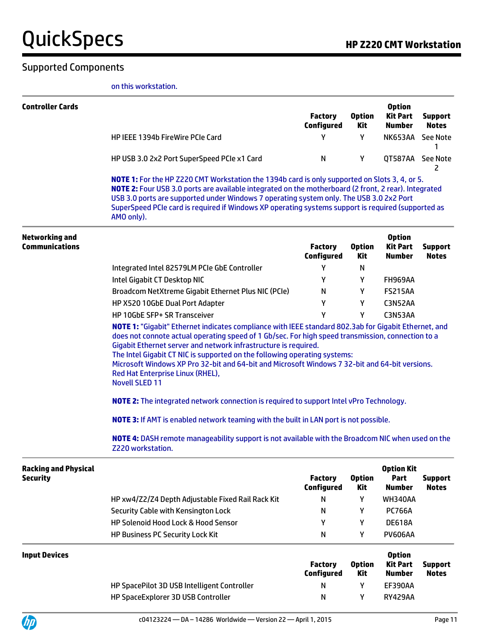### Supported Components

on this workstation.

|                                                | on this workstation.                                                                                                                                                                                                                                                                                                                                                                                                 |                                     |                      |                                                   |                                |  |  |
|------------------------------------------------|----------------------------------------------------------------------------------------------------------------------------------------------------------------------------------------------------------------------------------------------------------------------------------------------------------------------------------------------------------------------------------------------------------------------|-------------------------------------|----------------------|---------------------------------------------------|--------------------------------|--|--|
| <b>Controller Cards</b>                        |                                                                                                                                                                                                                                                                                                                                                                                                                      | <b>Factory</b><br>Configured        | <b>Option</b><br>Kit | <b>Option</b><br><b>Kit Part</b><br><b>Number</b> | <b>Support</b><br><b>Notes</b> |  |  |
|                                                | HP IEEE 1394b FireWire PCIe Card                                                                                                                                                                                                                                                                                                                                                                                     | Υ                                   | Y                    |                                                   | NK653AA See Note<br>1          |  |  |
|                                                | HP USB 3.0 2x2 Port SuperSpeed PCIe x1 Card                                                                                                                                                                                                                                                                                                                                                                          | N                                   | Υ                    |                                                   | QT587AA See Note<br>2          |  |  |
|                                                | NOTE 1: For the HP Z220 CMT Workstation the 1394b card is only supported on Slots 3, 4, or 5.<br>NOTE 2: Four USB 3.0 ports are available integrated on the motherboard (2 front, 2 rear). Integrated<br>USB 3.0 ports are supported under Windows 7 operating system only. The USB 3.0 2x2 Port<br>SuperSpeed PCIe card is required if Windows XP operating systems support is required (supported as<br>AMO only). |                                     |                      |                                                   |                                |  |  |
| Networking and<br><b>Communications</b>        |                                                                                                                                                                                                                                                                                                                                                                                                                      | <b>Factory</b><br><b>Configured</b> | <b>Option</b><br>Kit | <b>Option</b><br><b>Kit Part</b><br><b>Number</b> | <b>Support</b><br><b>Notes</b> |  |  |
|                                                | Integrated Intel 82579LM PCIe GbE Controller                                                                                                                                                                                                                                                                                                                                                                         | Y                                   | N                    |                                                   |                                |  |  |
|                                                | Intel Gigabit CT Desktop NIC                                                                                                                                                                                                                                                                                                                                                                                         | Y                                   | Y                    | <b>FH969AA</b>                                    |                                |  |  |
|                                                | Broadcom NetXtreme Gigabit Ethernet Plus NIC (PCIe)                                                                                                                                                                                                                                                                                                                                                                  | N                                   | Υ                    | <b>FS215AA</b>                                    |                                |  |  |
|                                                | HP X520 10GbE Dual Port Adapter                                                                                                                                                                                                                                                                                                                                                                                      | Y                                   | Y                    | C3N52AA                                           |                                |  |  |
|                                                | HP 10GbE SFP+ SR Transceiver                                                                                                                                                                                                                                                                                                                                                                                         | Υ                                   | Υ                    | C3N53AA                                           |                                |  |  |
|                                                | does not connote actual operating speed of 1 Gb/sec. For high speed transmission, connection to a<br>Gigabit Ethernet server and network infrastructure is required.<br>The Intel Gigabit CT NIC is supported on the following operating systems:<br>Microsoft Windows XP Pro 32-bit and 64-bit and Microsoft Windows 7 32-bit and 64-bit versions.<br>Red Hat Enterprise Linux (RHEL),<br><b>Novell SLED 11</b>     |                                     |                      |                                                   |                                |  |  |
|                                                | <b>NOTE 2:</b> The integrated network connection is required to support Intel vPro Technology.                                                                                                                                                                                                                                                                                                                       |                                     |                      |                                                   |                                |  |  |
|                                                | <b>NOTE 3:</b> If AMT is enabled network teaming with the built in LAN port is not possible.                                                                                                                                                                                                                                                                                                                         |                                     |                      |                                                   |                                |  |  |
|                                                | NOTE 4: DASH remote manageability support is not available with the Broadcom NIC when used on the<br>Z220 workstation.                                                                                                                                                                                                                                                                                               |                                     |                      |                                                   |                                |  |  |
| <b>Racking and Physical</b><br><b>Security</b> |                                                                                                                                                                                                                                                                                                                                                                                                                      | <b>Factory</b><br><b>Configured</b> | <b>Option</b><br>Kit | <b>Option Kit</b><br>Part<br><b>Number</b>        | <b>Support</b><br><b>Notes</b> |  |  |
|                                                | HP xw4/Z2/Z4 Depth Adjustable Fixed Rail Rack Kit                                                                                                                                                                                                                                                                                                                                                                    | N                                   | Υ                    | <b>WH340AA</b>                                    |                                |  |  |
|                                                | Security Cable with Kensington Lock                                                                                                                                                                                                                                                                                                                                                                                  | N                                   | Y                    | <b>PC766A</b>                                     |                                |  |  |
|                                                | HP Solenoid Hood Lock & Hood Sensor                                                                                                                                                                                                                                                                                                                                                                                  | Y                                   | Y                    | <b>DE618A</b>                                     |                                |  |  |
|                                                | <b>HP Business PC Security Lock Kit</b>                                                                                                                                                                                                                                                                                                                                                                              | N                                   | Y                    | <b>PV606AA</b>                                    |                                |  |  |
| <b>Input Devices</b>                           |                                                                                                                                                                                                                                                                                                                                                                                                                      |                                     |                      | <b>Option</b>                                     |                                |  |  |

| <b>Devices</b> |                                             | Factory<br><b>Configured</b> | <b>Option</b><br>Kit | <b>Option</b><br><b>Kit Part</b><br><b>Number</b> | <b>Support</b><br><b>Notes</b> |
|----------------|---------------------------------------------|------------------------------|----------------------|---------------------------------------------------|--------------------------------|
|                | HP SpacePilot 3D USB Intelligent Controller | N                            |                      | <b>EF390AA</b>                                    |                                |
|                | HP SpaceExplorer 3D USB Controller          | N                            |                      | <b>RY429AA</b>                                    |                                |

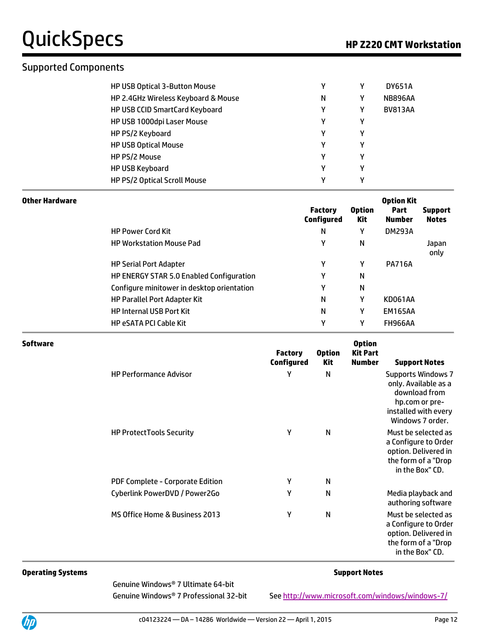### Supported Components

| HP USB Optical 3-Button Mouse       | γ |   | <b>DY651A</b>  |  |
|-------------------------------------|---|---|----------------|--|
| HP 2.4GHz Wireless Keyboard & Mouse | N | Υ | <b>NB896AA</b> |  |
| HP USB CCID SmartCard Keyboard      | γ | γ | <b>BV813AA</b> |  |
| HP USB 1000dpi Laser Mouse          | γ | v |                |  |
| HP PS/2 Keyboard                    | γ | γ |                |  |
| <b>HP USB Optical Mouse</b>         | ٧ | v |                |  |
| HP PS/2 Mouse                       | ν | ν |                |  |
| <b>HP USB Keyboard</b>              | γ | ν |                |  |
| HP PS/2 Optical Scroll Mouse        | ν | ν |                |  |

| <b>Other Hardware</b> |                                            | <b>Factory</b><br><b>Configured</b> | <b>Option</b><br><b>Kit</b> | <b>Option Kit</b><br>Part<br>Number | <b>Support</b><br><b>Notes</b> |
|-----------------------|--------------------------------------------|-------------------------------------|-----------------------------|-------------------------------------|--------------------------------|
|                       | <b>HP Power Cord Kit</b>                   | Ν                                   | γ                           | <b>DM293A</b>                       |                                |
|                       | <b>HP Workstation Mouse Pad</b>            | Υ                                   | N                           |                                     | Japan<br>only                  |
|                       | <b>HP Serial Port Adapter</b>              | Υ                                   | γ                           | <b>PA716A</b>                       |                                |
|                       | HP ENERGY STAR 5.0 Enabled Configuration   | Υ                                   | N                           |                                     |                                |
|                       | Configure minitower in desktop orientation | Υ                                   | N                           |                                     |                                |
|                       | HP Parallel Port Adapter Kit               | Ν                                   | γ                           | KD061AA                             |                                |
|                       | <b>HP Internal USB Port Kit</b>            | Ν                                   | γ                           | <b>EM165AA</b>                      |                                |
|                       | <b>HP eSATA PCI Cable Kit</b>              | γ                                   | v                           | <b>FH966AA</b>                      |                                |

| <b>Software</b> |                                  | <b>Factory</b><br>Configured | <b>Option</b><br>Kit | <b>Option</b><br><b>Kit Part</b><br><b>Number</b> | <b>Support Notes</b>                                                                                                             |
|-----------------|----------------------------------|------------------------------|----------------------|---------------------------------------------------|----------------------------------------------------------------------------------------------------------------------------------|
|                 | <b>HP Performance Advisor</b>    | γ                            | N                    |                                                   | <b>Supports Windows 7</b><br>only. Available as a<br>download from<br>hp.com or pre-<br>installed with every<br>Windows 7 order. |
|                 | <b>HP ProtectTools Security</b>  | Υ                            | N                    |                                                   | Must be selected as<br>a Configure to Order<br>option. Delivered in<br>the form of a "Drop<br>in the Box" CD.                    |
|                 | PDF Complete - Corporate Edition | Υ                            | N                    |                                                   |                                                                                                                                  |
|                 | Cyberlink PowerDVD / Power2Go    | Υ                            | N                    |                                                   | Media playback and<br>authoring software                                                                                         |
|                 | MS Office Home & Business 2013   | Υ                            | N                    |                                                   | Must be selected as<br>a Configure to Order<br>option. Delivered in<br>the form of a "Drop<br>in the Box" CD.                    |

#### **Operating Systems Support Notes**

Genuine Windows® 7 Ultimate 64-bit Genuine Windows® 7 Professional 32-bit Se[e http://www.microsoft.com/windows/windows-7/](http://www.microsoft.com/windows/windows-7/)

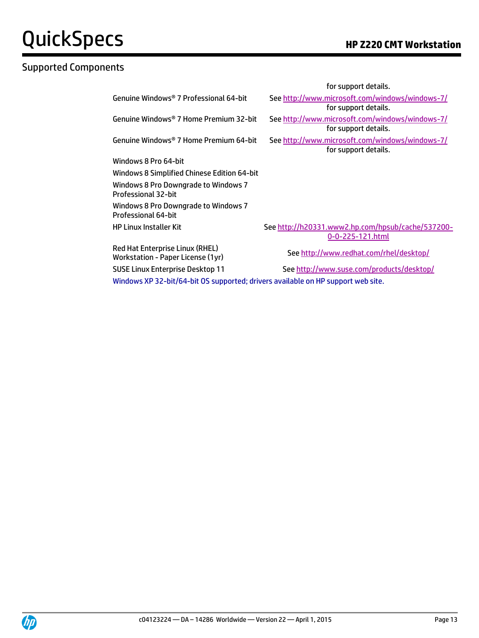# Supported Components

|                                                                                  | for support details.                                                    |
|----------------------------------------------------------------------------------|-------------------------------------------------------------------------|
| Genuine Windows® 7 Professional 64-bit                                           | See http://www.microsoft.com/windows/windows-7/<br>for support details. |
| Genuine Windows® 7 Home Premium 32-bit                                           | See http://www.microsoft.com/windows/windows-7/<br>for support details. |
| Genuine Windows® 7 Home Premium 64-bit                                           | See http://www.microsoft.com/windows/windows-7/<br>for support details. |
| Windows 8 Pro 64-bit                                                             |                                                                         |
| Windows 8 Simplified Chinese Edition 64-bit                                      |                                                                         |
| Windows 8 Pro Downgrade to Windows 7<br>Professional 32-bit                      |                                                                         |
| Windows 8 Pro Downgrade to Windows 7<br>Professional 64-bit                      |                                                                         |
| <b>HP Linux Installer Kit</b>                                                    | See http://h20331.www2.hp.com/hpsub/cache/537200-<br>0-0-225-121.html   |
| Red Hat Enterprise Linux (RHEL)<br>Workstation - Paper License (1yr)             | See http://www.redhat.com/rhel/desktop/                                 |
| <b>SUSE Linux Enterprise Desktop 11</b>                                          | See http://www.suse.com/products/desktop/                               |
| Windows XP 32-bit/64-bit OS supported; drivers available on HP support web site. |                                                                         |

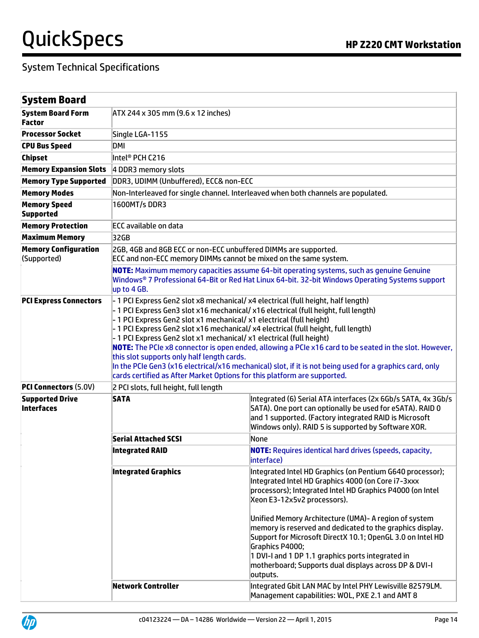| <b>System Board</b>                         |                                                                                                                                                                                                                                                                                                                                                                                                                                                                                                                                                                                                                                                                                                                                                                |                                                                                                                                                                                                                                                                                                                                                                                                                                                                                                                                              |  |  |
|---------------------------------------------|----------------------------------------------------------------------------------------------------------------------------------------------------------------------------------------------------------------------------------------------------------------------------------------------------------------------------------------------------------------------------------------------------------------------------------------------------------------------------------------------------------------------------------------------------------------------------------------------------------------------------------------------------------------------------------------------------------------------------------------------------------------|----------------------------------------------------------------------------------------------------------------------------------------------------------------------------------------------------------------------------------------------------------------------------------------------------------------------------------------------------------------------------------------------------------------------------------------------------------------------------------------------------------------------------------------------|--|--|
| <b>System Board Form</b><br>Factor          | ATX 244 x 305 mm (9.6 x 12 inches)                                                                                                                                                                                                                                                                                                                                                                                                                                                                                                                                                                                                                                                                                                                             |                                                                                                                                                                                                                                                                                                                                                                                                                                                                                                                                              |  |  |
| <b>Processor Socket</b>                     | Single LGA-1155                                                                                                                                                                                                                                                                                                                                                                                                                                                                                                                                                                                                                                                                                                                                                |                                                                                                                                                                                                                                                                                                                                                                                                                                                                                                                                              |  |  |
| <b>CPU Bus Speed</b>                        | DMI                                                                                                                                                                                                                                                                                                                                                                                                                                                                                                                                                                                                                                                                                                                                                            |                                                                                                                                                                                                                                                                                                                                                                                                                                                                                                                                              |  |  |
| <b>Chipset</b>                              | Intel® PCH C216                                                                                                                                                                                                                                                                                                                                                                                                                                                                                                                                                                                                                                                                                                                                                |                                                                                                                                                                                                                                                                                                                                                                                                                                                                                                                                              |  |  |
| <b>Memory Expansion Slots</b>               | 4 DDR3 memory slots                                                                                                                                                                                                                                                                                                                                                                                                                                                                                                                                                                                                                                                                                                                                            |                                                                                                                                                                                                                                                                                                                                                                                                                                                                                                                                              |  |  |
| <b>Memory Type Supported</b>                | DDR3, UDIMM (Unbuffered), ECC& non-ECC                                                                                                                                                                                                                                                                                                                                                                                                                                                                                                                                                                                                                                                                                                                         |                                                                                                                                                                                                                                                                                                                                                                                                                                                                                                                                              |  |  |
| <b>Memory Modes</b>                         |                                                                                                                                                                                                                                                                                                                                                                                                                                                                                                                                                                                                                                                                                                                                                                | Non-Interleaved for single channel. Interleaved when both channels are populated.                                                                                                                                                                                                                                                                                                                                                                                                                                                            |  |  |
| <b>Memory Speed</b><br><b>Supported</b>     | 1600MT/s DDR3                                                                                                                                                                                                                                                                                                                                                                                                                                                                                                                                                                                                                                                                                                                                                  |                                                                                                                                                                                                                                                                                                                                                                                                                                                                                                                                              |  |  |
| <b>Memory Protection</b>                    | <b>ECC available on data</b>                                                                                                                                                                                                                                                                                                                                                                                                                                                                                                                                                                                                                                                                                                                                   |                                                                                                                                                                                                                                                                                                                                                                                                                                                                                                                                              |  |  |
| <b>Maximum Memory</b>                       | 32GB                                                                                                                                                                                                                                                                                                                                                                                                                                                                                                                                                                                                                                                                                                                                                           |                                                                                                                                                                                                                                                                                                                                                                                                                                                                                                                                              |  |  |
| <b>Memory Configuration</b><br>(Supported)  | 2GB, 4GB and 8GB ECC or non-ECC unbuffered DIMMs are supported.<br>ECC and non-ECC memory DIMMs cannot be mixed on the same system.<br>NOTE: Maximum memory capacities assume 64-bit operating systems, such as genuine Genuine                                                                                                                                                                                                                                                                                                                                                                                                                                                                                                                                |                                                                                                                                                                                                                                                                                                                                                                                                                                                                                                                                              |  |  |
|                                             | up to 4 GB.                                                                                                                                                                                                                                                                                                                                                                                                                                                                                                                                                                                                                                                                                                                                                    | Windows <sup>®</sup> 7 Professional 64-Bit or Red Hat Linux 64-bit. 32-bit Windows Operating Systems support                                                                                                                                                                                                                                                                                                                                                                                                                                 |  |  |
| <b>PCI Express Connectors</b>               | - 1 PCI Express Gen2 slot x8 mechanical/ x4 electrical (full height, half length)<br>- 1 PCI Express Gen3 slot x16 mechanical/ x16 electrical (full height, full length)<br>- 1 PCI Express Gen2 slot x1 mechanical/ x1 electrical (full height)<br>- 1 PCI Express Gen2 slot x16 mechanical/ x4 electrical (full height, full length)<br>- 1 PCI Express Gen2 slot x1 mechanical/ x1 electrical (full height)<br>NOTE: The PCIe x8 connector is open ended, allowing a PCIe x16 card to be seated in the slot. However,<br>this slot supports only half length cards.<br>In the PCIe Gen3 (x16 electrical/x16 mechanical) slot, if it is not being used for a graphics card, only<br>cards certified as After Market Options for this platform are supported. |                                                                                                                                                                                                                                                                                                                                                                                                                                                                                                                                              |  |  |
| <b>PCI Connectors (5.0V)</b>                | 2 PCI slots, full height, full length                                                                                                                                                                                                                                                                                                                                                                                                                                                                                                                                                                                                                                                                                                                          |                                                                                                                                                                                                                                                                                                                                                                                                                                                                                                                                              |  |  |
| <b>Supported Drive</b><br><b>Interfaces</b> | <b>SATA</b>                                                                                                                                                                                                                                                                                                                                                                                                                                                                                                                                                                                                                                                                                                                                                    | Integrated (6) Serial ATA interfaces (2x 6Gb/s SATA, 4x 3Gb/s<br>SATA). One port can optionally be used for eSATA). RAID 0<br>and 1 supported. (Factory integrated RAID is Microsoft<br>Windows only). RAID 5 is supported by Software XOR.                                                                                                                                                                                                                                                                                                  |  |  |
|                                             | <b>Serial Attached SCSI</b>                                                                                                                                                                                                                                                                                                                                                                                                                                                                                                                                                                                                                                                                                                                                    | None                                                                                                                                                                                                                                                                                                                                                                                                                                                                                                                                         |  |  |
|                                             | Integrated RAID                                                                                                                                                                                                                                                                                                                                                                                                                                                                                                                                                                                                                                                                                                                                                | <b>NOTE:</b> Requires identical hard drives (speeds, capacity,<br>interface)                                                                                                                                                                                                                                                                                                                                                                                                                                                                 |  |  |
|                                             | <b>Integrated Graphics</b>                                                                                                                                                                                                                                                                                                                                                                                                                                                                                                                                                                                                                                                                                                                                     | Integrated Intel HD Graphics (on Pentium G640 processor);<br>Integrated Intel HD Graphics 4000 (on Core i7-3xxx<br>processors); Integrated Intel HD Graphics P4000 (on Intel<br>Xeon E3-12x5v2 processors).<br>Unified Memory Architecture (UMA)- A region of system<br>memory is reserved and dedicated to the graphics display.<br>Support for Microsoft DirectX 10.1; OpenGL 3.0 on Intel HD<br>Graphics P4000;<br>1 DVI-I and 1 DP 1.1 graphics ports integrated in<br>motherboard; Supports dual displays across DP & DVI-I<br>outputs. |  |  |
|                                             | Network Controller                                                                                                                                                                                                                                                                                                                                                                                                                                                                                                                                                                                                                                                                                                                                             | Integrated Gbit LAN MAC by Intel PHY Lewisville 82579LM.<br>Management capabilities: WOL, PXE 2.1 and AMT 8                                                                                                                                                                                                                                                                                                                                                                                                                                  |  |  |

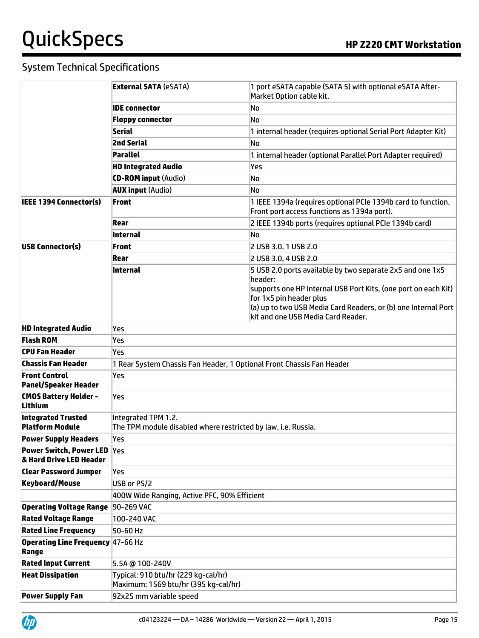|                                                               | <b>External SATA (eSATA)</b>                                                         | 1 port eSATA capable (SATA 5) with optional eSATA After-<br>Market Option cable kit.                                                                                                                                                                                      |  |  |
|---------------------------------------------------------------|--------------------------------------------------------------------------------------|---------------------------------------------------------------------------------------------------------------------------------------------------------------------------------------------------------------------------------------------------------------------------|--|--|
|                                                               | <b>IDE</b> connector                                                                 | No                                                                                                                                                                                                                                                                        |  |  |
|                                                               | <b>Floppy connector</b>                                                              | No                                                                                                                                                                                                                                                                        |  |  |
|                                                               | <b>Serial</b>                                                                        | 1 internal header (requires optional Serial Port Adapter Kit)                                                                                                                                                                                                             |  |  |
|                                                               | <b>2nd Serial</b>                                                                    | No                                                                                                                                                                                                                                                                        |  |  |
|                                                               | Parallel                                                                             | 1 internal header (optional Parallel Port Adapter required)                                                                                                                                                                                                               |  |  |
|                                                               | <b>HD Integrated Audio</b>                                                           | Yes                                                                                                                                                                                                                                                                       |  |  |
|                                                               | <b>CD-ROM input (Audio)</b>                                                          | No                                                                                                                                                                                                                                                                        |  |  |
|                                                               | <b>AUX input (Audio)</b>                                                             | No                                                                                                                                                                                                                                                                        |  |  |
| <b>IEEE 1394 Connector(s)</b>                                 | Front                                                                                | 1 IEEE 1394a (requires optional PCIe 1394b card to function.<br>Front port access functions as 1394a port).                                                                                                                                                               |  |  |
|                                                               | Rear                                                                                 | 2 IEEE 1394b ports (requires optional PCIe 1394b card)                                                                                                                                                                                                                    |  |  |
|                                                               | Internal                                                                             | No                                                                                                                                                                                                                                                                        |  |  |
| <b>USB Connector(s)</b>                                       | Front                                                                                | 2 USB 3.0, 1 USB 2.0                                                                                                                                                                                                                                                      |  |  |
|                                                               | Rear                                                                                 | 2 USB 3.0, 4 USB 2.0                                                                                                                                                                                                                                                      |  |  |
|                                                               | Internal                                                                             | 5 USB 2.0 ports available by two separate 2x5 and one 1x5<br>header:<br>supports one HP Internal USB Port Kits, (one port on each Kit)<br>for 1x5 pin header plus<br>(a) up to two USB Media Card Readers, or (b) one Internal Port<br>kit and one USB Media Card Reader. |  |  |
| <b>HD Integrated Audio</b>                                    | Yes                                                                                  |                                                                                                                                                                                                                                                                           |  |  |
| <b>Flash ROM</b>                                              | Yes                                                                                  |                                                                                                                                                                                                                                                                           |  |  |
| <b>CPU Fan Header</b>                                         | Yes                                                                                  |                                                                                                                                                                                                                                                                           |  |  |
| Chassis Fan Header                                            | 1 Rear System Chassis Fan Header, 1 Optional Front Chassis Fan Header                |                                                                                                                                                                                                                                                                           |  |  |
| <b>Front Control</b><br><b>Panel/Speaker Header</b>           | Yes                                                                                  |                                                                                                                                                                                                                                                                           |  |  |
| <b>CMOS Battery Holder -</b><br>Lithium                       | Yes                                                                                  |                                                                                                                                                                                                                                                                           |  |  |
| <b>Integrated Trusted</b><br><b>Platform Module</b>           | Integrated TPM 1.2.<br>The TPM module disabled where restricted by law, i.e. Russia. |                                                                                                                                                                                                                                                                           |  |  |
| <b>Power Supply Headers</b>                                   | Yes                                                                                  |                                                                                                                                                                                                                                                                           |  |  |
| <b>Power Switch, Power LED Yes</b><br>& Hard Drive LED Header |                                                                                      |                                                                                                                                                                                                                                                                           |  |  |
| <b>Clear Password Jumper</b>                                  | Yes                                                                                  |                                                                                                                                                                                                                                                                           |  |  |
| <b>Keyboard/Mouse</b>                                         | USB or PS/2                                                                          |                                                                                                                                                                                                                                                                           |  |  |
|                                                               | 400W Wide Ranging, Active PFC, 90% Efficient                                         |                                                                                                                                                                                                                                                                           |  |  |
| Operating Voltage Range 90-269 VAC                            |                                                                                      |                                                                                                                                                                                                                                                                           |  |  |
| <b>Rated Voltage Range</b>                                    | 100-240 VAC                                                                          |                                                                                                                                                                                                                                                                           |  |  |
| <b>Rated Line Frequency</b>                                   | 50-60 Hz                                                                             |                                                                                                                                                                                                                                                                           |  |  |
| Operating Line Frequency 47-66 Hz<br>Range                    |                                                                                      |                                                                                                                                                                                                                                                                           |  |  |
| <b>Rated Input Current</b>                                    | 5.5A @ 100-240V                                                                      |                                                                                                                                                                                                                                                                           |  |  |
| <b>Heat Dissipation</b>                                       | Typical: 910 btu/hr (229 kg-cal/hr)<br>Maximum: 1569 btu/hr (395 kg-cal/hr)          |                                                                                                                                                                                                                                                                           |  |  |
| <b>Power Supply Fan</b>                                       | 92x25 mm variable speed                                                              |                                                                                                                                                                                                                                                                           |  |  |

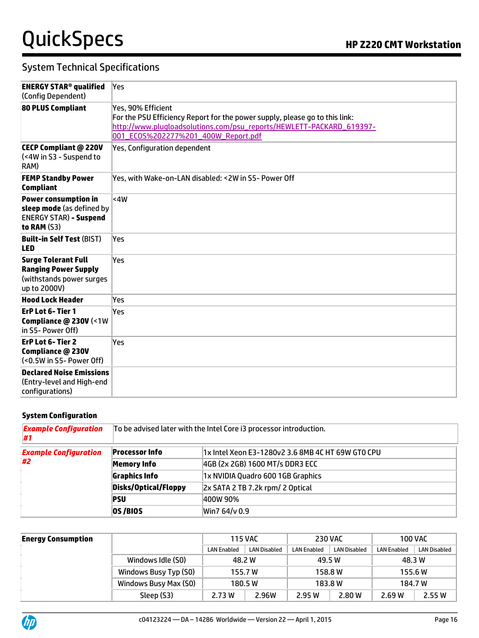## System Technical Specifications

| <b>ENERGY STAR<sup>®</sup> qualified</b><br>(Config Dependent)                                           | Yes                                                                                                                                                                                                              |
|----------------------------------------------------------------------------------------------------------|------------------------------------------------------------------------------------------------------------------------------------------------------------------------------------------------------------------|
| <b>80 PLUS Compliant</b>                                                                                 | Yes, 90% Efficient<br>For the PSU Efficiency Report for the power supply, please go to this link:<br>http://www.plugloadsolutions.com/psu_reports/HEWLETT-PACKARD_619397-<br>001_ECOS%202277%201_400W_Report.pdf |
| <b>CECP Compliant @ 220V</b><br>(<4W in S3 - Suspend to<br>RAM)                                          | <b>Yes, Configuration dependent</b>                                                                                                                                                                              |
| <b>FEMP Standby Power</b><br><b>Compliant</b>                                                            | Yes, with Wake-on-LAN disabled: <2W in S5- Power Off                                                                                                                                                             |
| <b>Power consumption in</b><br>sleep mode (as defined by<br><b>ENERGY STAR) - Suspend</b><br>to RAM (S3) | <4W                                                                                                                                                                                                              |
| <b>Built-in Self Test (BIST)</b><br><b>LED</b>                                                           | Yes                                                                                                                                                                                                              |
| <b>Surge Tolerant Full</b><br><b>Ranging Power Supply</b><br>(withstands power surges<br>up to 2000V)    | Yes                                                                                                                                                                                                              |
| <b>Hood Lock Header</b>                                                                                  | Yes.                                                                                                                                                                                                             |
| ErP Lot 6-Tier 1<br>Compliance @ 230V (<1W<br>in S5- Power Off)                                          | Yes                                                                                                                                                                                                              |
| <b>ErP Lot 6-Tier 2</b><br><b>Compliance @ 230V</b><br>(<0.5W in S5- Power Off)                          | Yes                                                                                                                                                                                                              |
| <b>Declared Noise Emissions</b><br>(Entry-level and High-end<br>configurations)                          |                                                                                                                                                                                                                  |

#### **System Configuration**

| <b>Example Configuration</b><br>#1 | To be advised later with the Intel Core i3 processor introduction. |                                                   |  |  |
|------------------------------------|--------------------------------------------------------------------|---------------------------------------------------|--|--|
| <b>Example Configuration</b><br>#2 | <b>Processor Info</b>                                              | 1x Intel Xeon E3-1280v2 3.6 8MB 4C HT 69W GTO CPU |  |  |
|                                    | <b>Memory Info</b>                                                 | 4GB (2x 2GB) 1600 MT/s DDR3 ECC                   |  |  |
|                                    | <b>Graphics Info</b>                                               | 1x NVIDIA Quadro 600 1GB Graphics                 |  |  |
|                                    | Disks/Optical/Floppy                                               | 2x SATA 2 TB 7.2k rpm/ 2 Optical                  |  |  |
|                                    | PSU                                                                | 400W 90%                                          |  |  |
|                                    | OS/BIOS                                                            | Win7 64/v 0.9                                     |  |  |

| <b>Energy Consumption</b> |                       | <b>115 VAC</b>     |                     | <b>230 VAC</b>     |                     | <b>100 VAC</b>     |                     |
|---------------------------|-----------------------|--------------------|---------------------|--------------------|---------------------|--------------------|---------------------|
|                           |                       | <b>LAN Enabled</b> | <b>LAN Disabled</b> | <b>LAN Enabled</b> | <b>LAN Disabled</b> | <b>LAN Enabled</b> | <b>LAN Disabled</b> |
|                           | Windows Idle (S0)     | 48.2 W             |                     | 49.5 W             |                     | 48.3 W             |                     |
|                           | Windows Busy Typ (S0) |                    | 155.7W              |                    | 158.8 W             | 155.6W             |                     |
|                           | Windows Busy Max (S0) |                    | 180.5W              |                    | 183.8W              |                    | 184.7 W             |
|                           | Sleep (S3)            | 2.73 W             | 2.96W               | 2.95W              | 2.80 W              | 2.69W              | 2.55 W              |

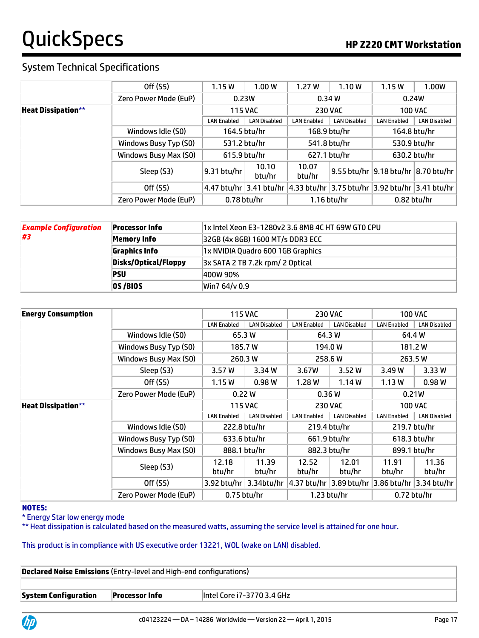## System Technical Specifications

|                           | Off (S5)              | 1.15W              | 1.00W               | 1.27W              | 1.10W               | 1.15W                             | 1.00W                                                                             |
|---------------------------|-----------------------|--------------------|---------------------|--------------------|---------------------|-----------------------------------|-----------------------------------------------------------------------------------|
|                           | Zero Power Mode (EuP) | 0.23W              |                     |                    | 0.34W               | 0.24W                             |                                                                                   |
| <b>Heat Dissipation**</b> |                       |                    | <b>115 VAC</b>      |                    | <b>230 VAC</b>      |                                   | <b>100 VAC</b>                                                                    |
|                           |                       | <b>LAN Enabled</b> | <b>LAN Disabled</b> | <b>LAN Enabled</b> | <b>LAN Disabled</b> | <b>LAN Enabled</b>                | <b>LAN Disabled</b>                                                               |
|                           | Windows Idle (S0)     | 164.5 btu/hr       |                     | 168.9 btu/hr       |                     | 164.8 btu/hr                      |                                                                                   |
|                           | Windows Busy Typ (S0) | 531.2 btu/hr       |                     | 541.8 btu/hr       |                     | 530.9 btu/hr                      |                                                                                   |
|                           | Windows Busy Max (S0) | 615.9 btu/hr       |                     | 627.1 btu/hr       |                     | 630.2 btu/hr                      |                                                                                   |
|                           | Sleep (S3)            | 9.31 btu/hr        | 10.10<br>btu/hr     | 10.07<br>btu/hr    | 9.55 btu/hr         | $ 9.18$ btu/hr $ 8.70$ btu/hr $ $ |                                                                                   |
|                           | Off (S5)              |                    |                     |                    |                     |                                   | 4.47 btu/hr   3.41 btu/hr   4.33 btu/hr   3.75 btu/hr   3.92 btu/hr   3.41 btu/hr |
|                           | Zero Power Mode (EuP) | $0.78$ btu/hr      |                     |                    | 1.16 btu/hr         | $0.82$ btu/hr                     |                                                                                   |

| <b>Example Configuration</b><br>#3 | <b>Processor Info</b> | 1x Intel Xeon E3-1280v2 3.6 8MB 4C HT 69W GTO CPU |
|------------------------------------|-----------------------|---------------------------------------------------|
|                                    | Memory Info           | 32GB (4x 8GB) 1600 MT/s DDR3 ECC                  |
|                                    | <b>Graphics Info</b>  | 1x NVIDIA Quadro 600 1GB Graphics                 |
|                                    | Disks/Optical/Floppy  | 3x SATA 2 TB 7.2k rpm/ 2 Optical                  |
|                                    | <b>PSU</b>            | 400W 90%                                          |
|                                    | <b>0S/BIOS</b>        | Win7 64/v 0.9                                     |

| <b>Energy Consumption</b> |                       |                              | <b>115 VAC</b>      |                         | <b>230 VAC</b>      |                    | <b>100 VAC</b>      |
|---------------------------|-----------------------|------------------------------|---------------------|-------------------------|---------------------|--------------------|---------------------|
|                           |                       | <b>LAN Enabled</b>           | <b>LAN Disabled</b> | <b>LAN Enabled</b>      | <b>LAN Disabled</b> | <b>LAN Enabled</b> | <b>LAN Disabled</b> |
|                           | Windows Idle (S0)     | 65.3 W                       |                     | 64.3 W                  |                     | 64.4 W             |                     |
|                           | Windows Busy Typ (S0) |                              | 185.7W              | 194.0W                  |                     | 181.2W             |                     |
|                           | Windows Busy Max (S0) |                              | 260.3 W             |                         | 258.6 W             | 263.5W             |                     |
|                           | Sleep (S3)            | 3.57 W                       | 3.34 W              | 3.67W                   | 3.52W               | 3.49 W             | 3.33W               |
|                           | Off (S5)              | 1.15W                        | 0.98W               | 1.28W                   | 1.14W               | 1.13W              | 0.98W               |
|                           | Zero Power Mode (EuP) | 0.22W                        |                     | 0.36W                   |                     | 0.21W              |                     |
| <b>Heat Dissipation**</b> |                       | <b>115 VAC</b>               |                     | <b>230 VAC</b>          |                     | <b>100 VAC</b>     |                     |
|                           |                       | <b>LAN Enabled</b>           | <b>LAN Disabled</b> | <b>LAN Enabled</b>      | <b>LAN Disabled</b> | <b>LAN Enabled</b> | <b>LAN Disabled</b> |
|                           | Windows Idle (S0)     | 222.8 btu/hr                 |                     | 219.4 btu/hr            |                     |                    | 219.7 btu/hr        |
|                           | Windows Busy Typ (S0) | 633.6 btu/hr                 |                     | 661.9 btu/hr            |                     | 618.3 btu/hr       |                     |
|                           | Windows Busy Max (S0) | 888.1 btu/hr<br>882.3 btu/hr |                     |                         | 899.1 btu/hr        |                    |                     |
|                           | Sleep (S3)            | 12.18<br>btu/hr              | 11.39<br>btu/hr     | 12.52<br>btu/hr         | 12.01<br>btu/hr     | 11.91<br>btu/hr    | 11.36<br>btu/hr     |
|                           | Off (S5)              | 3.92 btu/hr                  | 3.34btu/hr          | 4.37 btu/hr 3.89 btu/hr |                     | 3.86 btu/hr        | 3.34 btu/hr         |
|                           | Zero Power Mode (EuP) | $0.75$ btu/hr                |                     |                         | 1.23 btu/hr         | $0.72$ btu/hr      |                     |

#### **NOTES:**

\* Energy Star low energy mode

\*\* Heat dissipation is calculated based on the measured watts, assuming the service level is attained for one hour.

#### This product is in compliance with US executive order 13221, WOL (wake on LAN) disabled.

| <b>Declared Noise Emissions</b> (Entry-level and High-end configurations) |                       |                             |  |  |
|---------------------------------------------------------------------------|-----------------------|-----------------------------|--|--|
|                                                                           |                       |                             |  |  |
| <b>System Configuration</b>                                               | <b>Processor Info</b> | lintel Core i7-3770 3.4 GHz |  |  |

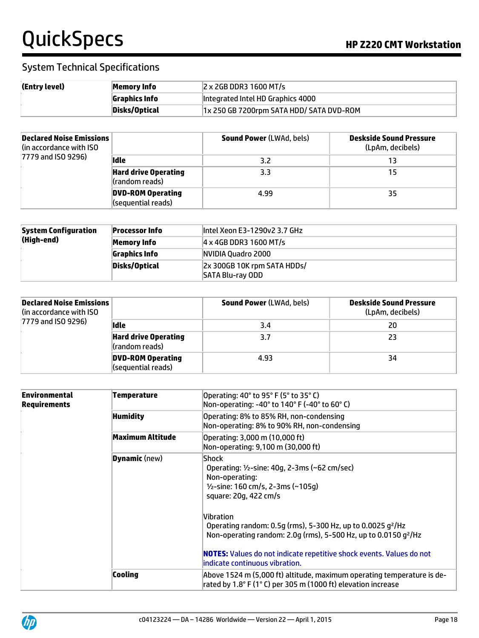| (Entry level) | Memory Info   | $ 2 \times 2$ GB DDR3 1600 MT/s          |
|---------------|---------------|------------------------------------------|
|               | Graphics Info | Integrated Intel HD Graphics 4000        |
|               | Disks/Optical | 1x 250 GB 7200rpm SATA HDD/ SATA DVD-ROM |

| <b>Declared Noise Emissions</b><br>(in accordance with ISO<br>$ 7779$ and ISO 9296) |                                                | <b>Sound Power (LWAd, bels)</b> | <b>Deskside Sound Pressure</b><br>(LpAm, decibels) |
|-------------------------------------------------------------------------------------|------------------------------------------------|---------------------------------|----------------------------------------------------|
|                                                                                     | lidle                                          | 3.2                             | 13                                                 |
|                                                                                     | <b>Hard drive Operating</b><br>(random reads)  | 3.3                             | 15                                                 |
|                                                                                     | <b>DVD-ROM Operating</b><br>(sequential reads) | 4.99                            | 35                                                 |

| <b>System Configuration</b><br>(High-end) | <b>Processor Info</b> | lintel Xeon E3-1290v2 3.7 GHz                   |
|-------------------------------------------|-----------------------|-------------------------------------------------|
|                                           | Memory Info           | $ 4 \times 4$ GB DDR3 1600 MT/s                 |
|                                           | Graphics Info         | NVIDIA Ouadro 2000                              |
|                                           | Disks/Optical         | 2x 300GB 10K rpm SATA HDDs/<br>SATA Blu-ray ODD |

| <b>Declared Noise Emissions</b><br>(in accordance with ISO)<br>7779 and ISO 9296) |                                                | <b>Sound Power (LWAd, bels)</b> | <b>Deskside Sound Pressure</b><br>(LpAm, decibels) |
|-----------------------------------------------------------------------------------|------------------------------------------------|---------------------------------|----------------------------------------------------|
|                                                                                   | lidle                                          | 3.4                             | 20                                                 |
|                                                                                   | <b>Hard drive Operating</b><br>(random reads)  | 3.7                             | 23                                                 |
|                                                                                   | <b>DVD-ROM Operating</b><br>(sequential reads) | 4.93                            | 34                                                 |

| Environmental<br>Requirements | Temperature          | Operating: 40° to 95° F (5° to 35° C)<br>Non-operating: -40° to 140° F (-40° to 60° C)                                                                                                                                                                                                                                                                                                                                   |
|-------------------------------|----------------------|--------------------------------------------------------------------------------------------------------------------------------------------------------------------------------------------------------------------------------------------------------------------------------------------------------------------------------------------------------------------------------------------------------------------------|
|                               | <b>Humidity</b>      | Operating: 8% to 85% RH, non-condensing<br>Non-operating: 8% to 90% RH, non-condensing                                                                                                                                                                                                                                                                                                                                   |
|                               | Maximum Altitude     | Operating: 3,000 m (10,000 ft)<br>Non-operating: 9,100 m (30,000 ft)                                                                                                                                                                                                                                                                                                                                                     |
|                               | <b>Dynamic</b> (new) | Shock<br>Operating: $1/2$ -sine: 40g, 2-3ms (~62 cm/sec)<br>Non-operating:<br>1/2-sine: 160 cm/s, 2-3ms (~105g)<br>square: 20g, 422 cm/s<br>Vibration<br>Operating random: 0.5g (rms), 5-300 Hz, up to 0.0025 $g^2$ /Hz<br>Non-operating random: 2.0q (rms), 5-500 Hz, up to 0.0150 q <sup>2</sup> /Hz<br><b>NOTES:</b> Values do not indicate repetitive shock events. Values do not<br>lindicate continuous vibration. |
|                               | Cooling              | Above 1524 m (5,000 ft) altitude, maximum operating temperature is de-<br>rated by 1.8° F (1° C) per 305 m (1000 ft) elevation increase                                                                                                                                                                                                                                                                                  |

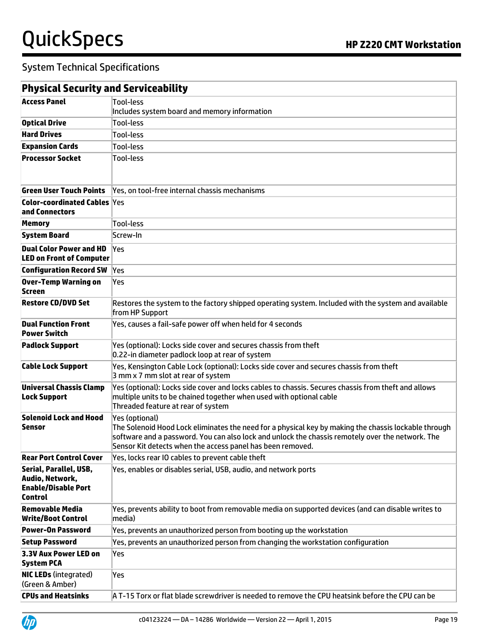| <b>Physical Security and Serviceability</b>                                               |                                                                                                                                                                                                                                                                                          |
|-------------------------------------------------------------------------------------------|------------------------------------------------------------------------------------------------------------------------------------------------------------------------------------------------------------------------------------------------------------------------------------------|
| <b>Access Panel</b>                                                                       | Tool-less<br>Includes system board and memory information                                                                                                                                                                                                                                |
| <b>Optical Drive</b>                                                                      | <b>Tool-less</b>                                                                                                                                                                                                                                                                         |
| <b>Hard Drives</b>                                                                        | <b>Tool-less</b>                                                                                                                                                                                                                                                                         |
| <b>Expansion Cards</b>                                                                    | Tool-less                                                                                                                                                                                                                                                                                |
| <b>Processor Socket</b>                                                                   | <b>Tool-less</b>                                                                                                                                                                                                                                                                         |
| <b>Green User Touch Points</b>                                                            | Yes, on tool-free internal chassis mechanisms                                                                                                                                                                                                                                            |
| <b>Color-coordinated Cables Yes</b><br>and Connectors                                     |                                                                                                                                                                                                                                                                                          |
| <b>Memory</b>                                                                             | Tool-less                                                                                                                                                                                                                                                                                |
| <b>System Board</b>                                                                       | Screw-In                                                                                                                                                                                                                                                                                 |
| <b>Dual Color Power and HD</b><br><b>LED on Front of Computer</b>                         | Yes                                                                                                                                                                                                                                                                                      |
| <b>Configuration Record SW</b>                                                            | Yes                                                                                                                                                                                                                                                                                      |
| <b>Over-Temp Warning on</b><br>Screen                                                     | Yes                                                                                                                                                                                                                                                                                      |
| <b>Restore CD/DVD Set</b>                                                                 | Restores the system to the factory shipped operating system. Included with the system and available<br>from HP Support                                                                                                                                                                   |
| <b>Dual Function Front</b><br><b>Power Switch</b>                                         | Yes, causes a fail-safe power off when held for 4 seconds                                                                                                                                                                                                                                |
| <b>Padlock Support</b>                                                                    | Yes (optional): Locks side cover and secures chassis from theft<br>0.22-in diameter padlock loop at rear of system                                                                                                                                                                       |
| <b>Cable Lock Support</b>                                                                 | Yes, Kensington Cable Lock (optional): Locks side cover and secures chassis from theft<br>3 mm x 7 mm slot at rear of system                                                                                                                                                             |
| <b>Universal Chassis Clamp</b><br><b>Lock Support</b>                                     | Yes (optional): Locks side cover and locks cables to chassis. Secures chassis from theft and allows<br>multiple units to be chained together when used with optional cable<br>Threaded feature at rear of system                                                                         |
| <b>Solenoid Lock and Hood</b><br><b>Sensor</b>                                            | Yes (optional)<br>The Solenoid Hood Lock eliminates the need for a physical key by making the chassis lockable through<br>software and a password. You can also lock and unlock the chassis remotely over the network. The<br>Sensor Kit detects when the access panel has been removed. |
| <b>Rear Port Control Cover</b>                                                            | Yes, locks rear IO cables to prevent cable theft                                                                                                                                                                                                                                         |
| Serial, Parallel, USB,<br>Audio, Network,<br><b>Enable/Disable Port</b><br><b>Control</b> | Yes, enables or disables serial, USB, audio, and network ports                                                                                                                                                                                                                           |
| <b>Removable Media</b><br><b>Write/Boot Control</b>                                       | Yes, prevents ability to boot from removable media on supported devices (and can disable writes to<br>media)                                                                                                                                                                             |
| <b>Power-On Password</b>                                                                  | Yes, prevents an unauthorized person from booting up the workstation                                                                                                                                                                                                                     |
| <b>Setup Password</b>                                                                     | Yes, prevents an unauthorized person from changing the workstation configuration                                                                                                                                                                                                         |
| 3.3V Aux Power LED on<br><b>System PCA</b>                                                | Yes                                                                                                                                                                                                                                                                                      |
| <b>NIC LEDs (integrated)</b><br>(Green & Amber)                                           | Yes                                                                                                                                                                                                                                                                                      |
| <b>CPUs and Heatsinks</b>                                                                 | A T-15 Torx or flat blade screwdriver is needed to remove the CPU heatsink before the CPU can be                                                                                                                                                                                         |

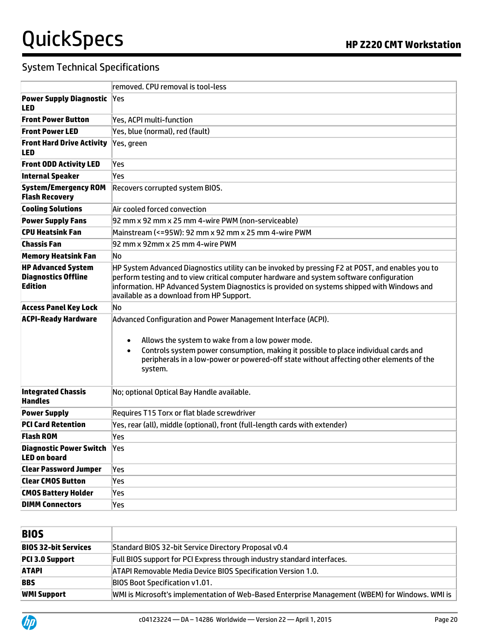|                                                                           | removed. CPU removal is tool-less                                                                                                                                                                                                                                                                                                        |  |  |  |  |  |
|---------------------------------------------------------------------------|------------------------------------------------------------------------------------------------------------------------------------------------------------------------------------------------------------------------------------------------------------------------------------------------------------------------------------------|--|--|--|--|--|
| <b>Power Supply Diagnostic Yes</b><br><b>LED</b>                          |                                                                                                                                                                                                                                                                                                                                          |  |  |  |  |  |
| <b>Front Power Button</b>                                                 | Yes, ACPI multi-function                                                                                                                                                                                                                                                                                                                 |  |  |  |  |  |
| <b>Front Power LED</b>                                                    | Yes, blue (normal), red (fault)                                                                                                                                                                                                                                                                                                          |  |  |  |  |  |
| <b>Front Hard Drive Activity</b><br><b>LED</b>                            | Yes, green                                                                                                                                                                                                                                                                                                                               |  |  |  |  |  |
| <b>Front ODD Activity LED</b>                                             | Yes                                                                                                                                                                                                                                                                                                                                      |  |  |  |  |  |
| <b>Internal Speaker</b>                                                   | Yes                                                                                                                                                                                                                                                                                                                                      |  |  |  |  |  |
| <b>System/Emergency ROM</b><br><b>Flash Recovery</b>                      | Recovers corrupted system BIOS.                                                                                                                                                                                                                                                                                                          |  |  |  |  |  |
| <b>Cooling Solutions</b>                                                  | Air cooled forced convection                                                                                                                                                                                                                                                                                                             |  |  |  |  |  |
| <b>Power Supply Fans</b>                                                  | 92 mm x 92 mm x 25 mm 4-wire PWM (non-serviceable)                                                                                                                                                                                                                                                                                       |  |  |  |  |  |
| <b>CPU Heatsink Fan</b>                                                   | Mainstream (<=95W): 92 mm x 92 mm x 25 mm 4-wire PWM                                                                                                                                                                                                                                                                                     |  |  |  |  |  |
| <b>Chassis Fan</b>                                                        | 92 mm x 92mm x 25 mm 4-wire PWM                                                                                                                                                                                                                                                                                                          |  |  |  |  |  |
| <b>Memory Heatsink Fan</b>                                                | No                                                                                                                                                                                                                                                                                                                                       |  |  |  |  |  |
| <b>HP Advanced System</b><br><b>Diagnostics Offline</b><br><b>Edition</b> | HP System Advanced Diagnostics utility can be invoked by pressing F2 at POST, and enables you to<br>perform testing and to view critical computer hardware and system software configuration<br>information. HP Advanced System Diagnostics is provided on systems shipped with Windows and<br>available as a download from HP Support.  |  |  |  |  |  |
| <b>Access Panel Key Lock</b>                                              | No                                                                                                                                                                                                                                                                                                                                       |  |  |  |  |  |
| <b>ACPI-Ready Hardware</b>                                                | Advanced Configuration and Power Management Interface (ACPI).<br>Allows the system to wake from a low power mode.<br>$\bullet$<br>Controls system power consumption, making it possible to place individual cards and<br>$\bullet$<br>peripherals in a low-power or powered-off state without affecting other elements of the<br>system. |  |  |  |  |  |
| <b>Integrated Chassis</b><br><b>Handles</b>                               | No; optional Optical Bay Handle available.                                                                                                                                                                                                                                                                                               |  |  |  |  |  |
| <b>Power Supply</b>                                                       | Requires T15 Torx or flat blade screwdriver                                                                                                                                                                                                                                                                                              |  |  |  |  |  |
| <b>PCI Card Retention</b>                                                 | Yes, rear (all), middle (optional), front (full-length cards with extender)                                                                                                                                                                                                                                                              |  |  |  |  |  |
| <b>Flash ROM</b>                                                          | Yes                                                                                                                                                                                                                                                                                                                                      |  |  |  |  |  |
| <b>Diagnostic Power Switch Yes</b><br><b>LED on board</b>                 |                                                                                                                                                                                                                                                                                                                                          |  |  |  |  |  |
| <b>Clear Password Jumper</b>                                              | Yes                                                                                                                                                                                                                                                                                                                                      |  |  |  |  |  |
| <b>Clear CMOS Button</b>                                                  | Yes                                                                                                                                                                                                                                                                                                                                      |  |  |  |  |  |
| <b>CMOS Battery Holder</b>                                                | Yes                                                                                                                                                                                                                                                                                                                                      |  |  |  |  |  |
| <b>DIMM Connectors</b>                                                    | Yes                                                                                                                                                                                                                                                                                                                                      |  |  |  |  |  |

| <b>BIOS</b>                 |                                                                                                 |
|-----------------------------|-------------------------------------------------------------------------------------------------|
| <b>BIOS 32-bit Services</b> | Standard BIOS 32-bit Service Directory Proposal v0.4                                            |
| PCI 3.0 Support             | Full BIOS support for PCI Express through industry standard interfaces.                         |
| <b>ATAPI</b>                | ATAPI Removable Media Device BIOS Specification Version 1.0.                                    |
| <b>BBS</b>                  | <b>BIOS Boot Specification v1.01.</b>                                                           |
| <b>WMI Support</b>          | WMI is Microsoft's implementation of Web-Based Enterprise Management (WBEM) for Windows. WMI is |

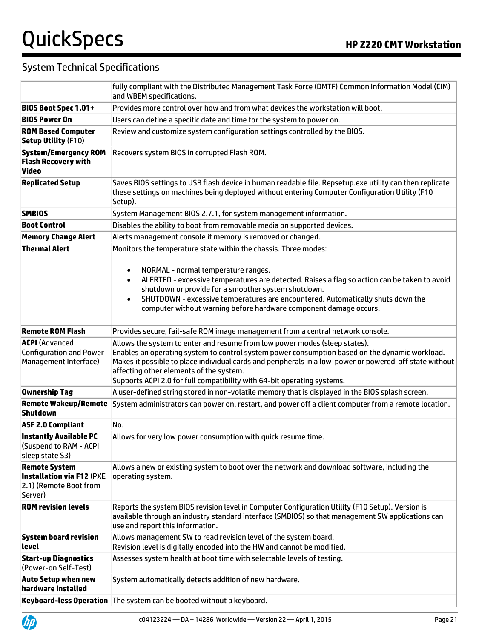|                                                                                               | fully compliant with the Distributed Management Task Force (DMTF) Common Information Model (CIM)<br>and WBEM specifications.                                                                                                                                                                                                                                                                                  |  |  |  |  |
|-----------------------------------------------------------------------------------------------|---------------------------------------------------------------------------------------------------------------------------------------------------------------------------------------------------------------------------------------------------------------------------------------------------------------------------------------------------------------------------------------------------------------|--|--|--|--|
| <b>BIOS Boot Spec 1.01+</b>                                                                   | Provides more control over how and from what devices the workstation will boot.                                                                                                                                                                                                                                                                                                                               |  |  |  |  |
| <b>BIOS Power On</b>                                                                          | Users can define a specific date and time for the system to power on.                                                                                                                                                                                                                                                                                                                                         |  |  |  |  |
| <b>ROM Based Computer</b><br><b>Setup Utility (F10)</b>                                       | Review and customize system configuration settings controlled by the BIOS.                                                                                                                                                                                                                                                                                                                                    |  |  |  |  |
| <b>System/Emergency ROM</b><br><b>Flash Recovery with</b><br><b>Video</b>                     | Recovers system BIOS in corrupted Flash ROM.                                                                                                                                                                                                                                                                                                                                                                  |  |  |  |  |
| <b>Replicated Setup</b>                                                                       | Saves BIOS settings to USB flash device in human readable file. Repsetup.exe utility can then replicate<br>these settings on machines being deployed without entering Computer Configuration Utility (F10<br>Setup).                                                                                                                                                                                          |  |  |  |  |
| <b>SMBIOS</b>                                                                                 | System Management BIOS 2.7.1, for system management information.                                                                                                                                                                                                                                                                                                                                              |  |  |  |  |
| <b>Boot Control</b>                                                                           | Disables the ability to boot from removable media on supported devices.                                                                                                                                                                                                                                                                                                                                       |  |  |  |  |
| <b>Memory Change Alert</b>                                                                    | Alerts management console if memory is removed or changed.                                                                                                                                                                                                                                                                                                                                                    |  |  |  |  |
| <b>Thermal Alert</b>                                                                          | Monitors the temperature state within the chassis. Three modes:                                                                                                                                                                                                                                                                                                                                               |  |  |  |  |
|                                                                                               | NORMAL - normal temperature ranges.<br>$\bullet$<br>ALERTED - excessive temperatures are detected. Raises a flag so action can be taken to avoid<br>shutdown or provide for a smoother system shutdown.<br>SHUTDOWN - excessive temperatures are encountered. Automatically shuts down the<br>$\bullet$<br>computer without warning before hardware component damage occurs.                                  |  |  |  |  |
| <b>Remote ROM Flash</b>                                                                       | Provides secure, fail-safe ROM image management from a central network console.                                                                                                                                                                                                                                                                                                                               |  |  |  |  |
| <b>ACPI</b> (Advanced<br><b>Configuration and Power</b><br>Management Interface)              | Allows the system to enter and resume from low power modes (sleep states).<br>Enables an operating system to control system power consumption based on the dynamic workload.<br>Makes it possible to place individual cards and peripherals in a low-power or powered-off state without<br>affecting other elements of the system.<br>Supports ACPI 2.0 for full compatibility with 64-bit operating systems. |  |  |  |  |
| <b>Ownership Tag</b>                                                                          | A user-defined string stored in non-volatile memory that is displayed in the BIOS splash screen.                                                                                                                                                                                                                                                                                                              |  |  |  |  |
| <b>Remote Wakeup/Remote</b><br><b>Shutdown</b>                                                | System administrators can power on, restart, and power off a client computer from a remote location.                                                                                                                                                                                                                                                                                                          |  |  |  |  |
| <b>ASF 2.0 Compliant</b>                                                                      | No.                                                                                                                                                                                                                                                                                                                                                                                                           |  |  |  |  |
| <b>Instantly Available PC</b><br>(Suspend to RAM - ACPI<br>sleep state S3)                    | Allows for very low power consumption with quick resume time.                                                                                                                                                                                                                                                                                                                                                 |  |  |  |  |
| <b>Remote System</b><br><b>Installation via F12 (PXE</b><br>2.1) (Remote Boot from<br>Server) | Allows a new or existing system to boot over the network and download software, including the<br>operating system.                                                                                                                                                                                                                                                                                            |  |  |  |  |
| <b>ROM revision levels</b>                                                                    | Reports the system BIOS revision level in Computer Configuration Utility (F10 Setup). Version is<br>available through an industry standard interface (SMBIOS) so that management SW applications can<br>use and report this information.                                                                                                                                                                      |  |  |  |  |
| <b>System board revision</b><br>level                                                         | Allows management SW to read revision level of the system board.<br>Revision level is digitally encoded into the HW and cannot be modified.                                                                                                                                                                                                                                                                   |  |  |  |  |
| <b>Start-up Diagnostics</b><br>(Power-on Self-Test)                                           | Assesses system health at boot time with selectable levels of testing.                                                                                                                                                                                                                                                                                                                                        |  |  |  |  |
| <b>Auto Setup when new</b><br>hardware installed                                              | System automatically detects addition of new hardware.                                                                                                                                                                                                                                                                                                                                                        |  |  |  |  |
|                                                                                               | Keyboard-less Operation The system can be booted without a keyboard.                                                                                                                                                                                                                                                                                                                                          |  |  |  |  |

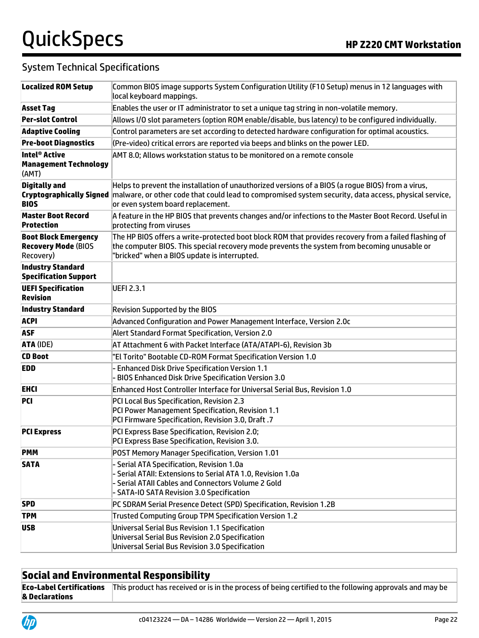| <b>Localized ROM Setup</b>                                             | Common BIOS image supports System Configuration Utility (F10 Setup) menus in 12 languages with<br>local keyboard mappings.                                                                                                                          |  |  |  |  |
|------------------------------------------------------------------------|-----------------------------------------------------------------------------------------------------------------------------------------------------------------------------------------------------------------------------------------------------|--|--|--|--|
| <b>Asset Tag</b>                                                       | Enables the user or IT administrator to set a unique tag string in non-volatile memory.                                                                                                                                                             |  |  |  |  |
| <b>Per-slot Control</b>                                                | Allows I/O slot parameters (option ROM enable/disable, bus latency) to be configured individually.                                                                                                                                                  |  |  |  |  |
| <b>Adaptive Cooling</b>                                                | Control parameters are set according to detected hardware configuration for optimal acoustics.                                                                                                                                                      |  |  |  |  |
| <b>Pre-boot Diagnostics</b>                                            | (Pre-video) critical errors are reported via beeps and blinks on the power LED.                                                                                                                                                                     |  |  |  |  |
| Intel <sup>®</sup> Active<br><b>Management Technology</b><br>(AMT)     | AMT 8.0; Allows workstation status to be monitored on a remote console                                                                                                                                                                              |  |  |  |  |
| <b>Digitally and</b><br><b>Cryptographically Signed</b><br><b>BIOS</b> | Helps to prevent the installation of unauthorized versions of a BIOS (a rogue BIOS) from a virus,<br>malware, or other code that could lead to compromised system security, data access, physical service,<br>or even system board replacement.     |  |  |  |  |
| <b>Master Boot Record</b><br><b>Protection</b>                         | A feature in the HP BIOS that prevents changes and/or infections to the Master Boot Record. Useful in<br>protecting from viruses                                                                                                                    |  |  |  |  |
| <b>Boot Block Emergency</b><br><b>Recovery Mode (BIOS</b><br>Recovery) | The HP BIOS offers a write-protected boot block ROM that provides recovery from a failed flashing of<br>the computer BIOS. This special recovery mode prevents the system from becoming unusable or<br>"bricked" when a BIOS update is interrupted. |  |  |  |  |
| <b>Industry Standard</b><br><b>Specification Support</b>               |                                                                                                                                                                                                                                                     |  |  |  |  |
| <b>UEFI Specification</b><br><b>Revision</b>                           | <b>UEFI 2.3.1</b>                                                                                                                                                                                                                                   |  |  |  |  |
| <b>Industry Standard</b>                                               | <b>Revision Supported by the BIOS</b>                                                                                                                                                                                                               |  |  |  |  |
| <b>ACPI</b>                                                            | Advanced Configuration and Power Management Interface, Version 2.0c                                                                                                                                                                                 |  |  |  |  |
| <b>ASF</b>                                                             | Alert Standard Format Specification, Version 2.0                                                                                                                                                                                                    |  |  |  |  |
| <b>ATA (IDE)</b>                                                       | AT Attachment 6 with Packet Interface (ATA/ATAPI-6), Revision 3b                                                                                                                                                                                    |  |  |  |  |
| <b>CD Boot</b>                                                         | "El Torito" Bootable CD-ROM Format Specification Version 1.0                                                                                                                                                                                        |  |  |  |  |
| <b>EDD</b>                                                             | - Enhanced Disk Drive Specification Version 1.1<br>- BIOS Enhanced Disk Drive Specification Version 3.0                                                                                                                                             |  |  |  |  |
| <b>EHCI</b>                                                            | Enhanced Host Controller Interface for Universal Serial Bus, Revision 1.0                                                                                                                                                                           |  |  |  |  |
| <b>PCI</b>                                                             | PCI Local Bus Specification, Revision 2.3<br>PCI Power Management Specification, Revision 1.1<br>PCI Firmware Specification, Revision 3.0, Draft .7                                                                                                 |  |  |  |  |
| <b>PCI Express</b>                                                     | PCI Express Base Specification, Revision 2.0;<br>PCI Express Base Specification, Revision 3.0.                                                                                                                                                      |  |  |  |  |
| <b>PMM</b>                                                             | POST Memory Manager Specification, Version 1.01                                                                                                                                                                                                     |  |  |  |  |
| <b>SATA</b>                                                            | - Serial ATA Specification, Revision 1.0a<br>- Serial ATAII: Extensions to Serial ATA 1.0, Revision 1.0a<br>- Serial ATAII Cables and Connectors Volume 2 Gold<br>- SATA-IO SATA Revision 3.0 Specification                                         |  |  |  |  |
| <b>SPD</b>                                                             | PC SDRAM Serial Presence Detect (SPD) Specification, Revision 1.2B                                                                                                                                                                                  |  |  |  |  |
| <b>TPM</b>                                                             | Trusted Computing Group TPM Specification Version 1.2                                                                                                                                                                                               |  |  |  |  |
| <b>USB</b>                                                             | Universal Serial Bus Revision 1.1 Specification<br>Universal Serial Bus Revision 2.0 Specification<br>Universal Serial Bus Revision 3.0 Specification                                                                                               |  |  |  |  |

# **Social and Environmental Responsibility**

**Eco-Label Certifications & Declarations** This product has received or is in the process of being certified to the following approvals and may be

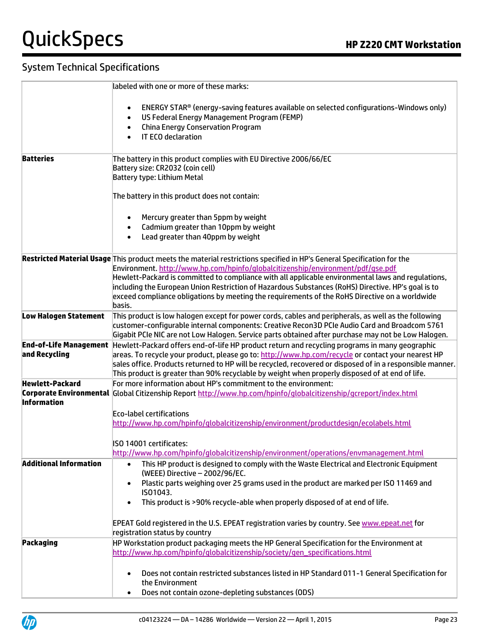|                                                | labeled with one or more of these marks:                                                                                                                                                                                                                                                                                                                                                                                                                                                                                          |  |  |  |  |
|------------------------------------------------|-----------------------------------------------------------------------------------------------------------------------------------------------------------------------------------------------------------------------------------------------------------------------------------------------------------------------------------------------------------------------------------------------------------------------------------------------------------------------------------------------------------------------------------|--|--|--|--|
|                                                | ENERGY STAR® (energy-saving features available on selected configurations-Windows only)<br>$\bullet$<br>US Federal Energy Management Program (FEMP)<br><b>China Energy Conservation Program</b><br>$\bullet$                                                                                                                                                                                                                                                                                                                      |  |  |  |  |
|                                                | IT ECO declaration                                                                                                                                                                                                                                                                                                                                                                                                                                                                                                                |  |  |  |  |
| <b>Batteries</b>                               | The battery in this product complies with EU Directive 2006/66/EC<br>Battery size: CR2032 (coin cell)<br>Battery type: Lithium Metal                                                                                                                                                                                                                                                                                                                                                                                              |  |  |  |  |
|                                                | The battery in this product does not contain:                                                                                                                                                                                                                                                                                                                                                                                                                                                                                     |  |  |  |  |
|                                                | Mercury greater than 5ppm by weight<br>Cadmium greater than 10ppm by weight<br>$\bullet$<br>Lead greater than 40ppm by weight<br>$\bullet$                                                                                                                                                                                                                                                                                                                                                                                        |  |  |  |  |
|                                                | Restricted Material Usage This product meets the material restrictions specified in HP's General Specification for the<br>Environment. http://www.hp.com/hpinfo/qlobalcitizenship/environment/pdf/qse.pdf<br>Hewlett-Packard is committed to compliance with all applicable environmental laws and regulations,<br>including the European Union Restriction of Hazardous Substances (RoHS) Directive. HP's goal is to<br>exceed compliance obligations by meeting the requirements of the RoHS Directive on a worldwide<br>basis. |  |  |  |  |
| <b>Low Halogen Statement</b>                   | This product is low halogen except for power cords, cables and peripherals, as well as the following<br>customer-configurable internal components: Creative Recon3D PCIe Audio Card and Broadcom 5761<br>Gigabit PCIe NIC are not Low Halogen. Service parts obtained after purchase may not be Low Halogen.                                                                                                                                                                                                                      |  |  |  |  |
| <b>End-of-Life Management</b><br>and Recycling | Hewlett-Packard offers end-of-life HP product return and recycling programs in many geographic<br>areas. To recycle your product, please go to: http://www.hp.com/recycle or contact your nearest HP<br>sales office. Products returned to HP will be recycled, recovered or disposed of in a responsible manner.<br>This product is greater than 90% recyclable by weight when properly disposed of at end of life.                                                                                                              |  |  |  |  |
| <b>Hewlett-Packard</b><br><b>Information</b>   | For more information about HP's commitment to the environment:<br>Corporate Environmental Global Citizenship Report http://www.hp.com/hpinfo/qlobalcitizenship/qcreport/index.html<br>Eco-label certifications<br>http://www.hp.com/hpinfo/qlobalcitizenship/environment/productdesign/ecolabels.html                                                                                                                                                                                                                             |  |  |  |  |
|                                                | ISO 14001 certificates:<br>http://www.hp.com/hpinfo/qlobalcitizenship/environment/operations/envmanagement.html                                                                                                                                                                                                                                                                                                                                                                                                                   |  |  |  |  |
| <b>Additional Information</b>                  | This HP product is designed to comply with the Waste Electrical and Electronic Equipment<br>(WEEE) Directive - 2002/96/EC.<br>Plastic parts weighing over 25 grams used in the product are marked per ISO 11469 and<br>$\bullet$<br>ISO1043.<br>This product is >90% recycle-able when properly disposed of at end of life.<br>$\bullet$                                                                                                                                                                                          |  |  |  |  |
|                                                | EPEAT Gold registered in the U.S. EPEAT registration varies by country. See www.epeat.net for<br>registration status by country                                                                                                                                                                                                                                                                                                                                                                                                   |  |  |  |  |
| Packaging                                      | HP Workstation product packaging meets the HP General Specification for the Environment at<br>http://www.hp.com/hpinfo/globalcitizenship/society/gen_specifications.html                                                                                                                                                                                                                                                                                                                                                          |  |  |  |  |
|                                                | Does not contain restricted substances listed in HP Standard 011-1 General Specification for<br>$\bullet$<br>the Environment<br>Does not contain ozone-depleting substances (ODS)<br>$\bullet$                                                                                                                                                                                                                                                                                                                                    |  |  |  |  |
|                                                |                                                                                                                                                                                                                                                                                                                                                                                                                                                                                                                                   |  |  |  |  |

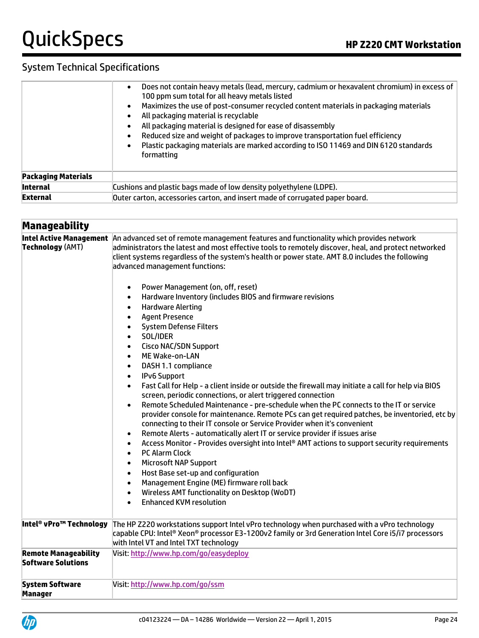|                            | Does not contain heavy metals (lead, mercury, cadmium or hexavalent chromium) in excess of<br>$\bullet$<br>100 ppm sum total for all heavy metals listed<br>Maximizes the use of post-consumer recycled content materials in packaging materials<br>$\bullet$<br>All packaging material is recyclable<br>$\bullet$<br>All packaging material is designed for ease of disassembly<br>$\bullet$<br>Reduced size and weight of packages to improve transportation fuel efficiency<br>$\bullet$<br>Plastic packaging materials are marked according to ISO 11469 and DIN 6120 standards<br>$\bullet$<br>formatting |  |  |  |
|----------------------------|----------------------------------------------------------------------------------------------------------------------------------------------------------------------------------------------------------------------------------------------------------------------------------------------------------------------------------------------------------------------------------------------------------------------------------------------------------------------------------------------------------------------------------------------------------------------------------------------------------------|--|--|--|
| <b>Packaging Materials</b> |                                                                                                                                                                                                                                                                                                                                                                                                                                                                                                                                                                                                                |  |  |  |
| <b>Internal</b>            | Cushions and plastic bags made of low density polyethylene (LDPE).                                                                                                                                                                                                                                                                                                                                                                                                                                                                                                                                             |  |  |  |
| <b>External</b>            | Outer carton, accessories carton, and insert made of corrugated paper board.                                                                                                                                                                                                                                                                                                                                                                                                                                                                                                                                   |  |  |  |

| <b>Manageability</b>                                     |                                                                                                                                                                                                                                                                                                                                                                                                                                                                                                                                                                                                                                                                                                                                                                                                                                                                                                                                                                                                                                                                                                                                                                                                                                                                                                                                                                                                                                                                                                                                                                                                                                                                                                                                                                  |
|----------------------------------------------------------|------------------------------------------------------------------------------------------------------------------------------------------------------------------------------------------------------------------------------------------------------------------------------------------------------------------------------------------------------------------------------------------------------------------------------------------------------------------------------------------------------------------------------------------------------------------------------------------------------------------------------------------------------------------------------------------------------------------------------------------------------------------------------------------------------------------------------------------------------------------------------------------------------------------------------------------------------------------------------------------------------------------------------------------------------------------------------------------------------------------------------------------------------------------------------------------------------------------------------------------------------------------------------------------------------------------------------------------------------------------------------------------------------------------------------------------------------------------------------------------------------------------------------------------------------------------------------------------------------------------------------------------------------------------------------------------------------------------------------------------------------------------|
| <b>Intel Active Management</b><br>Technology (AMT)       | An advanced set of remote management features and functionality which provides network<br>administrators the latest and most effective tools to remotely discover, heal, and protect networked<br>client systems regardless of the system's health or power state. AMT 8.0 includes the following<br>advanced management functions:<br>Power Management (on, off, reset)<br>$\bullet$<br>Hardware Inventory (includes BIOS and firmware revisions<br>$\bullet$<br><b>Hardware Alerting</b><br>$\bullet$<br><b>Agent Presence</b><br>$\bullet$<br><b>System Defense Filters</b><br>$\bullet$<br>SOL/IDER<br>$\bullet$<br><b>Cisco NAC/SDN Support</b><br>$\bullet$<br>ME Wake-on-LAN<br>$\bullet$<br>DASH 1.1 compliance<br>$\bullet$<br><b>IPv6 Support</b><br>$\bullet$<br>Fast Call for Help - a client inside or outside the firewall may initiate a call for help via BIOS<br>$\bullet$<br>screen, periodic connections, or alert triggered connection<br>Remote Scheduled Maintenance - pre-schedule when the PC connects to the IT or service<br>$\bullet$<br>provider console for maintenance. Remote PCs can get required patches, be inventoried, etc by<br>connecting to their IT console or Service Provider when it's convenient<br>Remote Alerts - automatically alert IT or service provider if issues arise<br>$\bullet$<br>Access Monitor - Provides oversight into Intel® AMT actions to support security requirements<br>$\bullet$<br><b>PC Alarm Clock</b><br>$\bullet$<br><b>Microsoft NAP Support</b><br>$\bullet$<br>Host Base set-up and configuration<br>$\bullet$<br>Management Engine (ME) firmware roll back<br>$\bullet$<br>Wireless AMT functionality on Desktop (WoDT)<br>$\bullet$<br><b>Enhanced KVM resolution</b><br>$\bullet$ |
| Intel® vPro™ Technology                                  | The HP Z220 workstations support Intel vPro technology when purchased with a vPro technology<br>capable CPU: Intel® Xeon® processor E3-1200v2 family or 3rd Generation Intel Core i5/i7 processors<br>with Intel VT and Intel TXT technology                                                                                                                                                                                                                                                                                                                                                                                                                                                                                                                                                                                                                                                                                                                                                                                                                                                                                                                                                                                                                                                                                                                                                                                                                                                                                                                                                                                                                                                                                                                     |
| <b>Remote Manageability</b><br><b>Software Solutions</b> | Visit: http://www.hp.com/go/easydeploy                                                                                                                                                                                                                                                                                                                                                                                                                                                                                                                                                                                                                                                                                                                                                                                                                                                                                                                                                                                                                                                                                                                                                                                                                                                                                                                                                                                                                                                                                                                                                                                                                                                                                                                           |
| <b>System Software</b><br>Manager                        | Visit: http://www.hp.com/go/ssm                                                                                                                                                                                                                                                                                                                                                                                                                                                                                                                                                                                                                                                                                                                                                                                                                                                                                                                                                                                                                                                                                                                                                                                                                                                                                                                                                                                                                                                                                                                                                                                                                                                                                                                                  |

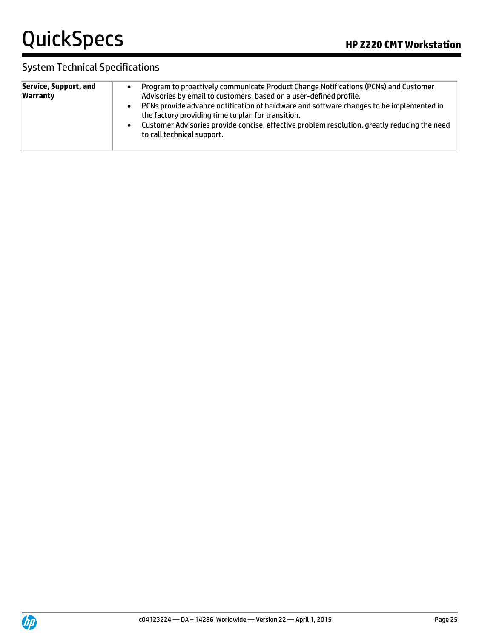| <b>Service, Support, and</b><br><b>Warranty</b> | Program to proactively communicate Product Change Notifications (PCNs) and Customer<br>Advisories by email to customers, based on a user-defined profile.<br>PCNs provide advance notification of hardware and software changes to be implemented in<br>$\bullet$<br>the factory providing time to plan for transition.<br>Customer Advisories provide concise, effective problem resolution, greatly reducing the need<br>$\bullet$<br>to call technical support. |
|-------------------------------------------------|--------------------------------------------------------------------------------------------------------------------------------------------------------------------------------------------------------------------------------------------------------------------------------------------------------------------------------------------------------------------------------------------------------------------------------------------------------------------|
|-------------------------------------------------|--------------------------------------------------------------------------------------------------------------------------------------------------------------------------------------------------------------------------------------------------------------------------------------------------------------------------------------------------------------------------------------------------------------------------------------------------------------------|

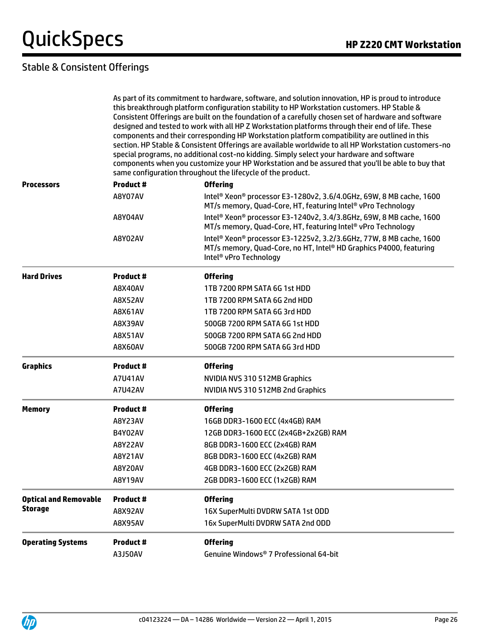# Stable & Consistent Offerings

As part of its commitment to hardware, software, and solution innovation, HP is proud to introduce this breakthrough platform configuration stability to HP Workstation customers. HP Stable & Consistent Offerings are built on the foundation of a carefully chosen set of hardware and software designed and tested to work with all HP Z Workstation platforms through their end of life. These components and their corresponding HP Workstation platform compatibility are outlined in this section. HP Stable & Consistent Offerings are available worldwide to all HP Workstation customers-no special programs, no additional cost-no kidding. Simply select your hardware and software components when you customize your HP Workstation and be assured that you'll be able to buy that same configuration throughout the lifecycle of the product.

| <b>Processors</b>            | <b>Product#</b>  | <b>Offering</b>                                                                                                                                                                                         |  |  |  |
|------------------------------|------------------|---------------------------------------------------------------------------------------------------------------------------------------------------------------------------------------------------------|--|--|--|
|                              | A8Y07AV          | Intel® Xeon® processor E3-1280v2, 3.6/4.0GHz, 69W, 8 MB cache, 1600<br>MT/s memory, Quad-Core, HT, featuring Intel <sup>®</sup> vPro Technology                                                         |  |  |  |
|                              | A8Y04AV          | Intel® Xeon® processor E3-1240v2, 3.4/3.8GHz, 69W, 8 MB cache, 1600<br>MT/s memory, Quad-Core, HT, featuring Intel® vPro Technology                                                                     |  |  |  |
|                              | A8Y02AV          | Intel <sup>®</sup> Xeon <sup>®</sup> processor E3-1225v2, 3.2/3.6GHz, 77W, 8 MB cache, 1600<br>MT/s memory, Quad-Core, no HT, Intel® HD Graphics P4000, featuring<br>Intel <sup>®</sup> vPro Technology |  |  |  |
| <b>Hard Drives</b>           | <b>Product #</b> | <b>Offering</b>                                                                                                                                                                                         |  |  |  |
|                              | A8X40AV          | 1TB 7200 RPM SATA 6G 1st HDD                                                                                                                                                                            |  |  |  |
|                              | <b>A8X52AV</b>   | 1TB 7200 RPM SATA 6G 2nd HDD                                                                                                                                                                            |  |  |  |
|                              | A8X61AV          | 1TB 7200 RPM SATA 6G 3rd HDD                                                                                                                                                                            |  |  |  |
|                              | A8X39AV          | 500GB 7200 RPM SATA 6G 1st HDD                                                                                                                                                                          |  |  |  |
|                              | <b>A8X51AV</b>   | 500GB 7200 RPM SATA 6G 2nd HDD                                                                                                                                                                          |  |  |  |
|                              | A8X60AV          | 500GB 7200 RPM SATA 6G 3rd HDD                                                                                                                                                                          |  |  |  |
| <b>Graphics</b>              | <b>Product#</b>  | <b>Offering</b>                                                                                                                                                                                         |  |  |  |
|                              | A7U41AV          | NVIDIA NVS 310 512MB Graphics                                                                                                                                                                           |  |  |  |
|                              | <b>A7U42AV</b>   | NVIDIA NVS 310 512MB 2nd Graphics                                                                                                                                                                       |  |  |  |
| <b>Memory</b>                | <b>Product #</b> | <b>Offering</b>                                                                                                                                                                                         |  |  |  |
|                              | A8Y23AV          | 16GB DDR3-1600 ECC (4x4GB) RAM                                                                                                                                                                          |  |  |  |
|                              | B4Y02AV          | 12GB DDR3-1600 ECC (2x4GB+2x2GB) RAM                                                                                                                                                                    |  |  |  |
|                              | <b>A8Y22AV</b>   | 8GB DDR3-1600 ECC (2x4GB) RAM                                                                                                                                                                           |  |  |  |
|                              | A8Y21AV          | 8GB DDR3-1600 ECC (4x2GB) RAM                                                                                                                                                                           |  |  |  |
|                              | <b>A8Y20AV</b>   | 4GB DDR3-1600 ECC (2x2GB) RAM                                                                                                                                                                           |  |  |  |
|                              | <b>A8Y19AV</b>   | 2GB DDR3-1600 ECC (1x2GB) RAM                                                                                                                                                                           |  |  |  |
| <b>Optical and Removable</b> | <b>Product #</b> | <b>Offering</b>                                                                                                                                                                                         |  |  |  |
| <b>Storage</b>               | A8X92AV          | 16X SuperMulti DVDRW SATA 1st ODD                                                                                                                                                                       |  |  |  |
|                              | A8X95AV          | 16x SuperMulti DVDRW SATA 2nd ODD                                                                                                                                                                       |  |  |  |
| <b>Operating Systems</b>     | Product #        | <b>Offering</b>                                                                                                                                                                                         |  |  |  |
|                              | A3J50AV          | Genuine Windows® 7 Professional 64-bit                                                                                                                                                                  |  |  |  |

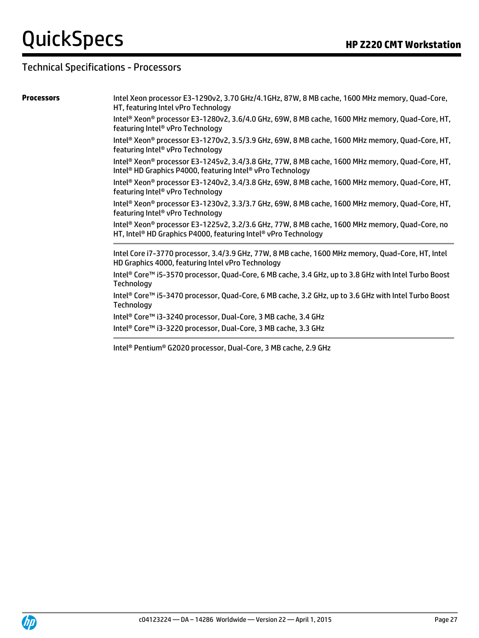### Technical Specifications - Processors

**Processors** Intel Xeon processor E3-1290v2, 3.70 GHz/4.1GHz, 87W, 8 MB cache, 1600 MHz memory, Quad-Core, HT, featuring Intel vPro Technology

> Intel® Xeon® processor E3-1280v2, 3.6/4.0 GHz, 69W, 8 MB cache, 1600 MHz memory, Quad-Core, HT, featuring Intel® vPro Technology

> Intel® Xeon® processor E3-1270v2, 3.5/3.9 GHz, 69W, 8 MB cache, 1600 MHz memory, Quad-Core, HT, featuring Intel® vPro Technology

> Intel® Xeon® processor E3-1245v2, 3.4/3.8 GHz, 77W, 8 MB cache, 1600 MHz memory, Quad-Core, HT, Intel® HD Graphics P4000, featuring Intel® vPro Technology

> Intel® Xeon® processor E3-1240v2, 3.4/3.8 GHz, 69W, 8 MB cache, 1600 MHz memory, Quad-Core, HT, featuring Intel® vPro Technology

> Intel® Xeon® processor E3-1230v2, 3.3/3.7 GHz, 69W, 8 MB cache, 1600 MHz memory, Quad-Core, HT, featuring Intel® vPro Technology

> Intel® Xeon® processor E3-1225v2, 3.2/3.6 GHz, 77W, 8 MB cache, 1600 MHz memory, Quad-Core, no HT, Intel<sup>®</sup> HD Graphics P4000, featuring Intel<sup>®</sup> vPro Technology

> Intel Core i7-3770 processor, 3.4/3.9 GHz, 77W, 8 MB cache, 1600 MHz memory, Quad-Core, HT, Intel HD Graphics 4000, featuring Intel vPro Technology

> Intel® Core™ i5-3570 processor, Quad-Core, 6 MB cache, 3.4 GHz, up to 3.8 GHz with Intel Turbo Boost **Technology**

> Intel® Core™ i5-3470 processor, Quad-Core, 6 MB cache, 3.2 GHz, up to 3.6 GHz with Intel Turbo Boost **Technology**

Intel® Core™ i3-3240 processor, Dual-Core, 3 MB cache, 3.4 GHz

Intel® Core™ i3-3220 processor, Dual-Core, 3 MB cache, 3.3 GHz

Intel® Pentium® G2020 processor, Dual-Core, 3 MB cache, 2.9 GHz

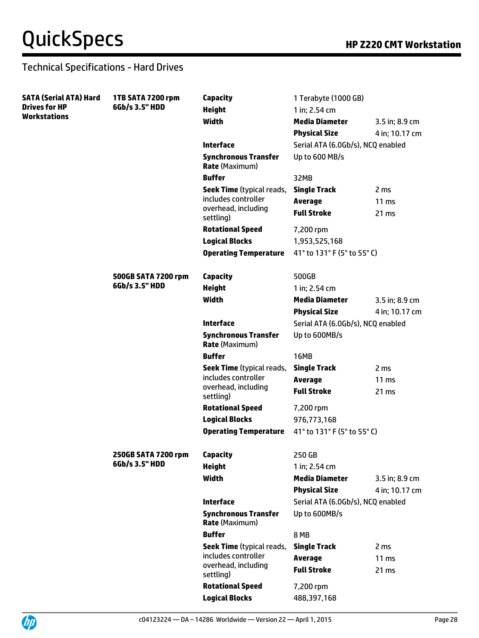| SATA (Serial ATA) Hard | 1TB SATA 7200 rpm                     | Capacity                                                | 1 Terabyte (1000 GB)                 |                           |
|------------------------|---------------------------------------|---------------------------------------------------------|--------------------------------------|---------------------------|
| <b>Drives for HP</b>   | 6Gb/s 3.5" HDD                        | <b>Height</b>                                           | 1 in; 2.54 cm                        |                           |
| Workstations           |                                       | Width                                                   | <b>Media Diameter</b>                | 3.5 in; 8.9 cm            |
|                        |                                       |                                                         | <b>Physical Size</b>                 | 4 in; 10.17 cm            |
|                        |                                       | <b>Interface</b>                                        | Serial ATA (6.0Gb/s), NCQ enabled    |                           |
|                        |                                       | <b>Synchronous Transfer</b><br><b>Rate (Maximum)</b>    | Up to 600 MB/s                       |                           |
|                        |                                       | <b>Buffer</b>                                           | 32MB                                 |                           |
|                        |                                       | <b>Seek Time</b> (typical reads,                        | <b>Single Track</b>                  | 2 ms                      |
|                        |                                       | includes controller<br>overhead, including<br>settling) | <b>Average</b><br><b>Full Stroke</b> | 11 <sub>ms</sub><br>21 ms |
|                        |                                       | <b>Rotational Speed</b>                                 | 7,200 rpm                            |                           |
|                        |                                       | <b>Logical Blocks</b>                                   | 1,953,525,168                        |                           |
|                        |                                       | <b>Operating Temperature</b>                            | 41° to 131° F (5° to 55° C)          |                           |
|                        |                                       |                                                         |                                      |                           |
|                        | 500GB SATA 7200 rpm                   | <b>Capacity</b>                                         | 500GB                                |                           |
|                        | 6Gb/s 3.5" HDD                        | <b>Height</b>                                           | 1 in; 2.54 cm                        |                           |
|                        |                                       | Width                                                   | <b>Media Diameter</b>                | 3.5 in; 8.9 cm            |
|                        |                                       |                                                         | <b>Physical Size</b>                 | 4 in; 10.17 cm            |
|                        |                                       | <b>Interface</b>                                        | Serial ATA (6.0Gb/s), NCQ enabled    |                           |
|                        |                                       | <b>Synchronous Transfer</b><br><b>Rate (Maximum)</b>    | Up to 600MB/s                        |                           |
|                        |                                       | <b>Buffer</b>                                           | 16MB                                 |                           |
|                        |                                       | <b>Seek Time</b> (typical reads,                        | <b>Single Track</b>                  | 2 <sub>ms</sub>           |
|                        |                                       | includes controller                                     | <b>Average</b>                       | 11 <sub>ms</sub>          |
|                        |                                       | overhead, including<br>settling)                        | <b>Full Stroke</b>                   | 21 ms                     |
|                        |                                       | <b>Rotational Speed</b>                                 | 7,200 rpm                            |                           |
|                        |                                       | <b>Logical Blocks</b>                                   | 976,773,168                          |                           |
|                        |                                       | <b>Operating Temperature</b>                            | 41° to 131° F (5° to 55° C)          |                           |
|                        | 250GB SATA 7200 rpm<br>6Gb/s 3.5" HDD | <b>Capacity</b>                                         | 250 GB                               |                           |
|                        |                                       | <b>Height</b>                                           | 1 in; 2.54 cm                        |                           |
|                        |                                       | <b>Width</b>                                            | <b>Media Diameter</b>                | 3.5 in; 8.9 cm            |
|                        |                                       |                                                         | <b>Physical Size</b>                 | 4 in; 10.17 cm            |
|                        |                                       | <b>Interface</b>                                        | Serial ATA (6.0Gb/s), NCQ enabled    |                           |
|                        |                                       | <b>Synchronous Transfer</b><br><b>Rate (Maximum)</b>    | Up to 600MB/s                        |                           |
|                        |                                       | <b>Buffer</b>                                           | 8 MB                                 |                           |
|                        |                                       | <b>Seek Time</b> (typical reads,                        | <b>Single Track</b>                  | 2 <sub>ms</sub>           |
|                        |                                       | includes controller                                     | <b>Average</b>                       | $11 \text{ ms}$           |
|                        |                                       | overhead, including<br>settling)                        | <b>Full Stroke</b>                   | 21 ms                     |
|                        |                                       | <b>Rotational Speed</b>                                 | 7,200 rpm                            |                           |
|                        |                                       | <b>Logical Blocks</b>                                   | 488,397,168                          |                           |

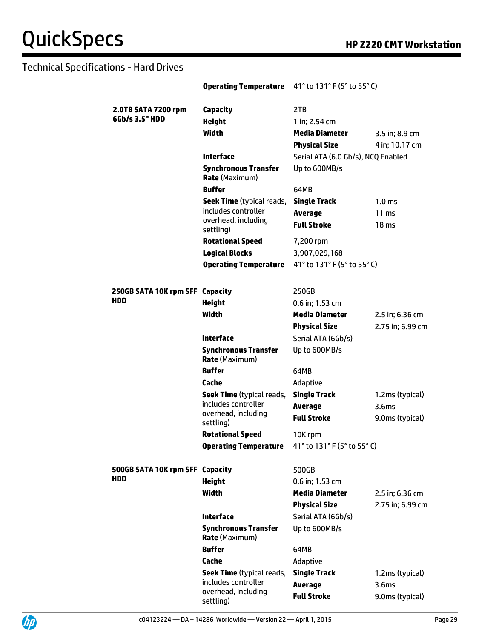|                                 | <b>Operating Temperature</b><br>41° to 131° F (5° to 55° C) |                                    |                   |
|---------------------------------|-------------------------------------------------------------|------------------------------------|-------------------|
| 2.0TB SATA 7200 rpm             | Capacity                                                    | 2TB                                |                   |
| 6Gb/s 3.5" HDD                  | <b>Height</b><br>1 in; 2.54 cm                              |                                    |                   |
|                                 | Width                                                       | <b>Media Diameter</b>              | 3.5 in; 8.9 cm    |
|                                 |                                                             | <b>Physical Size</b>               | 4 in; 10.17 cm    |
|                                 | Interface                                                   | Serial ATA (6.0 Gb/s), NCQ Enabled |                   |
|                                 | <b>Synchronous Transfer</b><br>Rate (Maximum)               | Up to 600MB/s                      |                   |
|                                 | <b>Buffer</b>                                               | 64MB                               |                   |
|                                 | <b>Seek Time</b> (typical reads,                            | <b>Single Track</b>                | 1.0 <sub>ms</sub> |
|                                 | includes controller                                         | <b>Average</b>                     | $11 \text{ ms}$   |
|                                 | overhead, including<br>settling)                            | <b>Full Stroke</b>                 | 18 <sub>ms</sub>  |
|                                 | <b>Rotational Speed</b>                                     | 7,200 rpm                          |                   |
|                                 | <b>Logical Blocks</b>                                       | 3,907,029,168                      |                   |
|                                 | <b>Operating Temperature</b>                                | 41° to 131° F (5° to 55° C)        |                   |
|                                 |                                                             |                                    |                   |
| 250GB SATA 10K rpm SFF Capacity |                                                             | 250GB                              |                   |
| HDD                             | <b>Height</b>                                               | $0.6$ in; 1.53 cm                  |                   |
|                                 | Width                                                       | <b>Media Diameter</b>              | 2.5 in; 6.36 cm   |
|                                 |                                                             | <b>Physical Size</b>               | 2.75 in; 6.99 cm  |
|                                 | <b>Interface</b>                                            | Serial ATA (6Gb/s)                 |                   |
|                                 | <b>Synchronous Transfer</b><br><b>Rate (Maximum)</b>        | Up to 600MB/s                      |                   |
|                                 | <b>Buffer</b>                                               | 64MB                               |                   |
|                                 | Cache                                                       | Adaptive                           |                   |
|                                 | <b>Seek Time</b> (typical reads,                            | <b>Single Track</b>                | 1.2ms (typical)   |
|                                 | includes controller                                         | <b>Average</b>                     | 3.6 <sub>ms</sub> |
|                                 | overhead, including<br>settling)                            | <b>Full Stroke</b>                 | 9.0ms (typical)   |
|                                 | <b>Rotational Speed</b>                                     | 10K rpm                            |                   |
|                                 | <b>Operating Temperature</b>                                | 41° to 131° F (5° to 55° C)        |                   |
|                                 |                                                             |                                    |                   |
| 500GB SATA 10K rpm SFF Capacity |                                                             | 500GB                              |                   |
| <b>HDD</b>                      | <b>Height</b>                                               | 0.6 in; 1.53 cm                    |                   |
|                                 | Width                                                       | <b>Media Diameter</b>              | 2.5 in; 6.36 cm   |
|                                 |                                                             | <b>Physical Size</b>               | 2.75 in; 6.99 cm  |
|                                 | <b>Interface</b>                                            | Serial ATA (6Gb/s)                 |                   |
|                                 | <b>Synchronous Transfer</b><br><b>Rate (Maximum)</b>        | Up to 600MB/s                      |                   |
|                                 | <b>Buffer</b>                                               | 64MB                               |                   |
|                                 | Cache                                                       | Adaptive                           |                   |
|                                 | <b>Seek Time</b> (typical reads,<br>includes controller     | <b>Single Track</b>                | 1.2ms (typical)   |
|                                 | overhead, including                                         | <b>Average</b>                     | 3.6 <sub>ms</sub> |
|                                 | settling)                                                   | <b>Full Stroke</b>                 | 9.0ms (typical)   |

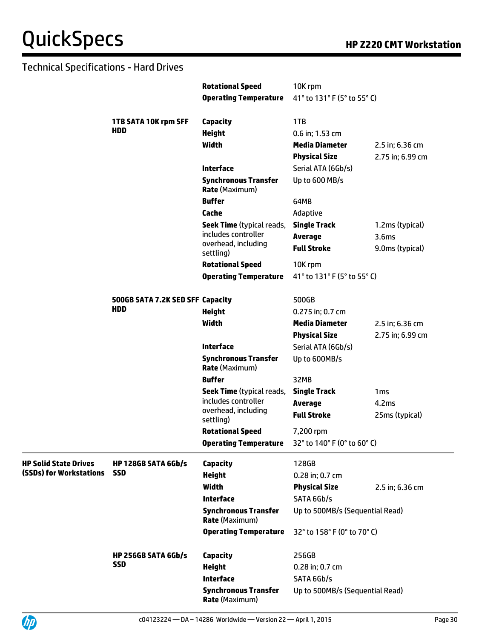|                              |                                  | <b>Rotational Speed</b>                                  | 10K rpm                         |                   |
|------------------------------|----------------------------------|----------------------------------------------------------|---------------------------------|-------------------|
|                              |                                  | <b>Operating Temperature</b>                             | 41° to 131° F (5° to 55° C)     |                   |
|                              | 1TB SATA 10K rpm SFF             | Capacity                                                 | 1TB                             |                   |
|                              | <b>HDD</b>                       | <b>Height</b>                                            | 0.6 in; 1.53 cm                 |                   |
|                              |                                  | Width                                                    | <b>Media Diameter</b>           | 2.5 in; 6.36 cm   |
|                              |                                  |                                                          | <b>Physical Size</b>            | 2.75 in; 6.99 cm  |
|                              |                                  | <b>Interface</b>                                         | Serial ATA (6Gb/s)              |                   |
|                              |                                  | <b>Synchronous Transfer</b><br><b>Rate</b> (Maximum)     | Up to 600 MB/s                  |                   |
|                              |                                  | <b>Buffer</b>                                            | 64MB                            |                   |
|                              |                                  | Cache                                                    | Adaptive                        |                   |
|                              |                                  | <b>Seek Time</b> (typical reads,                         | <b>Single Track</b>             | 1.2ms (typical)   |
|                              |                                  | includes controller                                      | <b>Average</b>                  | 3.6 <sub>ms</sub> |
|                              |                                  | overhead, including<br>settling)                         | <b>Full Stroke</b>              | 9.0ms (typical)   |
|                              |                                  | <b>Rotational Speed</b>                                  | 10K rpm                         |                   |
|                              |                                  | <b>Operating Temperature</b>                             | 41° to 131° F (5° to 55° C)     |                   |
|                              | 500GB SATA 7.2K SED SFF Capacity |                                                          | 500GB                           |                   |
|                              | <b>HDD</b>                       | <b>Height</b>                                            | 0.275 in; 0.7 cm                |                   |
|                              |                                  | Width                                                    | <b>Media Diameter</b>           | 2.5 in; 6.36 cm   |
|                              |                                  |                                                          | <b>Physical Size</b>            | 2.75 in; 6.99 cm  |
|                              |                                  | <b>Interface</b>                                         | Serial ATA (6Gb/s)              |                   |
|                              |                                  | <b>Synchronous Transfer</b><br><b>Rate (Maximum)</b>     | Up to 600MB/s                   |                   |
|                              |                                  | <b>Buffer</b>                                            | 32MB                            |                   |
|                              |                                  | <b>Seek Time</b> (typical reads,                         | <b>Single Track</b>             | 1 <sub>ms</sub>   |
|                              |                                  | includes controller                                      | <b>Average</b>                  | 4.2ms             |
|                              |                                  | overhead, including<br>settling)                         | <b>Full Stroke</b>              | 25ms (typical)    |
|                              |                                  | <b>Rotational Speed</b>                                  | 7,200 rpm                       |                   |
|                              |                                  | <b>Operating Temperature</b> 32° to 140° F (0° to 60° C) |                                 |                   |
| <b>HP Solid State Drives</b> | <b>HP 128GB SATA 6Gb/s</b>       | <b>Capacity</b>                                          | 128GB                           |                   |
| (SSDs) for Workstations      | <b>SSD</b>                       | <b>Height</b>                                            | 0.28 in; 0.7 cm                 |                   |
|                              |                                  | <b>Width</b>                                             | <b>Physical Size</b>            | 2.5 in; 6.36 cm   |
|                              |                                  | <b>Interface</b>                                         | SATA 6Gb/s                      |                   |
|                              |                                  | <b>Synchronous Transfer</b><br><b>Rate (Maximum)</b>     | Up to 500MB/s (Sequential Read) |                   |
|                              |                                  | <b>Operating Temperature</b>                             | 32° to 158° F (0° to 70° C)     |                   |
|                              | <b>HP 256GB SATA 6Gb/s</b>       | Capacity                                                 | 256GB                           |                   |
|                              | <b>SSD</b>                       | <b>Height</b>                                            | 0.28 in; 0.7 cm                 |                   |
|                              |                                  | <b>Interface</b>                                         | SATA 6Gb/s                      |                   |
|                              |                                  | <b>Synchronous Transfer</b><br><b>Rate (Maximum)</b>     | Up to 500MB/s (Sequential Read) |                   |

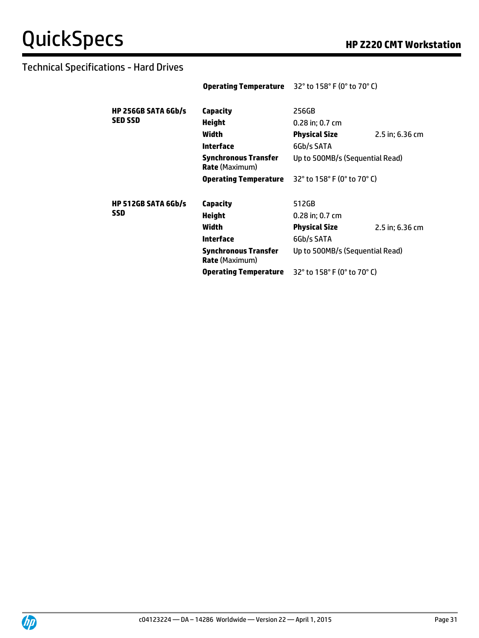|                            | <b>Operating Temperature</b> $32^{\circ}$ to 158° F (0° to 70° C) |                                 |                 |
|----------------------------|-------------------------------------------------------------------|---------------------------------|-----------------|
| <b>HP 256GB SATA 6Gb/s</b> | Capacity                                                          | 256GB                           |                 |
| <b>SED SSD</b>             | <b>Height</b>                                                     | 0.28 in; 0.7 cm                 |                 |
|                            | Width                                                             | Physical Size                   | 2.5 in; 6.36 cm |
|                            | <b>Interface</b>                                                  | 6Gb/s SATA                      |                 |
|                            | <b>Synchronous Transfer</b><br><b>Rate</b> (Maximum)              | Up to 500MB/s (Sequential Read) |                 |
|                            | Operating Temperature                                             | 32° to 158° F (0° to 70° C)     |                 |
|                            |                                                                   |                                 |                 |
| <b>HP 512GB SATA 6Gb/s</b> | Capacity                                                          | 512GB                           |                 |
| <b>SSD</b>                 | Height                                                            | $0.28$ in; 0.7 cm               |                 |
|                            | Width                                                             | <b>Physical Size</b>            | 2.5 in; 6.36 cm |
|                            | <b>Interface</b>                                                  | 6Gb/s SATA                      |                 |
|                            | <b>Synchronous Transfer</b><br><b>Rate</b> (Maximum)              | Up to 500MB/s (Sequential Read) |                 |
|                            | Operating Temperature                                             | 32° to 158° F (0° to 70° C)     |                 |

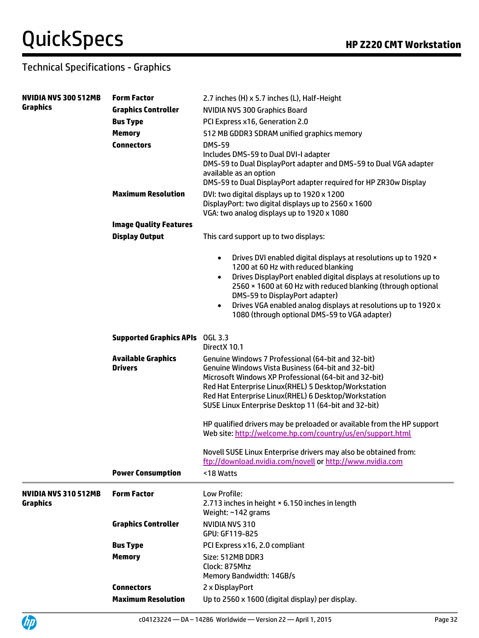UP

# Technical Specifications - Graphics

| <b>NVIDIA NVS 300 512MB</b> | <b>Form Factor</b>             | 2.7 inches (H) x 5.7 inches (L), Half-Height                                                                                 |
|-----------------------------|--------------------------------|------------------------------------------------------------------------------------------------------------------------------|
| Graphics                    | <b>Graphics Controller</b>     | NVIDIA NVS 300 Graphics Board                                                                                                |
|                             | <b>Bus Type</b>                | PCI Express x16, Generation 2.0                                                                                              |
|                             | <b>Memory</b>                  | 512 MB GDDR3 SDRAM unified graphics memory                                                                                   |
|                             | <b>Connectors</b>              | <b>DMS-59</b>                                                                                                                |
|                             |                                | Includes DMS-59 to Dual DVI-I adapter                                                                                        |
|                             |                                | DMS-59 to Dual DisplayPort adapter and DMS-59 to Dual VGA adapter                                                            |
|                             |                                | available as an option<br>DMS-59 to Dual DisplayPort adapter required for HP ZR30w Display                                   |
|                             | <b>Maximum Resolution</b>      | DVI: two digital displays up to 1920 x 1200                                                                                  |
|                             |                                | DisplayPort: two digital displays up to 2560 x 1600                                                                          |
|                             |                                | VGA: two analog displays up to 1920 x 1080                                                                                   |
|                             | <b>Image Quality Features</b>  |                                                                                                                              |
|                             | <b>Display Output</b>          | This card support up to two displays:                                                                                        |
|                             |                                | Drives DVI enabled digital displays at resolutions up to 1920 x<br>$\bullet$                                                 |
|                             |                                | 1200 at 60 Hz with reduced blanking<br>Drives DisplayPort enabled digital displays at resolutions up to<br>$\bullet$         |
|                             |                                | 2560 × 1600 at 60 Hz with reduced blanking (through optional                                                                 |
|                             |                                | DMS-59 to DisplayPort adapter)<br>Drives VGA enabled analog displays at resolutions up to 1920 x<br>$\bullet$                |
|                             |                                | 1080 (through optional DMS-59 to VGA adapter)                                                                                |
|                             | <b>Supported Graphics APIs</b> | OGL 3.3                                                                                                                      |
|                             |                                | DirectX 10.1                                                                                                                 |
|                             | <b>Available Graphics</b>      | Genuine Windows 7 Professional (64-bit and 32-bit)                                                                           |
|                             | <b>Drivers</b>                 | Genuine Windows Vista Business (64-bit and 32-bit)<br>Microsoft Windows XP Professional (64-bit and 32-bit)                  |
|                             |                                | Red Hat Enterprise Linux(RHEL) 5 Desktop/Workstation                                                                         |
|                             |                                | Red Hat Enterprise Linux(RHEL) 6 Desktop/Workstation                                                                         |
|                             |                                | SUSE Linux Enterprise Desktop 11 (64-bit and 32-bit)                                                                         |
|                             |                                | HP qualified drivers may be preloaded or available from the HP support                                                       |
|                             |                                | Web site: http://welcome.hp.com/country/us/en/support.html                                                                   |
|                             |                                | Novell SUSE Linux Enterprise drivers may also be obtained from:<br>ftp://download.nvidia.com/novell or http://www.nvidia.com |
|                             | <b>Power Consumption</b>       | <18 Watts                                                                                                                    |
|                             |                                |                                                                                                                              |
| <b>NVIDIA NVS 310 512MB</b> | <b>Form Factor</b>             | Low Profile:                                                                                                                 |
| <b>Graphics</b>             |                                | 2.713 inches in height × 6.150 inches in length                                                                              |
|                             | <b>Graphics Controller</b>     | Weight: ~142 grams<br>NVIDIA NVS 310                                                                                         |
|                             |                                | GPU: GF119-825                                                                                                               |
|                             | <b>Bus Type</b>                | PCI Express x16, 2.0 compliant                                                                                               |
|                             | <b>Memory</b>                  | Size: 512MB DDR3                                                                                                             |
|                             |                                | Clock: 875Mhz                                                                                                                |
|                             |                                | Memory Bandwidth: 14GB/s                                                                                                     |
|                             | <b>Connectors</b>              | 2 x DisplayPort                                                                                                              |
|                             | <b>Maximum Resolution</b>      | Up to 2560 x 1600 (digital display) per display.                                                                             |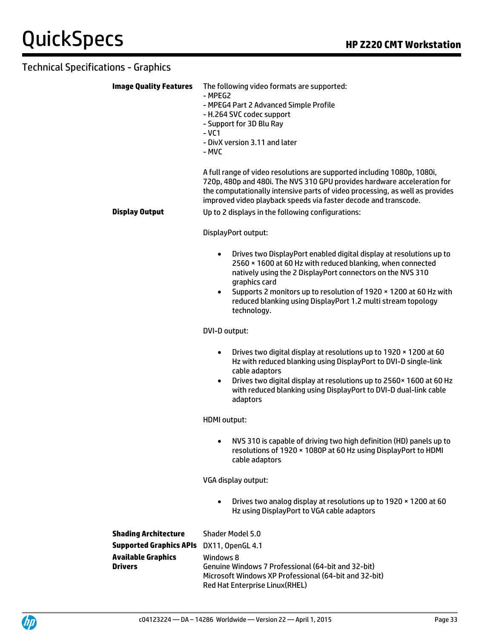| <b>Image Quality Features</b>                                                                                | The following video formats are supported:<br>- MPEG2<br>- MPEG4 Part 2 Advanced Simple Profile<br>- H.264 SVC codec support<br>- Support for 3D Blu Ray<br>$-VC1$<br>- DivX version 3.11 and later<br>- MVC                                                                                                                                                                                   |  |  |
|--------------------------------------------------------------------------------------------------------------|------------------------------------------------------------------------------------------------------------------------------------------------------------------------------------------------------------------------------------------------------------------------------------------------------------------------------------------------------------------------------------------------|--|--|
| <b>Display Output</b>                                                                                        | A full range of video resolutions are supported including 1080p, 1080i,<br>720p, 480p and 480i. The NVS 310 GPU provides hardware acceleration for<br>the computationally intensive parts of video processing, as well as provides<br>improved video playback speeds via faster decode and transcode.<br>Up to 2 displays in the following configurations:                                     |  |  |
|                                                                                                              | DisplayPort output:                                                                                                                                                                                                                                                                                                                                                                            |  |  |
|                                                                                                              | Drives two DisplayPort enabled digital display at resolutions up to<br>$\bullet$<br>2560 × 1600 at 60 Hz with reduced blanking, when connected<br>natively using the 2 DisplayPort connectors on the NVS 310<br>graphics card<br>Supports 2 monitors up to resolution of 1920 × 1200 at 60 Hz with<br>$\bullet$<br>reduced blanking using DisplayPort 1.2 multi stream topology<br>technology. |  |  |
|                                                                                                              | DVI-D output:                                                                                                                                                                                                                                                                                                                                                                                  |  |  |
|                                                                                                              | Drives two digital display at resolutions up to 1920 x 1200 at 60<br>$\bullet$<br>Hz with reduced blanking using DisplayPort to DVI-D single-link<br>cable adaptors<br>Drives two digital display at resolutions up to 2560 x 1600 at 60 Hz<br>$\bullet$<br>with reduced blanking using DisplayPort to DVI-D dual-link cable<br>adaptors                                                       |  |  |
|                                                                                                              | HDMI output:                                                                                                                                                                                                                                                                                                                                                                                   |  |  |
|                                                                                                              | NVS 310 is capable of driving two high definition (HD) panels up to<br>resolutions of 1920 × 1080P at 60 Hz using DisplayPort to HDMI<br>cable adaptors                                                                                                                                                                                                                                        |  |  |
|                                                                                                              | VGA display output:                                                                                                                                                                                                                                                                                                                                                                            |  |  |
|                                                                                                              | Drives two analog display at resolutions up to 1920 x 1200 at 60<br>$\bullet$<br>Hz using DisplayPort to VGA cable adaptors                                                                                                                                                                                                                                                                    |  |  |
| <b>Shading Architecture</b><br><b>Supported Graphics APIs</b><br><b>Available Graphics</b><br><b>Drivers</b> | Shader Model 5.0<br>DX11, OpenGL 4.1<br>Windows 8<br>Genuine Windows 7 Professional (64-bit and 32-bit)<br>Microsoft Windows XP Professional (64-bit and 32-bit)<br>Red Hat Enterprise Linux(RHEL)                                                                                                                                                                                             |  |  |

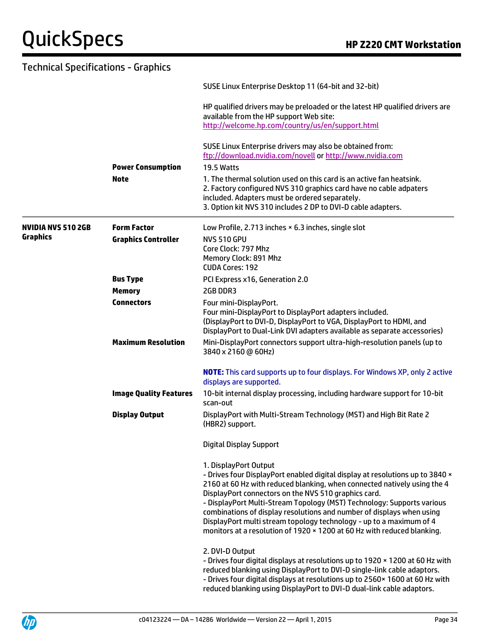| <b>Technical Specifications - Graphics</b> |                               |                                                                                                                                                                                                                                                                                                                                                                                                                                                                                                                                                 |
|--------------------------------------------|-------------------------------|-------------------------------------------------------------------------------------------------------------------------------------------------------------------------------------------------------------------------------------------------------------------------------------------------------------------------------------------------------------------------------------------------------------------------------------------------------------------------------------------------------------------------------------------------|
|                                            |                               | SUSE Linux Enterprise Desktop 11 (64-bit and 32-bit)                                                                                                                                                                                                                                                                                                                                                                                                                                                                                            |
|                                            |                               | HP qualified drivers may be preloaded or the latest HP qualified drivers are<br>available from the HP support Web site:<br>http://welcome.hp.com/country/us/en/support.html                                                                                                                                                                                                                                                                                                                                                                     |
|                                            |                               | SUSE Linux Enterprise drivers may also be obtained from:<br>ftp://download.nvidia.com/novell or http://www.nvidia.com                                                                                                                                                                                                                                                                                                                                                                                                                           |
|                                            | <b>Power Consumption</b>      | <b>19.5 Watts</b>                                                                                                                                                                                                                                                                                                                                                                                                                                                                                                                               |
|                                            | <b>Note</b>                   | 1. The thermal solution used on this card is an active fan heatsink.<br>2. Factory configured NVS 310 graphics card have no cable adpaters<br>included. Adapters must be ordered separately.<br>3. Option kit NVS 310 includes 2 DP to DVI-D cable adapters.                                                                                                                                                                                                                                                                                    |
| <b>NVIDIA NVS 510 2GB</b>                  | <b>Form Factor</b>            | Low Profile, 2.713 inches × 6.3 inches, single slot                                                                                                                                                                                                                                                                                                                                                                                                                                                                                             |
| <b>Graphics</b>                            | <b>Graphics Controller</b>    | <b>NVS 510 GPU</b><br>Core Clock: 797 Mhz<br>Memory Clock: 891 Mhz<br><b>CUDA Cores: 192</b>                                                                                                                                                                                                                                                                                                                                                                                                                                                    |
|                                            | <b>Bus Type</b>               | PCI Express x16, Generation 2.0                                                                                                                                                                                                                                                                                                                                                                                                                                                                                                                 |
|                                            | <b>Memory</b>                 | 2GB DDR3                                                                                                                                                                                                                                                                                                                                                                                                                                                                                                                                        |
|                                            | <b>Connectors</b>             | Four mini-DisplayPort.<br>Four mini-DisplayPort to DisplayPort adapters included.<br>(DisplayPort to DVI-D, DisplayPort to VGA, DisplayPort to HDMI, and<br>DisplayPort to Dual-Link DVI adapters available as separate accessories)                                                                                                                                                                                                                                                                                                            |
|                                            | <b>Maximum Resolution</b>     | Mini-DisplayPort connectors support ultra-high-resolution panels (up to<br>3840 x 2160 @ 60Hz)                                                                                                                                                                                                                                                                                                                                                                                                                                                  |
|                                            |                               | NOTE: This card supports up to four displays. For Windows XP, only 2 active<br>displays are supported.                                                                                                                                                                                                                                                                                                                                                                                                                                          |
|                                            | <b>Image Quality Features</b> | 10-bit internal display processing, including hardware support for 10-bit<br>scan-out                                                                                                                                                                                                                                                                                                                                                                                                                                                           |
|                                            | <b>Display Output</b>         | DisplayPort with Multi-Stream Technology (MST) and High Bit Rate 2<br>(HBR2) support.                                                                                                                                                                                                                                                                                                                                                                                                                                                           |
|                                            |                               | <b>Digital Display Support</b>                                                                                                                                                                                                                                                                                                                                                                                                                                                                                                                  |
|                                            |                               | 1. DisplayPort Output<br>- Drives four DisplayPort enabled digital display at resolutions up to 3840 x<br>2160 at 60 Hz with reduced blanking, when connected natively using the 4<br>DisplayPort connectors on the NVS 510 graphics card.<br>- DisplayPort Multi-Stream Topology (MST) Technology: Supports various<br>combinations of display resolutions and number of displays when using<br>DisplayPort multi stream topology technology - up to a maximum of 4<br>monitors at a resolution of 1920 × 1200 at 60 Hz with reduced blanking. |
|                                            |                               | 2. DVI-D Output<br>- Drives four digital displays at resolutions up to 1920 x 1200 at 60 Hz with<br>reduced blanking using DisplayPort to DVI-D single-link cable adaptors.<br>- Drives four digital displays at resolutions up to 2560 × 1600 at 60 Hz with<br>reduced blanking using DisplayPort to DVI-D dual-link cable adaptors.                                                                                                                                                                                                           |

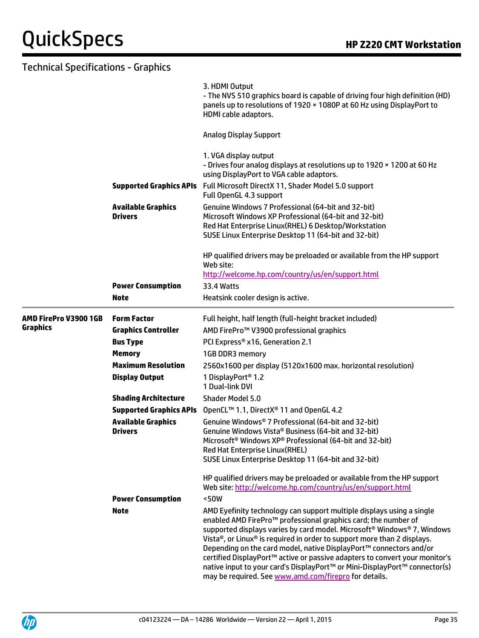### Technical Specifications - Graphics 3. HDMI Output - The NVS 510 graphics board is capable of driving four high definition (HD) panels up to resolutions of 1920 × 1080P at 60 Hz using DisplayPort to HDMI cable adaptors.

Analog Display Support

|                       |                                             | <b>Analog Display Support</b>                                                                                                                                                                                                                                                                                                                                                                                                                                                                                                                                                                                     |
|-----------------------|---------------------------------------------|-------------------------------------------------------------------------------------------------------------------------------------------------------------------------------------------------------------------------------------------------------------------------------------------------------------------------------------------------------------------------------------------------------------------------------------------------------------------------------------------------------------------------------------------------------------------------------------------------------------------|
|                       |                                             | 1. VGA display output<br>- Drives four analog displays at resolutions up to 1920 x 1200 at 60 Hz<br>using DisplayPort to VGA cable adaptors.                                                                                                                                                                                                                                                                                                                                                                                                                                                                      |
|                       |                                             | Supported Graphics APIs Full Microsoft DirectX 11, Shader Model 5.0 support<br>Full OpenGL 4.3 support                                                                                                                                                                                                                                                                                                                                                                                                                                                                                                            |
|                       | <b>Available Graphics</b><br><b>Drivers</b> | Genuine Windows 7 Professional (64-bit and 32-bit)<br>Microsoft Windows XP Professional (64-bit and 32-bit)<br>Red Hat Enterprise Linux(RHEL) 6 Desktop/Workstation<br>SUSE Linux Enterprise Desktop 11 (64-bit and 32-bit)                                                                                                                                                                                                                                                                                                                                                                                       |
|                       |                                             | HP qualified drivers may be preloaded or available from the HP support<br>Web site:<br>http://welcome.hp.com/country/us/en/support.html                                                                                                                                                                                                                                                                                                                                                                                                                                                                           |
|                       | <b>Power Consumption</b>                    | <b>33.4 Watts</b>                                                                                                                                                                                                                                                                                                                                                                                                                                                                                                                                                                                                 |
|                       | <b>Note</b>                                 | Heatsink cooler design is active.                                                                                                                                                                                                                                                                                                                                                                                                                                                                                                                                                                                 |
| AMD FirePro V3900 1GB | <b>Form Factor</b>                          | Full height, half length (full-height bracket included)                                                                                                                                                                                                                                                                                                                                                                                                                                                                                                                                                           |
| Graphics              | <b>Graphics Controller</b>                  | AMD FirePro™ V3900 professional graphics                                                                                                                                                                                                                                                                                                                                                                                                                                                                                                                                                                          |
|                       | <b>Bus Type</b>                             | PCI Express® x16, Generation 2.1                                                                                                                                                                                                                                                                                                                                                                                                                                                                                                                                                                                  |
|                       | <b>Memory</b>                               | 1GB DDR3 memory                                                                                                                                                                                                                                                                                                                                                                                                                                                                                                                                                                                                   |
|                       | <b>Maximum Resolution</b>                   | 2560x1600 per display (5120x1600 max. horizontal resolution)                                                                                                                                                                                                                                                                                                                                                                                                                                                                                                                                                      |
|                       | <b>Display Output</b>                       | 1 DisplayPort <sup>®</sup> 1.2<br>1 Dual-link DVI                                                                                                                                                                                                                                                                                                                                                                                                                                                                                                                                                                 |
|                       | <b>Shading Architecture</b>                 | Shader Model 5.0                                                                                                                                                                                                                                                                                                                                                                                                                                                                                                                                                                                                  |
|                       | <b>Supported Graphics APIs</b>              | OpenCL™ 1.1, DirectX® 11 and OpenGL 4.2                                                                                                                                                                                                                                                                                                                                                                                                                                                                                                                                                                           |
|                       | <b>Available Graphics</b><br><b>Drivers</b> | Genuine Windows <sup>®</sup> 7 Professional (64-bit and 32-bit)<br>Genuine Windows Vista® Business (64-bit and 32-bit)<br>Microsoft <sup>®</sup> Windows XP® Professional (64-bit and 32-bit)<br>Red Hat Enterprise Linux(RHEL)<br>SUSE Linux Enterprise Desktop 11 (64-bit and 32-bit)                                                                                                                                                                                                                                                                                                                           |
|                       |                                             | HP qualified drivers may be preloaded or available from the HP support<br>Web site: http://welcome.hp.com/country/us/en/support.html                                                                                                                                                                                                                                                                                                                                                                                                                                                                              |
|                       | <b>Power Consumption</b>                    | <50W                                                                                                                                                                                                                                                                                                                                                                                                                                                                                                                                                                                                              |
|                       | <b>Note</b>                                 | AMD Eyefinity technology can support multiple displays using a single<br>enabled AMD FirePro <sup>™</sup> professional graphics card; the number of<br>supported displays varies by card model. Microsoft <sup>®</sup> Windows® 7, Windows<br>Vista®, or Linux® is required in order to support more than 2 displays.<br>Depending on the card model, native DisplayPort™ connectors and/or<br>certified DisplayPort™ active or passive adapters to convert your monitor's<br>native input to your card's DisplayPort™ or Mini-DisplayPort™ connector(s)<br>may be required. See www.amd.com/firepro for details. |

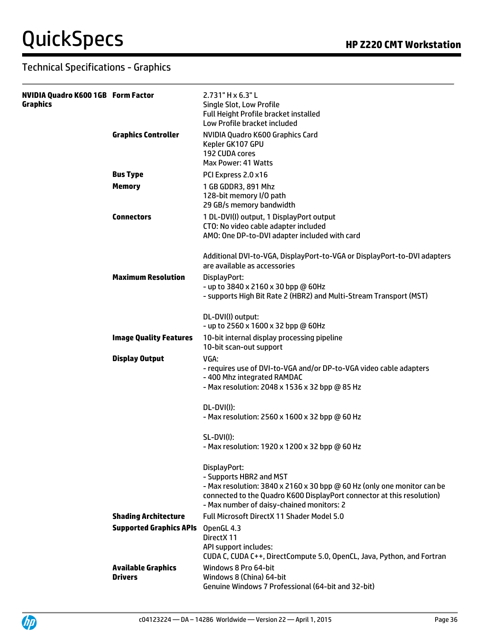| <b>NVIDIA Quadro K600 1GB Form Factor</b><br><b>Graphics</b> |                                             | 2.731" H x 6.3" L<br>Single Slot, Low Profile<br><b>Full Height Profile bracket installed</b><br>Low Profile bracket included                                                                                                             |
|--------------------------------------------------------------|---------------------------------------------|-------------------------------------------------------------------------------------------------------------------------------------------------------------------------------------------------------------------------------------------|
|                                                              | <b>Graphics Controller</b>                  | NVIDIA Quadro K600 Graphics Card<br>Kepler GK107 GPU<br>192 CUDA cores<br>Max Power: 41 Watts                                                                                                                                             |
|                                                              | <b>Bus Type</b>                             | PCI Express 2.0 x16                                                                                                                                                                                                                       |
|                                                              | <b>Memory</b>                               | 1 GB GDDR3, 891 Mhz<br>128-bit memory I/O path<br>29 GB/s memory bandwidth                                                                                                                                                                |
|                                                              | <b>Connectors</b>                           | 1 DL-DVI(I) output, 1 DisplayPort output<br>CTO: No video cable adapter included<br>AMO: One DP-to-DVI adapter included with card                                                                                                         |
|                                                              |                                             | Additional DVI-to-VGA, DisplayPort-to-VGA or DisplayPort-to-DVI adapters<br>are available as accessories                                                                                                                                  |
|                                                              | <b>Maximum Resolution</b>                   | DisplayPort:<br>- up to 3840 x 2160 x 30 bpp @ 60Hz<br>- supports High Bit Rate 2 (HBR2) and Multi-Stream Transport (MST)                                                                                                                 |
|                                                              |                                             | DL-DVI(I) output:<br>- up to 2560 x 1600 x 32 bpp @ 60Hz                                                                                                                                                                                  |
|                                                              | <b>Image Quality Features</b>               | 10-bit internal display processing pipeline<br>10-bit scan-out support                                                                                                                                                                    |
|                                                              | <b>Display Output</b>                       | VGA:<br>- requires use of DVI-to-VGA and/or DP-to-VGA video cable adapters<br>-400 Mhz integrated RAMDAC<br>- Max resolution: 2048 x 1536 x 32 bpp @ 85 Hz                                                                                |
|                                                              |                                             | DL-DVI(I):<br>- Max resolution: 2560 x 1600 x 32 bpp @ 60 Hz                                                                                                                                                                              |
|                                                              |                                             | <b>SL-DVI(I):</b><br>- Max resolution: 1920 x 1200 x 32 bpp @ 60 Hz                                                                                                                                                                       |
|                                                              |                                             | DisplayPort:<br>- Supports HBR2 and MST<br>- Max resolution: 3840 x 2160 x 30 bpp @ 60 Hz (only one monitor can be<br>connected to the Quadro K600 DisplayPort connector at this resolution)<br>- Max number of daisy-chained monitors: 2 |
|                                                              | <b>Shading Architecture</b>                 | Full Microsoft DirectX 11 Shader Model 5.0                                                                                                                                                                                                |
|                                                              | <b>Supported Graphics APIs</b>              | OpenGL 4.3<br>DirectX 11<br>API support includes:<br>CUDA C, CUDA C++, DirectCompute 5.0, OpenCL, Java, Python, and Fortran                                                                                                               |
|                                                              | <b>Available Graphics</b><br><b>Drivers</b> | Windows 8 Pro 64-bit<br>Windows 8 (China) 64-bit<br>Genuine Windows 7 Professional (64-bit and 32-bit)                                                                                                                                    |

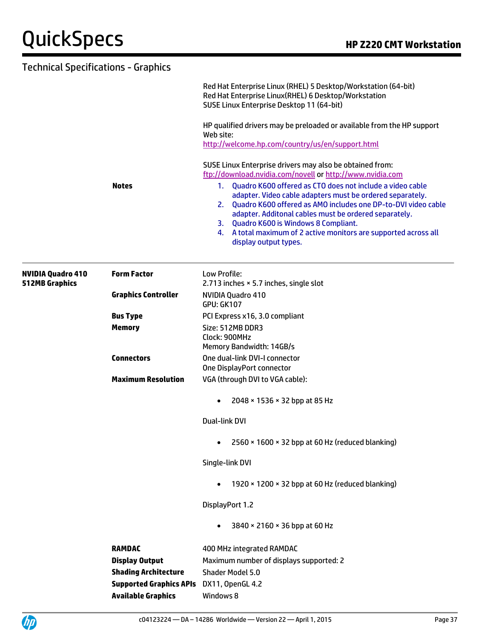| Technical Specifications - Graphics               |                            |                                                                                                                                                                                                                                                                                                                                                                                                  |
|---------------------------------------------------|----------------------------|--------------------------------------------------------------------------------------------------------------------------------------------------------------------------------------------------------------------------------------------------------------------------------------------------------------------------------------------------------------------------------------------------|
|                                                   |                            | Red Hat Enterprise Linux (RHEL) 5 Desktop/Workstation (64-bit)<br>Red Hat Enterprise Linux(RHEL) 6 Desktop/Workstation<br>SUSE Linux Enterprise Desktop 11 (64-bit)                                                                                                                                                                                                                              |
|                                                   |                            | HP qualified drivers may be preloaded or available from the HP support<br>Web site:<br>http://welcome.hp.com/country/us/en/support.html                                                                                                                                                                                                                                                          |
|                                                   |                            | SUSE Linux Enterprise drivers may also be obtained from:<br>ftp://download.nvidia.com/novell or http://www.nvidia.com                                                                                                                                                                                                                                                                            |
|                                                   | <b>Notes</b>               | Quadro K600 offered as CTO does not include a video cable<br>1.<br>adapter. Video cable adapters must be ordered separately.<br>2. Quadro K600 offered as AMO includes one DP-to-DVI video cable<br>adapter. Additonal cables must be ordered separately.<br>3. Quadro K600 is Windows 8 Compliant.<br>4. A total maximum of 2 active monitors are supported across all<br>display output types. |
| <b>NVIDIA Quadro 410</b><br><b>512MB Graphics</b> | <b>Form Factor</b>         | Low Profile:<br>2.713 inches × 5.7 inches, single slot                                                                                                                                                                                                                                                                                                                                           |
|                                                   | <b>Graphics Controller</b> | NVIDIA Quadro 410<br><b>GPU: GK107</b>                                                                                                                                                                                                                                                                                                                                                           |
|                                                   | <b>Bus Type</b>            | PCI Express x16, 3.0 compliant                                                                                                                                                                                                                                                                                                                                                                   |
|                                                   | <b>Memory</b>              | Size: 512MB DDR3<br>Clock: 900MHz<br>Memory Bandwidth: 14GB/s                                                                                                                                                                                                                                                                                                                                    |
|                                                   | <b>Connectors</b>          | One dual-link DVI-I connector<br>One DisplayPort connector                                                                                                                                                                                                                                                                                                                                       |
|                                                   | <b>Maximum Resolution</b>  | VGA (through DVI to VGA cable):                                                                                                                                                                                                                                                                                                                                                                  |
|                                                   |                            | 2048 × 1536 × 32 bpp at 85 Hz<br>$\bullet$                                                                                                                                                                                                                                                                                                                                                       |
|                                                   |                            | Dual-link DVI                                                                                                                                                                                                                                                                                                                                                                                    |
|                                                   |                            | 2560 × 1600 × 32 bpp at 60 Hz (reduced blanking)<br>$\bullet$                                                                                                                                                                                                                                                                                                                                    |
|                                                   |                            | Single-link DVI                                                                                                                                                                                                                                                                                                                                                                                  |

1920 × 1200 × 32 bpp at 60 Hz (reduced blanking)

DisplayPort 1.2

3840 × 2160 × 36 bpp at 60 Hz

| <b>RAMDAC</b>                                   | 400 MHz integrated RAMDAC               |
|-------------------------------------------------|-----------------------------------------|
| <b>Display Output</b>                           | Maximum number of displays supported: 2 |
| <b>Shading Architecture</b>                     | Shader Model 5.0                        |
| <b>Supported Graphics APIs</b> DX11, OpenGL 4.2 |                                         |
| <b>Available Graphics</b>                       | Windows 8                               |

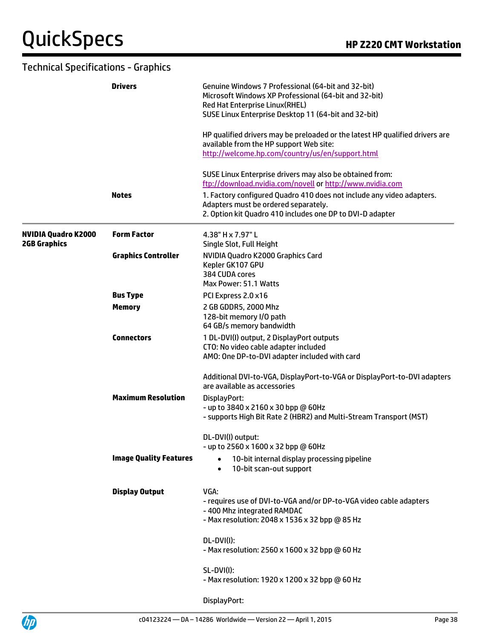|                                                   | <b>Drivers</b>                | Genuine Windows 7 Professional (64-bit and 32-bit)<br>Microsoft Windows XP Professional (64-bit and 32-bit)<br>Red Hat Enterprise Linux(RHEL)<br>SUSE Linux Enterprise Desktop 11 (64-bit and 32-bit) |
|---------------------------------------------------|-------------------------------|-------------------------------------------------------------------------------------------------------------------------------------------------------------------------------------------------------|
|                                                   |                               | HP qualified drivers may be preloaded or the latest HP qualified drivers are<br>available from the HP support Web site:<br>http://welcome.hp.com/country/us/en/support.html                           |
|                                                   |                               | SUSE Linux Enterprise drivers may also be obtained from:<br>ftp://download.nvidia.com/novell or http://www.nvidia.com                                                                                 |
|                                                   | <b>Notes</b>                  | 1. Factory configured Quadro 410 does not include any video adapters.<br>Adapters must be ordered separately.<br>2. Option kit Quadro 410 includes one DP to DVI-D adapter                            |
| <b>NVIDIA Quadro K2000</b><br><b>2GB Graphics</b> | <b>Form Factor</b>            | 4.38" H x 7.97" L<br>Single Slot, Full Height                                                                                                                                                         |
|                                                   | <b>Graphics Controller</b>    | NVIDIA Quadro K2000 Graphics Card<br>Kepler GK107 GPU<br>384 CUDA cores<br>Max Power: 51.1 Watts                                                                                                      |
|                                                   | <b>Bus Type</b>               | PCI Express 2.0 x16                                                                                                                                                                                   |
|                                                   | <b>Memory</b>                 | 2 GB GDDR5, 2000 Mhz<br>128-bit memory I/O path<br>64 GB/s memory bandwidth                                                                                                                           |
|                                                   | <b>Connectors</b>             | 1 DL-DVI(I) output, 2 DisplayPort outputs<br>CTO: No video cable adapter included<br>AMO: One DP-to-DVI adapter included with card                                                                    |
|                                                   |                               | Additional DVI-to-VGA, DisplayPort-to-VGA or DisplayPort-to-DVI adapters<br>are available as accessories                                                                                              |
|                                                   | <b>Maximum Resolution</b>     | DisplayPort:<br>- up to 3840 x 2160 x 30 bpp @ 60Hz<br>- supports High Bit Rate 2 (HBR2) and Multi-Stream Transport (MST)                                                                             |
|                                                   |                               | DL-DVI(I) output:<br>- up to 2560 x 1600 x 32 bpp @ 60Hz                                                                                                                                              |
|                                                   | <b>Image Quality Features</b> | 10-bit internal display processing pipeline<br>$\bullet$<br>10-bit scan-out support<br>$\bullet$                                                                                                      |
|                                                   | <b>Display Output</b>         | VGA:<br>- requires use of DVI-to-VGA and/or DP-to-VGA video cable adapters<br>-400 Mhz integrated RAMDAC<br>- Max resolution: 2048 x 1536 x 32 bpp @ 85 Hz                                            |
|                                                   |                               | DL-DVI(I):<br>- Max resolution: 2560 x 1600 x 32 bpp @ 60 Hz                                                                                                                                          |
|                                                   |                               | SL-DVI(I):<br>- Max resolution: 1920 x 1200 x 32 bpp @ 60 Hz                                                                                                                                          |
|                                                   |                               | DisplayPort:                                                                                                                                                                                          |

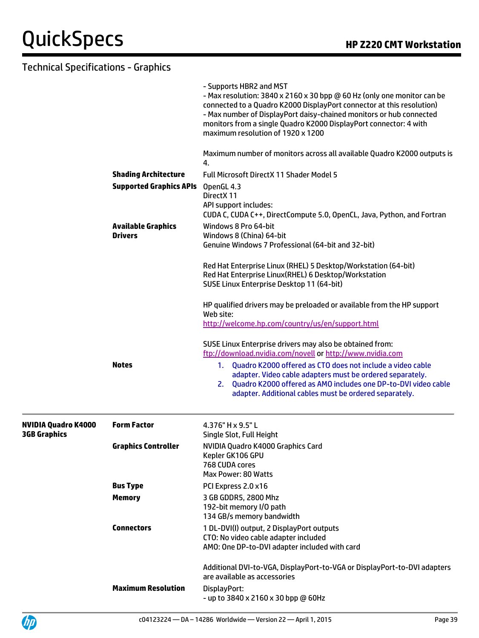|                                     |                                             | - Supports HBR2 and MST<br>- Max resolution: 3840 x 2160 x 30 bpp @ 60 Hz (only one monitor can be<br>connected to a Quadro K2000 DisplayPort connector at this resolution)<br>- Max number of DisplayPort daisy-chained monitors or hub connected<br>monitors from a single Quadro K2000 DisplayPort connector: 4 with<br>maximum resolution of 1920 x 1200 |
|-------------------------------------|---------------------------------------------|--------------------------------------------------------------------------------------------------------------------------------------------------------------------------------------------------------------------------------------------------------------------------------------------------------------------------------------------------------------|
|                                     |                                             | Maximum number of monitors across all available Quadro K2000 outputs is<br>4.                                                                                                                                                                                                                                                                                |
|                                     | <b>Shading Architecture</b>                 | <b>Full Microsoft DirectX 11 Shader Model 5</b>                                                                                                                                                                                                                                                                                                              |
|                                     | <b>Supported Graphics APIs</b>              | OpenGL 4.3<br>DirectX 11<br>API support includes:<br>CUDA C, CUDA C++, DirectCompute 5.0, OpenCL, Java, Python, and Fortran                                                                                                                                                                                                                                  |
|                                     | <b>Available Graphics</b><br><b>Drivers</b> | Windows 8 Pro 64-bit<br>Windows 8 (China) 64-bit<br>Genuine Windows 7 Professional (64-bit and 32-bit)                                                                                                                                                                                                                                                       |
|                                     |                                             | Red Hat Enterprise Linux (RHEL) 5 Desktop/Workstation (64-bit)<br>Red Hat Enterprise Linux(RHEL) 6 Desktop/Workstation<br>SUSE Linux Enterprise Desktop 11 (64-bit)                                                                                                                                                                                          |
|                                     |                                             | HP qualified drivers may be preloaded or available from the HP support<br>Web site:<br>http://welcome.hp.com/country/us/en/support.html                                                                                                                                                                                                                      |
|                                     |                                             | SUSE Linux Enterprise drivers may also be obtained from:<br>ftp://download.nvidia.com/novell or http://www.nvidia.com                                                                                                                                                                                                                                        |
|                                     | <b>Notes</b>                                | 1. Quadro K2000 offered as CTO does not include a video cable<br>adapter. Video cable adapters must be ordered separately.<br>2. Quadro K2000 offered as AMO includes one DP-to-DVI video cable<br>adapter. Additional cables must be ordered separately.                                                                                                    |
| NVIDIA Quadro K4000<br>3GB Graphics | <b>Form Factor</b>                          | 4.376" H x 9.5" L<br>Single Slot, Full Height                                                                                                                                                                                                                                                                                                                |
|                                     | <b>Graphics Controller</b>                  | NVIDIA Quadro K4000 Graphics Card<br>Kepler GK106 GPU<br>768 CUDA cores<br>Max Power: 80 Watts                                                                                                                                                                                                                                                               |
|                                     | <b>Bus Type</b>                             | PCI Express 2.0 x16                                                                                                                                                                                                                                                                                                                                          |
|                                     | <b>Memory</b>                               | 3 GB GDDR5, 2800 Mhz<br>192-bit memory I/O path<br>134 GB/s memory bandwidth                                                                                                                                                                                                                                                                                 |
|                                     | <b>Connectors</b>                           | 1 DL-DVI(I) output, 2 DisplayPort outputs<br>CTO: No video cable adapter included<br>AMO: One DP-to-DVI adapter included with card                                                                                                                                                                                                                           |
|                                     |                                             | Additional DVI-to-VGA, DisplayPort-to-VGA or DisplayPort-to-DVI adapters<br>are available as accessories                                                                                                                                                                                                                                                     |
|                                     | <b>Maximum Resolution</b>                   | DisplayPort:<br>- up to 3840 x 2160 x 30 bpp @ 60Hz                                                                                                                                                                                                                                                                                                          |

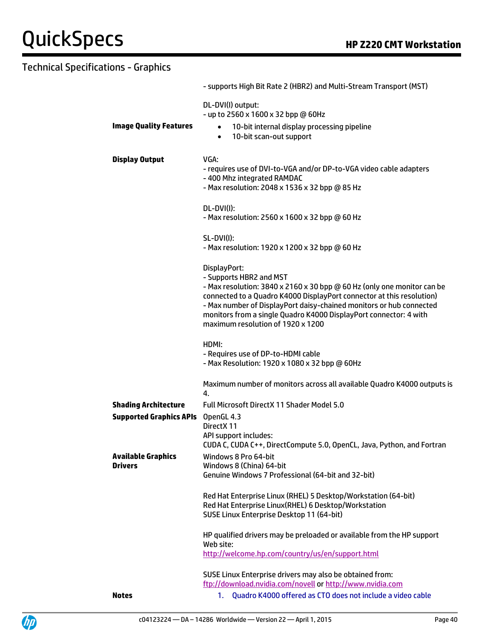|                                                               | - supports High Bit Rate 2 (HBR2) and Multi-Stream Transport (MST)                                                                                                                                                                                                                                                                                                           |
|---------------------------------------------------------------|------------------------------------------------------------------------------------------------------------------------------------------------------------------------------------------------------------------------------------------------------------------------------------------------------------------------------------------------------------------------------|
| <b>Image Quality Features</b>                                 | DL-DVI(I) output:<br>- up to 2560 x 1600 x 32 bpp @ 60Hz<br>10-bit internal display processing pipeline<br>$\bullet$<br>10-bit scan-out support<br>$\bullet$                                                                                                                                                                                                                 |
| <b>Display Output</b>                                         | VGA:<br>- requires use of DVI-to-VGA and/or DP-to-VGA video cable adapters<br>-400 Mhz integrated RAMDAC<br>- Max resolution: 2048 x 1536 x 32 bpp @ 85 Hz                                                                                                                                                                                                                   |
|                                                               | DL-DVI(I):<br>- Max resolution: 2560 x 1600 x 32 bpp @ 60 Hz                                                                                                                                                                                                                                                                                                                 |
|                                                               | <b>SL-DVI(I):</b><br>- Max resolution: 1920 x 1200 x 32 bpp @ 60 Hz                                                                                                                                                                                                                                                                                                          |
|                                                               | DisplayPort:<br>- Supports HBR2 and MST<br>- Max resolution: 3840 x 2160 x 30 bpp @ 60 Hz (only one monitor can be<br>connected to a Quadro K4000 DisplayPort connector at this resolution)<br>- Max number of DisplayPort daisy-chained monitors or hub connected<br>monitors from a single Quadro K4000 DisplayPort connector: 4 with<br>maximum resolution of 1920 x 1200 |
|                                                               | HDMI:<br>- Requires use of DP-to-HDMI cable<br>- Max Resolution: 1920 x 1080 x 32 bpp @ 60Hz                                                                                                                                                                                                                                                                                 |
|                                                               | Maximum number of monitors across all available Quadro K4000 outputs is<br>4.                                                                                                                                                                                                                                                                                                |
| <b>Shading Architecture</b><br><b>Supported Graphics APIs</b> | <b>Full Microsoft DirectX 11 Shader Model 5.0</b><br>OpenGL 4.3<br>DirectX 11<br>API support includes:<br>CUDA C, CUDA C++, DirectCompute 5.0, OpenCL, Java, Python, and Fortran                                                                                                                                                                                             |
| <b>Available Graphics</b><br><b>Drivers</b>                   | Windows 8 Pro 64-bit<br>Windows 8 (China) 64-bit<br>Genuine Windows 7 Professional (64-bit and 32-bit)                                                                                                                                                                                                                                                                       |
|                                                               | Red Hat Enterprise Linux (RHEL) 5 Desktop/Workstation (64-bit)<br>Red Hat Enterprise Linux(RHEL) 6 Desktop/Workstation<br>SUSE Linux Enterprise Desktop 11 (64-bit)                                                                                                                                                                                                          |
|                                                               | HP qualified drivers may be preloaded or available from the HP support<br>Web site:<br>http://welcome.hp.com/country/us/en/support.html                                                                                                                                                                                                                                      |
|                                                               | SUSE Linux Enterprise drivers may also be obtained from:<br>ftp://download.nvidia.com/novell or http://www.nvidia.com                                                                                                                                                                                                                                                        |
| <b>Notes</b>                                                  | Quadro K4000 offered as CTO does not include a video cable<br>1.                                                                                                                                                                                                                                                                                                             |

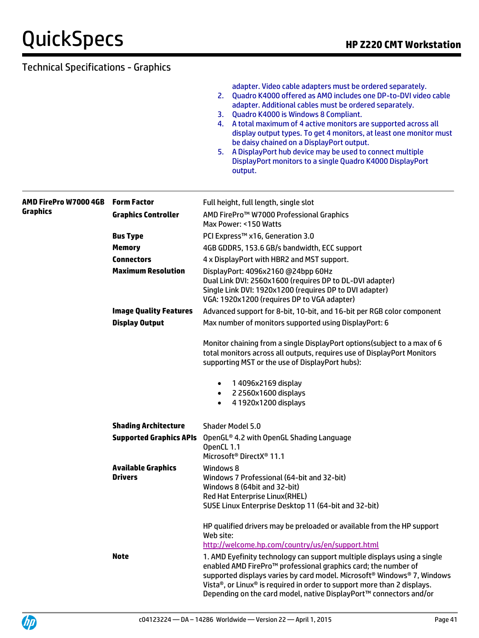adapter. Video cable adapters must be ordered separately.

- 2. Quadro K4000 offered as AMO includes one DP-to-DVI video cable adapter. Additional cables must be ordered separately.
- 3. Quadro K4000 is Windows 8 Compliant.
- 4. A total maximum of 4 active monitors are supported across all display output types. To get 4 monitors, at least one monitor must be daisy chained on a DisplayPort output.
- 5. A DisplayPort hub device may be used to connect multiple DisplayPort monitors to a single Quadro K4000 DisplayPort output.

| AMD FirePro W7000 4GB | <b>Form Factor</b>             | Full height, full length, single slot                                                                                                                                                                                                                                                                                                                                              |
|-----------------------|--------------------------------|------------------------------------------------------------------------------------------------------------------------------------------------------------------------------------------------------------------------------------------------------------------------------------------------------------------------------------------------------------------------------------|
| Graphics              | <b>Graphics Controller</b>     | AMD FirePro™ W7000 Professional Graphics<br>Max Power: <150 Watts                                                                                                                                                                                                                                                                                                                  |
|                       | <b>Bus Type</b>                | PCI Express™ x16, Generation 3.0                                                                                                                                                                                                                                                                                                                                                   |
|                       | <b>Memory</b>                  | 4GB GDDR5, 153.6 GB/s bandwidth, ECC support                                                                                                                                                                                                                                                                                                                                       |
|                       | <b>Connectors</b>              | 4 x DisplayPort with HBR2 and MST support.                                                                                                                                                                                                                                                                                                                                         |
|                       | <b>Maximum Resolution</b>      | DisplayPort: 4096x2160 @24bpp 60Hz<br>Dual Link DVI: 2560x1600 (requires DP to DL-DVI adapter)<br>Single Link DVI: 1920x1200 (requires DP to DVI adapter)<br>VGA: 1920x1200 (requires DP to VGA adapter)                                                                                                                                                                           |
|                       | <b>Image Quality Features</b>  | Advanced support for 8-bit, 10-bit, and 16-bit per RGB color component                                                                                                                                                                                                                                                                                                             |
|                       | <b>Display Output</b>          | Max number of monitors supported using DisplayPort: 6                                                                                                                                                                                                                                                                                                                              |
|                       |                                | Monitor chaining from a single DisplayPort options(subject to a max of 6<br>total monitors across all outputs, requires use of DisplayPort Monitors<br>supporting MST or the use of DisplayPort hubs):                                                                                                                                                                             |
|                       |                                | 1 4096x2169 display<br>$\bullet$                                                                                                                                                                                                                                                                                                                                                   |
|                       |                                | 2 2560x1600 displays<br>$\bullet$                                                                                                                                                                                                                                                                                                                                                  |
|                       |                                | 4 1920x1200 displays                                                                                                                                                                                                                                                                                                                                                               |
|                       | <b>Shading Architecture</b>    | Shader Model 5.0                                                                                                                                                                                                                                                                                                                                                                   |
|                       | <b>Supported Graphics APIs</b> | OpenGL® 4.2 with OpenGL Shading Language<br>OpenCL 1.1<br>Microsoft <sup>®</sup> DirectX <sup>®</sup> 11.1                                                                                                                                                                                                                                                                         |
|                       | <b>Available Graphics</b>      | Windows 8                                                                                                                                                                                                                                                                                                                                                                          |
|                       | <b>Drivers</b>                 | Windows 7 Professional (64-bit and 32-bit)                                                                                                                                                                                                                                                                                                                                         |
|                       |                                | Windows 8 (64bit and 32-bit)                                                                                                                                                                                                                                                                                                                                                       |
|                       |                                | Red Hat Enterprise Linux(RHEL)<br>SUSE Linux Enterprise Desktop 11 (64-bit and 32-bit)                                                                                                                                                                                                                                                                                             |
|                       |                                |                                                                                                                                                                                                                                                                                                                                                                                    |
|                       |                                | HP qualified drivers may be preloaded or available from the HP support<br>Web site:                                                                                                                                                                                                                                                                                                |
|                       |                                | http://welcome.hp.com/country/us/en/support.html                                                                                                                                                                                                                                                                                                                                   |
|                       | <b>Note</b>                    | 1. AMD Eyefinity technology can support multiple displays using a single<br>enabled AMD FirePro™ professional graphics card; the number of<br>supported displays varies by card model. Microsoft <sup>®</sup> Windows® 7, Windows<br>Vista®, or Linux® is required in order to support more than 2 displays.<br>Depending on the card model, native DisplayPort™ connectors and/or |

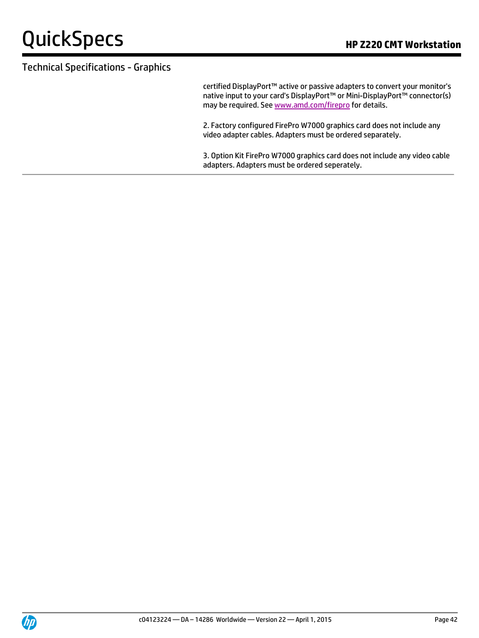certified DisplayPort™ active or passive adapters to convert your monitor's native input to your card's DisplayPort™ or Mini-DisplayPort™ connector(s) may be required. Se[e www.amd.com/firepro](http://www.amd.com/firepro) for details.

2. Factory configured FirePro W7000 graphics card does not include any video adapter cables. Adapters must be ordered separately.

3. Option Kit FirePro W7000 graphics card does not include any video cable adapters. Adapters must be ordered seperately.

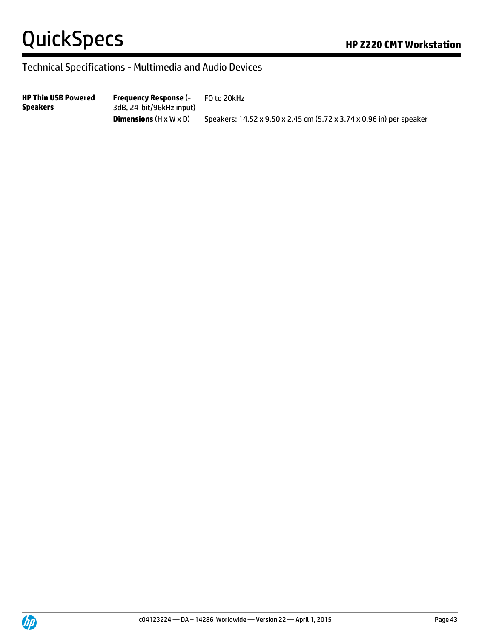### Technical Specifications - Multimedia and Audio Devices

**HP Thin USB Powered Speakers Frequency Response** (- 3dB, 24-bit/96kHz input) FO to 20kHz **Dimensions** (H x W x D) Speakers: 14.52 x 9.50 x 2.45 cm (5.72 x 3.74 x 0.96 in) per speaker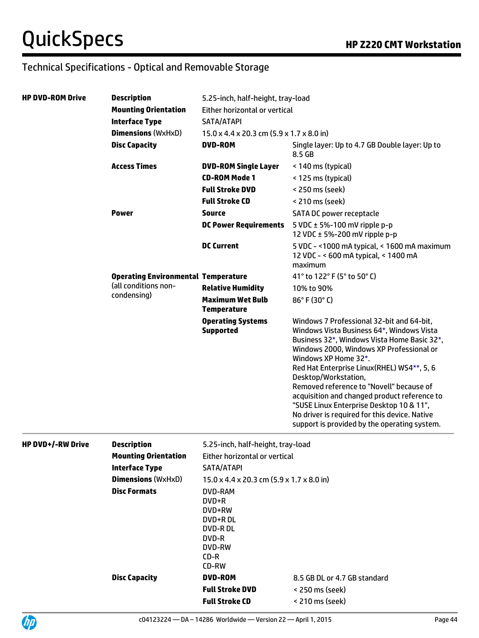| HP DVD-ROM Drive | <b>Description</b><br>5.25-inch, half-height, tray-load                           |                                               |                                                                                                                                                                                                                                                                                                                                                                                                                                                                                                                          |  |
|------------------|-----------------------------------------------------------------------------------|-----------------------------------------------|--------------------------------------------------------------------------------------------------------------------------------------------------------------------------------------------------------------------------------------------------------------------------------------------------------------------------------------------------------------------------------------------------------------------------------------------------------------------------------------------------------------------------|--|
|                  | <b>Mounting Orientation</b>                                                       | Either horizontal or vertical                 |                                                                                                                                                                                                                                                                                                                                                                                                                                                                                                                          |  |
|                  | <b>Interface Type</b>                                                             | SATA/ATAPI                                    |                                                                                                                                                                                                                                                                                                                                                                                                                                                                                                                          |  |
|                  | <b>Dimensions (WxHxD)</b>                                                         | 15.0 x 4.4 x 20.3 cm (5.9 x 1.7 x 8.0 in)     |                                                                                                                                                                                                                                                                                                                                                                                                                                                                                                                          |  |
|                  | <b>Disc Capacity</b>                                                              | <b>DVD-ROM</b>                                | Single layer: Up to 4.7 GB Double layer: Up to<br>8.5 GB                                                                                                                                                                                                                                                                                                                                                                                                                                                                 |  |
|                  | <b>Access Times</b>                                                               | <b>DVD-ROM Single Layer</b>                   | < 140 ms (typical)                                                                                                                                                                                                                                                                                                                                                                                                                                                                                                       |  |
|                  |                                                                                   | <b>CD-ROM Mode 1</b>                          | < 125 ms (typical)                                                                                                                                                                                                                                                                                                                                                                                                                                                                                                       |  |
|                  |                                                                                   | <b>Full Stroke DVD</b>                        | < 250 ms (seek)                                                                                                                                                                                                                                                                                                                                                                                                                                                                                                          |  |
|                  |                                                                                   | <b>Full Stroke CD</b>                         | < 210 ms (seek)                                                                                                                                                                                                                                                                                                                                                                                                                                                                                                          |  |
|                  | <b>Power</b>                                                                      | <b>Source</b>                                 | SATA DC power receptacle                                                                                                                                                                                                                                                                                                                                                                                                                                                                                                 |  |
|                  |                                                                                   | <b>DC Power Requirements</b>                  | 5 VDC $\pm$ 5%-100 mV ripple p-p<br>12 VDC $\pm$ 5%-200 mV ripple p-p                                                                                                                                                                                                                                                                                                                                                                                                                                                    |  |
|                  |                                                                                   | <b>DC Current</b>                             | 5 VDC - < 1000 mA typical, < 1600 mA maximum<br>12 VDC - < 600 mA typical, < 1400 mA<br>maximum                                                                                                                                                                                                                                                                                                                                                                                                                          |  |
|                  | <b>Operating Environmental Temperature</b><br>(all conditions non-<br>condensing) |                                               | 41° to 122° F (5° to 50° C)                                                                                                                                                                                                                                                                                                                                                                                                                                                                                              |  |
|                  |                                                                                   | <b>Relative Humidity</b>                      | 10% to 90%                                                                                                                                                                                                                                                                                                                                                                                                                                                                                                               |  |
|                  |                                                                                   | <b>Maximum Wet Bulb</b><br><b>Temperature</b> | 86°F (30°C)                                                                                                                                                                                                                                                                                                                                                                                                                                                                                                              |  |
|                  |                                                                                   | <b>Operating Systems</b><br><b>Supported</b>  | Windows 7 Professional 32-bit and 64-bit.<br>Windows Vista Business 64*, Windows Vista<br>Business 32*, Windows Vista Home Basic 32*,<br>Windows 2000, Windows XP Professional or<br>Windows XP Home 32*.<br>Red Hat Enterprise Linux(RHEL) WS4**, 5, 6<br>Desktop/Workstation,<br>Removed reference to "Novell" because of<br>acquisition and changed product reference to<br>"SUSE Linux Enterprise Desktop 10 & 11",<br>No driver is required for this device. Native<br>support is provided by the operating system. |  |

| <b>HP DVD+/-RW Drive</b> | <b>Description</b>          | 5.25-inch, half-height, tray-load                                                        |                              |  |
|--------------------------|-----------------------------|------------------------------------------------------------------------------------------|------------------------------|--|
|                          | <b>Mounting Orientation</b> | Either horizontal or vertical                                                            |                              |  |
|                          | Interface Type              | SATA/ATAPI                                                                               |                              |  |
|                          | <b>Dimensions</b> (WxHxD)   | $15.0 \times 4.4 \times 20.3$ cm $(5.9 \times 1.7 \times 8.0$ in)                        |                              |  |
|                          | <b>Disc Formats</b>         | DVD-RAM<br>$DVD+R$<br>DVD+RW<br>DVD+R DL<br>DVD-R DL<br>DVD-R<br>DVD-RW<br>CD-R<br>CD-RW |                              |  |
|                          | <b>Disc Capacity</b>        | <b>DVD-ROM</b>                                                                           | 8.5 GB DL or 4.7 GB standard |  |
|                          |                             | <b>Full Stroke DVD</b>                                                                   | < 250 ms (seek)              |  |
|                          |                             | <b>Full Stroke CD</b>                                                                    | < 210 ms (seek)              |  |

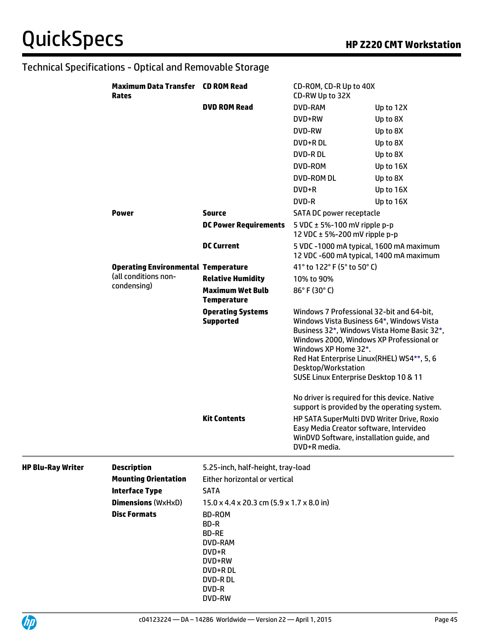|                          | <b>Maximum Data Transfer CD ROM Read</b><br><b>Rates</b> |                                                                                                               | CD-ROM, CD-R Up to 40X<br>CD-RW Up to 32X                                                                                                                                                                                                                                                                               |           |
|--------------------------|----------------------------------------------------------|---------------------------------------------------------------------------------------------------------------|-------------------------------------------------------------------------------------------------------------------------------------------------------------------------------------------------------------------------------------------------------------------------------------------------------------------------|-----------|
|                          |                                                          | <b>DVD ROM Read</b>                                                                                           | DVD-RAM                                                                                                                                                                                                                                                                                                                 | Up to 12X |
|                          |                                                          |                                                                                                               | DVD+RW                                                                                                                                                                                                                                                                                                                  | Up to 8X  |
|                          |                                                          |                                                                                                               | <b>DVD-RW</b>                                                                                                                                                                                                                                                                                                           | Up to 8X  |
|                          |                                                          |                                                                                                               | DVD+R DL                                                                                                                                                                                                                                                                                                                | Up to 8X  |
|                          |                                                          |                                                                                                               | <b>DVD-RDL</b>                                                                                                                                                                                                                                                                                                          | Up to 8X  |
|                          |                                                          |                                                                                                               | DVD-ROM                                                                                                                                                                                                                                                                                                                 | Up to 16X |
|                          |                                                          |                                                                                                               | <b>DVD-ROM DL</b>                                                                                                                                                                                                                                                                                                       | Up to 8X  |
|                          |                                                          |                                                                                                               | DVD+R                                                                                                                                                                                                                                                                                                                   | Up to 16X |
|                          |                                                          |                                                                                                               | DVD-R                                                                                                                                                                                                                                                                                                                   | Up to 16X |
|                          | <b>Power</b>                                             | <b>Source</b>                                                                                                 | SATA DC power receptacle                                                                                                                                                                                                                                                                                                |           |
|                          |                                                          | <b>DC Power Requirements</b>                                                                                  | 5 VDC $\pm$ 5%-100 mV ripple p-p<br>12 VDC $\pm$ 5%-200 mV ripple p-p                                                                                                                                                                                                                                                   |           |
|                          |                                                          | <b>DC Current</b>                                                                                             | 5 VDC -1000 mA typical, 1600 mA maximum<br>12 VDC -600 mA typical, 1400 mA maximum                                                                                                                                                                                                                                      |           |
|                          | <b>Operating Environmental Temperature</b>               |                                                                                                               | 41° to 122° F (5° to 50° C)                                                                                                                                                                                                                                                                                             |           |
|                          | (all conditions non-                                     | <b>Relative Humidity</b>                                                                                      | 10% to 90%                                                                                                                                                                                                                                                                                                              |           |
|                          | condensing)                                              | <b>Maximum Wet Bulb</b><br><b>Temperature</b>                                                                 | 86°F (30°C)                                                                                                                                                                                                                                                                                                             |           |
|                          |                                                          | <b>Operating Systems</b><br><b>Supported</b>                                                                  | Windows 7 Professional 32-bit and 64-bit,<br>Windows Vista Business 64*, Windows Vista<br>Business 32*, Windows Vista Home Basic 32*,<br>Windows 2000, Windows XP Professional or<br>Windows XP Home 32*.<br>Red Hat Enterprise Linux(RHEL) WS4**, 5, 6<br>Desktop/Workstation<br>SUSE Linux Enterprise Desktop 10 & 11 |           |
|                          |                                                          |                                                                                                               | No driver is required for this device. Native<br>support is provided by the operating system.                                                                                                                                                                                                                           |           |
|                          |                                                          | <b>Kit Contents</b>                                                                                           | HP SATA SuperMulti DVD Writer Drive, Roxio<br>Easy Media Creator software, Intervideo<br>WinDVD Software, installation guide, and<br>DVD+R media.                                                                                                                                                                       |           |
| <b>HP Blu-Ray Writer</b> | <b>Description</b>                                       | 5.25-inch, half-height, tray-load                                                                             |                                                                                                                                                                                                                                                                                                                         |           |
|                          | <b>Mounting Orientation</b>                              | Either horizontal or vertical                                                                                 |                                                                                                                                                                                                                                                                                                                         |           |
|                          | <b>Interface Type</b>                                    | <b>SATA</b>                                                                                                   |                                                                                                                                                                                                                                                                                                                         |           |
|                          | <b>Dimensions (WxHxD)</b>                                | 15.0 x 4.4 x 20.3 cm (5.9 x 1.7 x 8.0 in)                                                                     |                                                                                                                                                                                                                                                                                                                         |           |
|                          | <b>Disc Formats</b>                                      | BD-ROM<br>BD-R<br><b>BD-RE</b><br>DVD-RAM<br>DVD+R<br>DVD+RW<br>DVD+R DL<br><b>DVD-RDL</b><br>DVD-R<br>DVD-RW |                                                                                                                                                                                                                                                                                                                         |           |

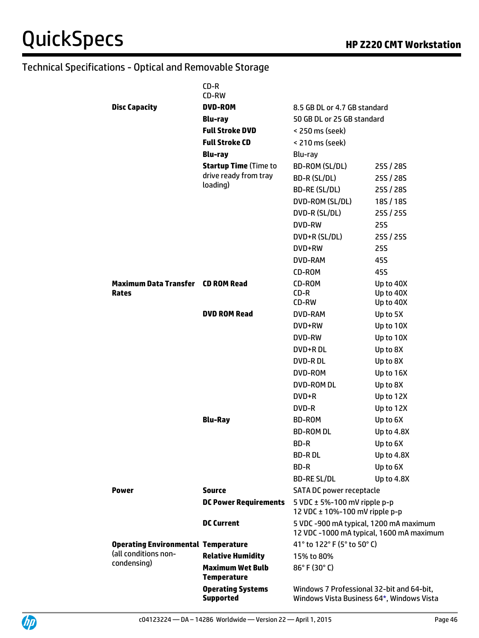|                                            | CD-R<br>CD-RW                                 |                                                                                        |            |
|--------------------------------------------|-----------------------------------------------|----------------------------------------------------------------------------------------|------------|
| <b>Disc Capacity</b>                       | DVD-ROM                                       | 8.5 GB DL or 4.7 GB standard                                                           |            |
|                                            | Blu-ray                                       | 50 GB DL or 25 GB standard                                                             |            |
|                                            | <b>Full Stroke DVD</b>                        | < 250 ms (seek)                                                                        |            |
|                                            | <b>Full Stroke CD</b>                         | < 210 ms (seek)                                                                        |            |
|                                            | <b>Blu-ray</b>                                | Blu-ray                                                                                |            |
|                                            | <b>Startup Time (Time to</b>                  | BD-ROM (SL/DL)                                                                         | 25S / 28S  |
|                                            | drive ready from tray                         | BD-R (SL/DL)                                                                           | 25S / 28S  |
|                                            | loading)                                      | BD-RE (SL/DL)                                                                          | 25S / 28S  |
|                                            |                                               | DVD-ROM (SL/DL)                                                                        | 18S/18S    |
|                                            |                                               | DVD-R (SL/DL)                                                                          | 25S/25S    |
|                                            |                                               | DVD-RW                                                                                 | <b>25S</b> |
|                                            |                                               | DVD+R (SL/DL)                                                                          | 25S / 25S  |
|                                            |                                               | DVD+RW                                                                                 | 255        |
|                                            |                                               | DVD-RAM                                                                                | 45S        |
|                                            |                                               | CD-ROM                                                                                 | 45S        |
| <b>Maximum Data Transfer CD ROM Read</b>   |                                               | CD-ROM                                                                                 | Up to 40X  |
| Rates                                      |                                               | $CD-R$                                                                                 | Up to 40X  |
|                                            |                                               | CD-RW                                                                                  | Up to 40X  |
|                                            | <b>DVD ROM Read</b>                           | DVD-RAM                                                                                | Up to 5X   |
|                                            |                                               | DVD+RW                                                                                 | Up to 10X  |
|                                            |                                               | DVD-RW                                                                                 | Up to 10X  |
|                                            |                                               | DVD+R DL                                                                               | Up to 8X   |
|                                            |                                               | <b>DVD-RDL</b>                                                                         | Up to 8X   |
|                                            |                                               | DVD-ROM                                                                                | Up to 16X  |
|                                            |                                               | <b>DVD-ROM DL</b>                                                                      | Up to 8X   |
|                                            |                                               | $DVD+R$                                                                                | Up to 12X  |
|                                            |                                               | DVD-R                                                                                  | Up to 12X  |
|                                            | <b>Blu-Ray</b>                                | <b>BD-ROM</b>                                                                          | Up to 6X   |
|                                            |                                               | <b>BD-ROM DL</b>                                                                       | Up to 4.8X |
|                                            |                                               | BD-R                                                                                   | Up to 6X   |
|                                            |                                               | <b>BD-RDL</b>                                                                          | Up to 4.8X |
|                                            |                                               | BD-R                                                                                   | Up to 6X   |
|                                            |                                               | <b>BD-RE SL/DL</b>                                                                     | Up to 4.8X |
| <b>Power</b>                               | <b>Source</b>                                 | SATA DC power receptacle                                                               |            |
|                                            | <b>DC Power Requirements</b>                  | 5 VDC $\pm$ 5%-100 mV ripple p-p<br>12 VDC ± 10%-100 mV ripple p-p                     |            |
|                                            | <b>DC Current</b>                             | 5 VDC -900 mA typical, 1200 mA maximum<br>12 VDC -1000 mA typical, 1600 mA maximum     |            |
| <b>Operating Environmental Temperature</b> |                                               | 41° to 122° F (5° to 50° C)                                                            |            |
| (all conditions non-                       | <b>Relative Humidity</b>                      | 15% to 80%                                                                             |            |
| condensing)                                | <b>Maximum Wet Bulb</b><br><b>Temperature</b> | 86°F (30°C)                                                                            |            |
|                                            | <b>Operating Systems</b><br><b>Supported</b>  | Windows 7 Professional 32-bit and 64-bit,<br>Windows Vista Business 64*, Windows Vista |            |

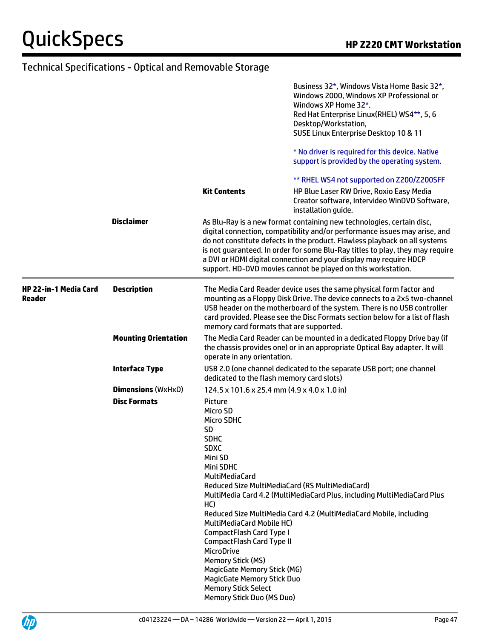|                                               |                             |                                                                                                                                                                                                                                                                                                                                                        | Business 32*, Windows Vista Home Basic 32*,<br>Windows 2000, Windows XP Professional or<br>Windows XP Home 32*.<br>Red Hat Enterprise Linux(RHEL) WS4**, 5, 6<br>Desktop/Workstation,                                                                                                                                                                                                                                                                    |  |
|-----------------------------------------------|-----------------------------|--------------------------------------------------------------------------------------------------------------------------------------------------------------------------------------------------------------------------------------------------------------------------------------------------------------------------------------------------------|----------------------------------------------------------------------------------------------------------------------------------------------------------------------------------------------------------------------------------------------------------------------------------------------------------------------------------------------------------------------------------------------------------------------------------------------------------|--|
|                                               |                             |                                                                                                                                                                                                                                                                                                                                                        | SUSE Linux Enterprise Desktop 10 & 11<br>* No driver is required for this device. Native<br>support is provided by the operating system.                                                                                                                                                                                                                                                                                                                 |  |
|                                               |                             |                                                                                                                                                                                                                                                                                                                                                        | ** RHEL WS4 not supported on Z200/Z200SFF                                                                                                                                                                                                                                                                                                                                                                                                                |  |
|                                               |                             | <b>Kit Contents</b>                                                                                                                                                                                                                                                                                                                                    | HP Blue Laser RW Drive, Roxio Easy Media<br>Creator software, Intervideo WinDVD Software,<br>installation guide.                                                                                                                                                                                                                                                                                                                                         |  |
|                                               | <b>Disclaimer</b>           |                                                                                                                                                                                                                                                                                                                                                        | As Blu-Ray is a new format containing new technologies, certain disc,<br>digital connection, compatibility and/or performance issues may arise, and<br>do not constitute defects in the product. Flawless playback on all systems<br>is not guaranteed. In order for some Blu-Ray titles to play, they may require<br>a DVI or HDMI digital connection and your display may require HDCP<br>support. HD-DVD movies cannot be played on this workstation. |  |
| <b>HP 22-in-1 Media Card</b><br><b>Reader</b> | <b>Description</b>          | The Media Card Reader device uses the same physical form factor and<br>mounting as a Floppy Disk Drive. The device connects to a 2x5 two-channel<br>USB header on the motherboard of the system. There is no USB controller<br>card provided. Please see the Disc Formats section below for a list of flash<br>memory card formats that are supported. |                                                                                                                                                                                                                                                                                                                                                                                                                                                          |  |
|                                               | <b>Mounting Orientation</b> | The Media Card Reader can be mounted in a dedicated Floppy Drive bay (if<br>the chassis provides one) or in an appropriate Optical Bay adapter. It will<br>operate in any orientation.                                                                                                                                                                 |                                                                                                                                                                                                                                                                                                                                                                                                                                                          |  |
|                                               | <b>Interface Type</b>       | dedicated to the flash memory card slots)                                                                                                                                                                                                                                                                                                              | USB 2.0 (one channel dedicated to the separate USB port; one channel                                                                                                                                                                                                                                                                                                                                                                                     |  |
|                                               | <b>Dimensions (WxHxD)</b>   |                                                                                                                                                                                                                                                                                                                                                        | 124.5 x 101.6 x 25.4 mm (4.9 x 4.0 x 1.0 in)                                                                                                                                                                                                                                                                                                                                                                                                             |  |
|                                               | <b>Disc Formats</b>         | Picture<br>Micro SD<br>Micro SDHC<br><b>SD</b><br><b>SDHC</b><br><b>SDXC</b><br>Mini SD<br>Mini SDHC<br>MultiMediaCard<br>HC)                                                                                                                                                                                                                          | Reduced Size MultiMediaCard (RS MultiMediaCard)<br>MultiMedia Card 4.2 (MultiMediaCard Plus, including MultiMediaCard Plus<br>Reduced Size MultiMedia Card 4.2 (MultiMediaCard Mobile, including                                                                                                                                                                                                                                                         |  |
|                                               |                             | MultiMediaCard Mobile HC)<br>CompactFlash Card Type I<br>CompactFlash Card Type II<br><b>MicroDrive</b><br>Memory Stick (MS)<br>MagicGate Memory Stick (MG)<br><b>MagicGate Memory Stick Duo</b><br><b>Memory Stick Select</b><br>Memory Stick Duo (MS Duo)                                                                                            |                                                                                                                                                                                                                                                                                                                                                                                                                                                          |  |

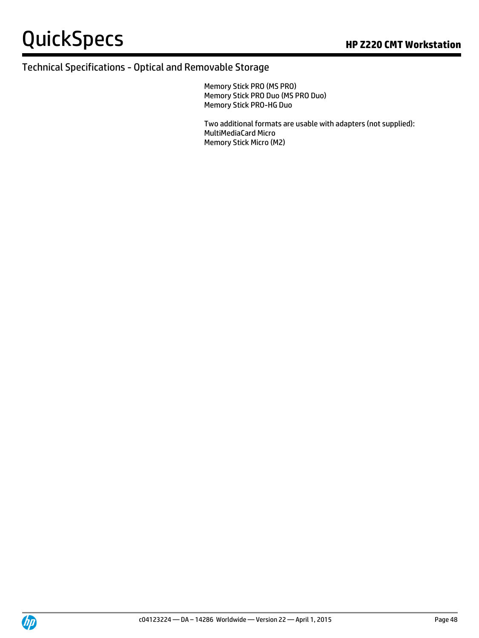Memory Stick PRO (MS PRO) Memory Stick PRO Duo (MS PRO Duo) Memory Stick PRO-HG Duo

Two additional formats are usable with adapters (not supplied): MultiMediaCard Micro Memory Stick Micro (M2)

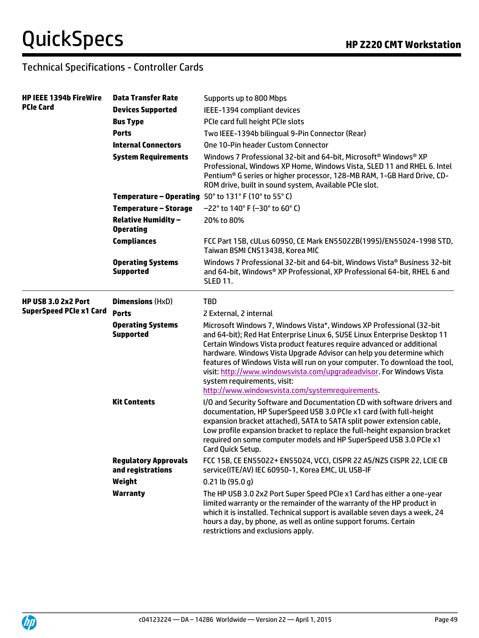# Technical Specifications - Controller Cards

| <b>HP IEEE 1394b FireWire</b>  | <b>Data Transfer Rate</b>                        | Supports up to 800 Mbps                                                                                                                                                                                                                                                                                                                                                                                                                                                                                                                    |  |  |
|--------------------------------|--------------------------------------------------|--------------------------------------------------------------------------------------------------------------------------------------------------------------------------------------------------------------------------------------------------------------------------------------------------------------------------------------------------------------------------------------------------------------------------------------------------------------------------------------------------------------------------------------------|--|--|
| <b>PCIe Card</b>               | <b>Devices Supported</b>                         | IEEE-1394 compliant devices                                                                                                                                                                                                                                                                                                                                                                                                                                                                                                                |  |  |
|                                | <b>Bus Type</b>                                  | PCIe card full height PCIe slots                                                                                                                                                                                                                                                                                                                                                                                                                                                                                                           |  |  |
|                                | <b>Ports</b>                                     | Two IEEE-1394b bilingual 9-Pin Connector (Rear)                                                                                                                                                                                                                                                                                                                                                                                                                                                                                            |  |  |
|                                | <b>Internal Connectors</b>                       | One 10-Pin header Custom Connector<br>Windows 7 Professional 32-bit and 64-bit, Microsoft <sup>®</sup> Windows <sup>®</sup> XP<br>Professional, Windows XP Home, Windows Vista, SLED 11 and RHEL 6. Intel<br>Pentium® G series or higher processor, 128-MB RAM, 1-GB Hard Drive, CD-<br>ROM drive, built in sound system, Available PCIe slot.                                                                                                                                                                                             |  |  |
|                                | <b>System Requirements</b>                       |                                                                                                                                                                                                                                                                                                                                                                                                                                                                                                                                            |  |  |
|                                |                                                  | Temperature - Operating 50° to 131° F (10° to 55° C)                                                                                                                                                                                                                                                                                                                                                                                                                                                                                       |  |  |
|                                | <b>Temperature – Storage</b>                     | $-22^{\circ}$ to 140° F (-30° to 60° C)                                                                                                                                                                                                                                                                                                                                                                                                                                                                                                    |  |  |
|                                | <b>Relative Humidity -</b><br><b>Operating</b>   | 20% to 80%                                                                                                                                                                                                                                                                                                                                                                                                                                                                                                                                 |  |  |
|                                | <b>Compliances</b>                               | FCC Part 15B, cULus 60950, CE Mark EN55022B(1995)/EN55024-1998 STD,<br>Taiwan BSMI CNS13438, Korea MIC                                                                                                                                                                                                                                                                                                                                                                                                                                     |  |  |
|                                | <b>Operating Systems</b><br><b>Supported</b>     | Windows 7 Professional 32-bit and 64-bit, Windows Vista® Business 32-bit<br>and 64-bit, Windows® XP Professional, XP Professional 64-bit, RHEL 6 and<br><b>SLED 11.</b>                                                                                                                                                                                                                                                                                                                                                                    |  |  |
| HP USB 3.0 2x2 Port            | <b>Dimensions (HxD)</b>                          | <b>TBD</b>                                                                                                                                                                                                                                                                                                                                                                                                                                                                                                                                 |  |  |
| <b>SuperSpeed PCIe x1 Card</b> | <b>Ports</b>                                     | 2 External, 2 internal                                                                                                                                                                                                                                                                                                                                                                                                                                                                                                                     |  |  |
|                                | <b>Operating Systems</b><br><b>Supported</b>     | Microsoft Windows 7, Windows Vista*, Windows XP Professional (32-bit<br>and 64-bit); Red Hat Enterprise Linux 6, SUSE Linux Enterprise Desktop 11<br>Certain Windows Vista product features require advanced or additional<br>hardware. Windows Vista Upgrade Advisor can help you determine which<br>features of Windows Vista will run on your computer. To download the tool,<br>visit: http://www.windowsvista.com/upgradeadvisor. For Windows Vista<br>system requirements, visit:<br>http://www.windowsvista.com/systemrequirements. |  |  |
|                                | <b>Kit Contents</b>                              | I/O and Security Software and Documentation CD with software drivers and<br>documentation, HP SuperSpeed USB 3.0 PCIe x1 card (with full-height<br>expansion bracket attached), SATA to SATA split power extension cable,<br>Low profile expansion bracket to replace the full-height expansion bracket<br>required on some computer models and HP SuperSpeed USB 3.0 PCIe x1<br>Card Quick Setup.                                                                                                                                         |  |  |
|                                | <b>Regulatory Approvals</b><br>and registrations | FCC 15B, CE EN55022+ EN55024, VCCI, CISPR 22 AS/NZS CISPR 22, LCIE CB<br>service(ITE/AV) IEC 60950-1, Korea EMC, UL USB-IF                                                                                                                                                                                                                                                                                                                                                                                                                 |  |  |
|                                | Weight                                           | $0.21$ lb (95.0 q)                                                                                                                                                                                                                                                                                                                                                                                                                                                                                                                         |  |  |
|                                | <b>Warranty</b>                                  | The HP USB 3.0 2x2 Port Super Speed PCIe x1 Card has either a one-year<br>limited warranty or the remainder of the warranty of the HP product in<br>which it is installed. Technical support is available seven days a week, 24<br>hours a day, by phone, as well as online support forums. Certain<br>restrictions and exclusions apply.                                                                                                                                                                                                  |  |  |

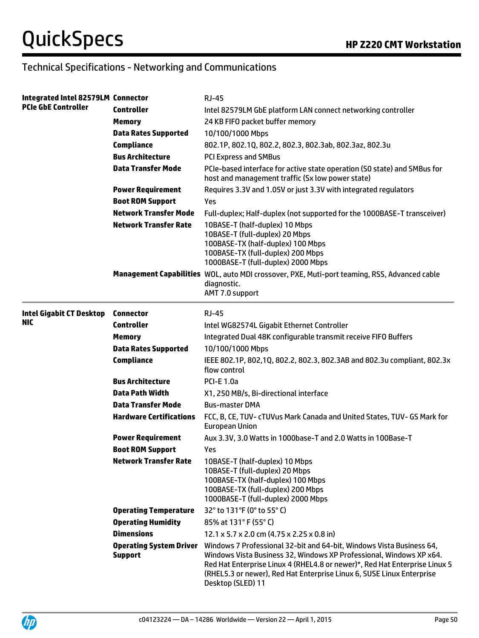# Technical Specifications - Networking and Communications

| Integrated Intel 82579LM Connector |                                                  | <b>RJ-45</b>                                                                                                                                                                                                                                                                                                            |
|------------------------------------|--------------------------------------------------|-------------------------------------------------------------------------------------------------------------------------------------------------------------------------------------------------------------------------------------------------------------------------------------------------------------------------|
| <b>PCIe GbE Controller</b>         | <b>Controller</b>                                | Intel 82579LM GbE platform LAN connect networking controller                                                                                                                                                                                                                                                            |
|                                    | <b>Memory</b>                                    | 24 KB FIFO packet buffer memory                                                                                                                                                                                                                                                                                         |
|                                    | <b>Data Rates Supported</b>                      | 10/100/1000 Mbps                                                                                                                                                                                                                                                                                                        |
|                                    | <b>Compliance</b>                                | 802.1P, 802.1Q, 802.2, 802.3, 802.3ab, 802.3az, 802.3u                                                                                                                                                                                                                                                                  |
|                                    | <b>Bus Architecture</b>                          | <b>PCI Express and SMBus</b>                                                                                                                                                                                                                                                                                            |
|                                    | <b>Data Transfer Mode</b>                        | PCIe-based interface for active state operation (SO state) and SMBus for<br>host and management traffic (Sx low power state)                                                                                                                                                                                            |
|                                    | <b>Power Requirement</b>                         | Requires 3.3V and 1.05V or just 3.3V with integrated regulators                                                                                                                                                                                                                                                         |
|                                    | <b>Boot ROM Support</b>                          | Yes                                                                                                                                                                                                                                                                                                                     |
|                                    | <b>Network Transfer Mode</b>                     | Full-duplex; Half-duplex (not supported for the 1000BASE-T transceiver)                                                                                                                                                                                                                                                 |
|                                    | <b>Network Transfer Rate</b>                     | 10BASE-T (half-duplex) 10 Mbps<br>10BASE-T (full-duplex) 20 Mbps<br>100BASE-TX (half-duplex) 100 Mbps<br>100BASE-TX (full-duplex) 200 Mbps<br>1000BASE-T (full-duplex) 2000 Mbps                                                                                                                                        |
|                                    |                                                  | Management Capabilities WOL, auto MDI crossover, PXE, Muti-port teaming, RSS, Advanced cable<br>diagnostic.<br>AMT 7.0 support                                                                                                                                                                                          |
| <b>Intel Gigabit CT Desktop</b>    | <b>Connector</b>                                 | <b>RJ-45</b>                                                                                                                                                                                                                                                                                                            |
| NIC.                               | <b>Controller</b>                                | Intel WG82574L Gigabit Ethernet Controller                                                                                                                                                                                                                                                                              |
|                                    | <b>Memory</b>                                    | Integrated Dual 48K configurable transmit receive FIFO Buffers                                                                                                                                                                                                                                                          |
|                                    | <b>Data Rates Supported</b>                      | 10/100/1000 Mbps                                                                                                                                                                                                                                                                                                        |
|                                    | <b>Compliance</b>                                | IEEE 802.1P, 802,1Q, 802.2, 802.3, 802.3AB and 802.3u compliant, 802.3x<br>flow control                                                                                                                                                                                                                                 |
|                                    | <b>Bus Architecture</b>                          | <b>PCI-E 1.0a</b>                                                                                                                                                                                                                                                                                                       |
|                                    | <b>Data Path Width</b>                           | X1, 250 MB/s, Bi-directional interface                                                                                                                                                                                                                                                                                  |
|                                    | <b>Data Transfer Mode</b>                        | <b>Bus-master DMA</b>                                                                                                                                                                                                                                                                                                   |
|                                    | <b>Hardware Certifications</b>                   | FCC, B, CE, TUV- cTUVus Mark Canada and United States, TUV- GS Mark for<br><b>European Union</b>                                                                                                                                                                                                                        |
|                                    | <b>Power Requirement</b>                         | Aux 3.3V, 3.0 Watts in 1000base-T and 2.0 Watts in 100Base-T                                                                                                                                                                                                                                                            |
|                                    | <b>Boot ROM Support</b>                          | Yes                                                                                                                                                                                                                                                                                                                     |
|                                    | <b>Network Transfer Rate</b>                     | 10BASE-T (half-duplex) 10 Mbps<br>10BASE-T (full-duplex) 20 Mbps<br>100BASE-TX (half-duplex) 100 Mbps<br>100BASE-TX (full-duplex) 200 Mbps<br>1000BASE-T (full-duplex) 2000 Mbps                                                                                                                                        |
|                                    | <b>Operating Temperature</b>                     | 32° to 131°F (0° to 55° C)                                                                                                                                                                                                                                                                                              |
|                                    | <b>Operating Humidity</b>                        | 85% at 131° F (55° C)                                                                                                                                                                                                                                                                                                   |
|                                    | <b>Dimensions</b>                                | $12.1 \times 5.7 \times 2.0$ cm (4.75 x 2.25 x 0.8 in)                                                                                                                                                                                                                                                                  |
|                                    | <b>Operating System Driver</b><br><b>Support</b> | Windows 7 Professional 32-bit and 64-bit, Windows Vista Business 64,<br>Windows Vista Business 32, Windows XP Professional, Windows XP x64.<br>Red Hat Enterprise Linux 4 (RHEL4.8 or newer)*, Red Hat Enterprise Linux 5<br>(RHEL5.3 or newer), Red Hat Enterprise Linux 6, SUSE Linux Enterprise<br>Desktop (SLED) 11 |

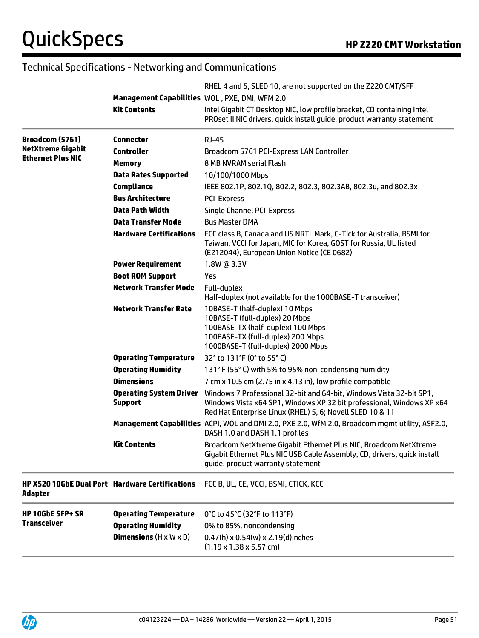# Technical Specifications - Networking and Communications

|                                                                   |                                                  | RHEL 4 and 5, SLED 10, are not supported on the Z220 CMT/SFF                                                                                                                                              |
|-------------------------------------------------------------------|--------------------------------------------------|-----------------------------------------------------------------------------------------------------------------------------------------------------------------------------------------------------------|
|                                                                   | Management Capabilities WOL, PXE, DMI, WFM 2.0   |                                                                                                                                                                                                           |
|                                                                   | <b>Kit Contents</b>                              | Intel Gigabit CT Desktop NIC, low profile bracket, CD containing Intel<br>PROset II NIC drivers, quick install guide, product warranty statement                                                          |
| Broadcom (5761)                                                   | <b>Connector</b>                                 | $RJ-45$                                                                                                                                                                                                   |
| <b>NetXtreme Gigabit</b><br><b>Ethernet Plus NIC</b>              | <b>Controller</b>                                | Broadcom 5761 PCI-Express LAN Controller                                                                                                                                                                  |
|                                                                   | <b>Memory</b>                                    | 8 MB NVRAM serial Flash                                                                                                                                                                                   |
|                                                                   | <b>Data Rates Supported</b>                      | 10/100/1000 Mbps                                                                                                                                                                                          |
|                                                                   | <b>Compliance</b>                                | IEEE 802.1P, 802.1Q, 802.2, 802.3, 802.3AB, 802.3u, and 802.3x                                                                                                                                            |
|                                                                   | <b>Bus Architecture</b>                          | <b>PCI-Express</b>                                                                                                                                                                                        |
|                                                                   | <b>Data Path Width</b>                           | <b>Single Channel PCI-Express</b>                                                                                                                                                                         |
|                                                                   | <b>Data Transfer Mode</b>                        | <b>Bus Master DMA</b>                                                                                                                                                                                     |
|                                                                   | <b>Hardware Certifications</b>                   | FCC class B, Canada and US NRTL Mark, C-Tick for Australia, BSMI for<br>Taiwan, VCCI for Japan, MIC for Korea, GOST for Russia, UL listed<br>(E212044), European Union Notice (CE 0682)                   |
|                                                                   | <b>Power Requirement</b>                         | 1.8W @ 3.3V                                                                                                                                                                                               |
|                                                                   | <b>Boot ROM Support</b>                          | Yes                                                                                                                                                                                                       |
|                                                                   | <b>Network Transfer Mode</b>                     | Full-duplex<br>Half-duplex (not available for the 1000BASE-T transceiver)                                                                                                                                 |
|                                                                   | <b>Network Transfer Rate</b>                     | 10BASE-T (half-duplex) 10 Mbps<br>10BASE-T (full-duplex) 20 Mbps<br>100BASE-TX (half-duplex) 100 Mbps<br>100BASE-TX (full-duplex) 200 Mbps<br>1000BASE-T (full-duplex) 2000 Mbps                          |
|                                                                   | <b>Operating Temperature</b>                     | 32° to 131°F (0° to 55° C)                                                                                                                                                                                |
|                                                                   | <b>Operating Humidity</b>                        | 131° F (55° C) with 5% to 95% non-condensing humidity                                                                                                                                                     |
|                                                                   | <b>Dimensions</b>                                | 7 cm x 10.5 cm (2.75 in x 4.13 in), low profile compatible                                                                                                                                                |
|                                                                   | <b>Operating System Driver</b><br><b>Support</b> | Windows 7 Professional 32-bit and 64-bit, Windows Vista 32-bit SP1,<br>Windows Vista x64 SP1, Windows XP 32 bit professional, Windows XP x64<br>Red Hat Enterprise Linux (RHEL) 5, 6; Novell SLED 10 & 11 |
|                                                                   |                                                  | Management Capabilities ACPI, WOL and DMI 2.0, PXE 2.0, WfM 2.0, Broadcom mgmt utility, ASF2.0,<br>DASH 1.0 and DASH 1.1 profiles                                                                         |
|                                                                   | Kit Contents                                     | Broadcom NetXtreme Gigabit Ethernet Plus NIC, Broadcom NetXtreme<br>Gigabit Ethernet Plus NIC USB Cable Assembly, CD, drivers, quick install<br>guide, product warranty statement                         |
| <b>HP X520 10GbE Dual Port Hardware Certifications</b><br>Adapter |                                                  | FCC B, UL, CE, VCCI, BSMI, CTICK, KCC                                                                                                                                                                     |
| <b>HP 10GbE SFP+ SR</b>                                           | <b>Operating Temperature</b>                     | 0°C to 45°C (32°F to 113°F)                                                                                                                                                                               |
| <b>Transceiver</b>                                                | <b>Operating Humidity</b>                        | 0% to 85%, noncondensing                                                                                                                                                                                  |
|                                                                   | <b>Dimensions</b> $(H \times W \times D)$        | $0.47(h) \times 0.54(w) \times 2.19(d)$ inches<br>$(1.19 \times 1.38 \times 5.57$ cm)                                                                                                                     |

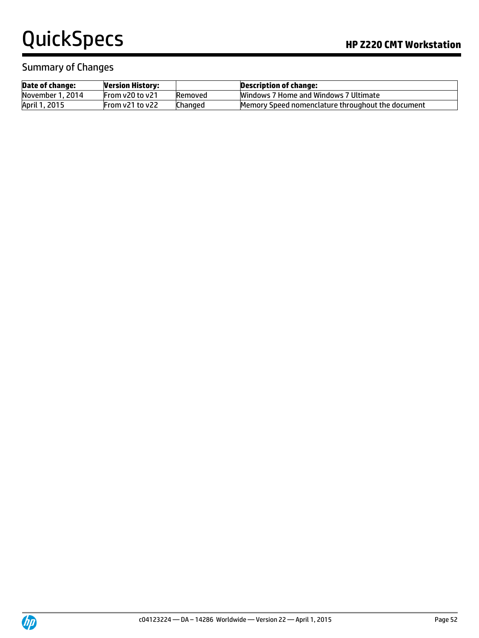### Summary of Changes

| <b>Date of change:</b> | <b>Version History:</b> |         | Description of change:                            |
|------------------------|-------------------------|---------|---------------------------------------------------|
| November 1, 2014       | From v20 to v21         | Removed | Windows 7 Home and Windows 7 Ultimate             |
| April 1, 2015          | From $v21$ to $v22$     | Changed | Memory Speed nomenclature throughout the document |